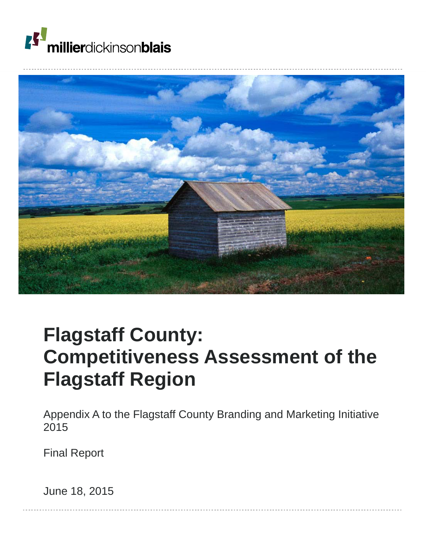



# **Flagstaff County: Competitiveness Assessment of the Flagstaff Region**

Appendix A to the Flagstaff County Branding and Marketing Initiative 2015

Final Report

June 18, 2015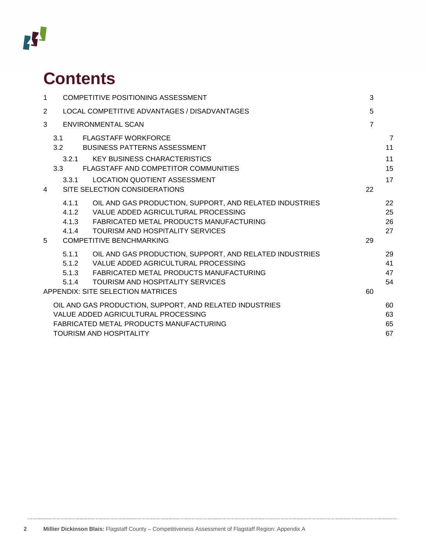# **ISS**

# **Contents**

| $\mathbf{1}$   |       | <b>COMPETITIVE POSITIONING ASSESSMENT</b>                     | 3              |                |
|----------------|-------|---------------------------------------------------------------|----------------|----------------|
| $\overline{2}$ |       | LOCAL COMPETITIVE ADVANTAGES / DISADVANTAGES                  | 5              |                |
| 3              |       | <b>ENVIRONMENTAL SCAN</b>                                     | $\overline{7}$ |                |
|                | 3.1   | FLAGSTAFF WORKFORCE                                           |                | $\overline{7}$ |
|                |       | 3.2 BUSINESS PATTERNS ASSESSMENT                              |                | 11             |
|                | 3.2.1 | <b>KEY BUSINESS CHARACTERISTICS</b>                           |                | 11             |
|                | 3.3   | FLAGSTAFF AND COMPETITOR COMMUNITIES                          |                | 15             |
|                | 3.3.1 | <b>LOCATION QUOTIENT ASSESSMENT</b>                           |                | 17             |
| 4              |       | SITE SELECTION CONSIDERATIONS                                 | 22             |                |
|                | 4.1.1 | OIL AND GAS PRODUCTION, SUPPORT, AND RELATED INDUSTRIES       |                | 22             |
|                |       | 4.1.2 VALUE ADDED AGRICULTURAL PROCESSING                     |                | 25             |
|                |       | 4.1.3 FABRICATED METAL PRODUCTS MANUFACTURING                 |                | 26             |
|                | 4.1.4 | <b>TOURISM AND HOSPITALITY SERVICES</b>                       |                | 27             |
| 5              |       | <b>COMPETITIVE BENCHMARKING</b>                               | 29             |                |
|                |       | 5.1.1 OIL AND GAS PRODUCTION, SUPPORT, AND RELATED INDUSTRIES |                | 29             |
|                |       | 5.1.2 VALUE ADDED AGRICULTURAL PROCESSING                     |                | 41             |
|                |       | 5.1.3 FABRICATED METAL PRODUCTS MANUFACTURING                 |                | 47             |
|                | 5.1.4 | <b>TOURISM AND HOSPITALITY SERVICES</b>                       |                | 54             |
|                |       | <b>APPENDIX: SITE SELECTION MATRICES</b>                      | 60             |                |
|                |       | OIL AND GAS PRODUCTION, SUPPORT, AND RELATED INDUSTRIES       |                | 60             |
|                |       | VALUE ADDED AGRICULTURAL PROCESSING                           |                | 63             |
|                |       | <b>FABRICATED METAL PRODUCTS MANUFACTURING</b>                |                | 65             |
|                |       | <b>TOURISM AND HOSPITALITY</b>                                |                | 67             |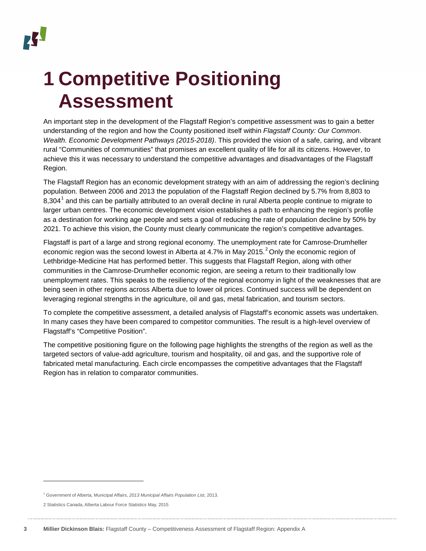# <span id="page-2-0"></span>**1 Competitive Positioning Assessment**

An important step in the development of the Flagstaff Region's competitive assessment was to gain a better understanding of the region and how the County positioned itself within *Flagstaff County: Our Common. Wealth. Economic Development Pathways (2015-2018)*. This provided the vision of a safe, caring, and vibrant rural "Communities of communities" that promises an excellent quality of life for all its citizens. However, to achieve this it was necessary to understand the competitive advantages and disadvantages of the Flagstaff Region.

The Flagstaff Region has an economic development strategy with an aim of addressing the region's declining population. Between 2006 and 2013 the population of the Flagstaff Region declined by 5.7% from 8,803 to 8,304<sup>[1](#page-2-1)</sup> and this can be partially attributed to an overall decline in rural Alberta people continue to migrate to larger urban centres. The economic development vision establishes a path to enhancing the region's profile as a destination for working age people and sets a goal of reducing the rate of population decline by 50% by 2021. To achieve this vision, the County must clearly communicate the region's competitive advantages.

Flagstaff is part of a large and strong regional economy. The unemployment rate for Camrose-Drumheller economic region was the second lowest in Alberta at 4.7% in May [2](#page-2-2)015.<sup>2</sup> Only the economic region of Lethbridge-Medicine Hat has performed better. This suggests that Flagstaff Region, along with other communities in the Camrose-Drumheller economic region, are seeing a return to their traditionally low unemployment rates. This speaks to the resiliency of the regional economy in light of the weaknesses that are being seen in other regions across Alberta due to lower oil prices. Continued success will be dependent on leveraging regional strengths in the agriculture, oil and gas, metal fabrication, and tourism sectors.

To complete the competitive assessment, a detailed analysis of Flagstaff's economic assets was undertaken. In many cases they have been compared to competitor communities. The result is a high-level overview of Flagstaff's "Competitive Position".

The competitive positioning figure on the following page highlights the strengths of the region as well as the targeted sectors of value-add agriculture, tourism and hospitality, oil and gas, and the supportive role of fabricated metal manufacturing. Each circle encompasses the competitive advantages that the Flagstaff Region has in relation to comparator communities.

j

<span id="page-2-1"></span><sup>1</sup> Government of Alberta, Municipal Affairs, *2013 Municipal Affairs Population List*, 2013.

<span id="page-2-2"></span><sup>2</sup> Statistics Canada, Alberta Labour Force Statistics May, 2015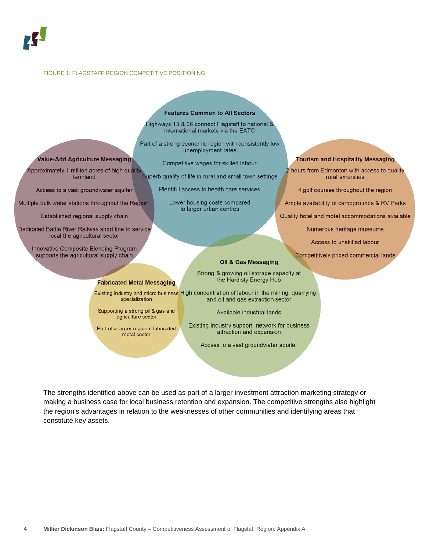#### FIGURE 1: FLAGSTAFF REGION COMPETITIVE POSITIONING

Value-Add Agriculture Messaging

Approximately 1 million acres of high quality

farmland

Access to a vast groundwater aquifer

Multiple bulk water stations throughout the Region

Established regional supply chain

Dedicated Battle River Railway short line to service

local the agricultural sector

Innovative Composite Blending Program supports the agricultural supply chain

#### **Features Common to All Sectors**

Highways 13 & 36 connect Flagstaff to national & international markets via the EATC

Part of a strong economic region with consistently low unemployment rates

Competitive wages for skilled labour

Superb quality of life in rural and small town settings

Plentiful access to health care services

Lower housing costs compared to larger urban centres

#### **Tourism and Hospitality Messaging**

hours from Edmonton with access to quality rural amenities

4 golf courses throughout the region

Ample availability of campgrounds & RV Parks

Quality hotel and motel accommodations available

Numerous heritage museums

Access to unskilled labour

Competitively priced commercial lands

**Fabricated Metal Messaging** 

Supporting a strong oil & gas and agriculture sector

Part of a larger regional fabricated metal sector

Oil & Gas Messaging

Strong & growing oil storage capacity at the Hardisty Energy Hub

Existing industry and micro business High concentration of labour in the mining, quarrying, specialization and oil and gas extraction sector

Available industrial lands

Existing industry support network for business attraction and expansion

Access to a vast groundwater aquifer

<span id="page-3-0"></span>The strengths identified above can be used as part of a larger investment attraction marketing strategy or making a business case for local business retention and expansion. The competitive strengths also highlight the region's advantages in relation to the weaknesses of other communities and identifying areas that constitute key assets.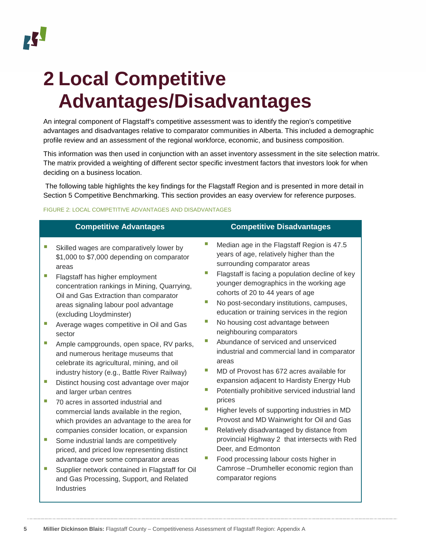# **2 Local Competitive Advantages/Disadvantages**

An integral component of Flagstaff's competitive assessment was to identify the region's competitive advantages and disadvantages relative to comparator communities in Alberta. This included a demographic profile review and an assessment of the regional workforce, economic, and business composition.

This information was then used in conjunction with an asset inventory assessment in the site selection matrix. The matrix provided a weighting of different sector specific investment factors that investors look for when deciding on a business location.

The following table highlights the key findings for the Flagstaff Region and is presented in more detail in Section [5](#page-28-0) Competitive Benchmarking. This section provides an easy overview for reference purposes.

#### FIGURE 2: LOCAL COMPETITIVE ADVANTAGES AND DISADVANTAGES

|        | <b>Competitive Advantages</b>                                                                                                                                                                                           |   | <b>Competitive Disadvantages</b>                                                                                                                                                                                            |
|--------|-------------------------------------------------------------------------------------------------------------------------------------------------------------------------------------------------------------------------|---|-----------------------------------------------------------------------------------------------------------------------------------------------------------------------------------------------------------------------------|
|        | Skilled wages are comparatively lower by<br>\$1,000 to \$7,000 depending on comparator<br>areas                                                                                                                         |   | Median age in the Flagstaff Region is 47.5<br>years of age, relatively higher than the<br>surrounding comparator areas                                                                                                      |
|        | Flagstaff has higher employment<br>concentration rankings in Mining, Quarrying,<br>Oil and Gas Extraction than comparator<br>areas signaling labour pool advantage<br>(excluding Lloydminster)                          |   | Flagstaff is facing a population decline of key<br>younger demographics in the working age<br>cohorts of 20 to 44 years of age<br>No post-secondary institutions, campuses,<br>education or training services in the region |
| ш      | Average wages competitive in Oil and Gas<br>sector                                                                                                                                                                      |   | No housing cost advantage between<br>neighbouring comparators                                                                                                                                                               |
| ш      | Ample campgrounds, open space, RV parks,<br>and numerous heritage museums that<br>celebrate its agricultural, mining, and oil                                                                                           | Π | Abundance of serviced and unserviced<br>industrial and commercial land in comparator<br>areas                                                                                                                               |
| ш      | industry history (e.g., Battle River Railway)                                                                                                                                                                           |   | MD of Provost has 672 acres available for<br>expansion adjacent to Hardisty Energy Hub                                                                                                                                      |
|        | Distinct housing cost advantage over major<br>and larger urban centres                                                                                                                                                  |   | Potentially prohibitive serviced industrial land                                                                                                                                                                            |
| ш<br>п | 70 acres in assorted industrial and<br>commercial lands available in the region,<br>which provides an advantage to the area for<br>companies consider location, or expansion<br>Some industrial lands are competitively | ш | prices<br>Higher levels of supporting industries in MD<br>Provost and MD Wainwright for Oil and Gas<br>Relatively disadvantaged by distance from<br>provincial Highway 2 that intersects with Red                           |
|        | priced, and priced low representing distinct                                                                                                                                                                            |   | Deer, and Edmonton                                                                                                                                                                                                          |
|        | advantage over some comparator areas<br>Supplier network contained in Flagstaff for Oil<br>and Gas Processing, Support, and Related<br>Industries                                                                       |   | Food processing labour costs higher in<br>Camrose-Drumheller economic region than<br>comparator regions                                                                                                                     |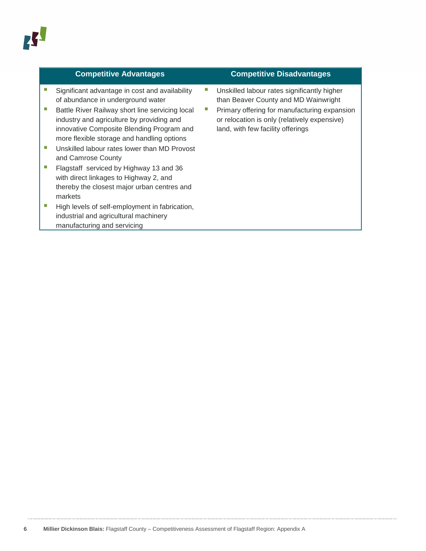#### **Competitive Advantages Competitive Disadvantages**

- Significant advantage in cost and availability of abundance in underground water
- Battle River Railway short line servicing local industry and agriculture by providing and innovative Composite Blending Program and more flexible storage and handling options
- **Unskilled labour rates lower than MD Provost** and Camrose County
- **Flagstaff serviced by Highway 13 and 36** with direct linkages to Highway 2, and thereby the closest major urban centres and markets
- High levels of self-employment in fabrication, industrial and agricultural machinery manufacturing and servicing

- **Unskilled labour rates significantly higher** than Beaver County and MD Wainwright
- **Primary offering for manufacturing expansion** or relocation is only (relatively expensive) land, with few facility offerings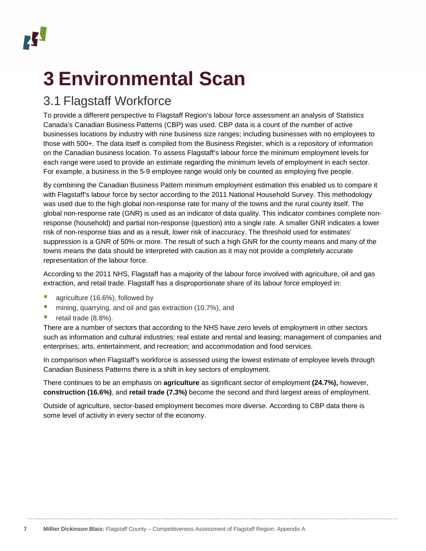# <span id="page-6-0"></span>**3 Environmental Scan**

# <span id="page-6-1"></span>3.1 Flagstaff Workforce

To provide a different perspective to Flagstaff Region's labour force assessment an analysis of Statistics Canada's Canadian Business Patterns (CBP) was used. CBP data is a count of the number of active businesses locations by industry with nine business size ranges; including businesses with no employees to those with 500+. The data itself is compiled from the Business Register, which is a repository of information on the Canadian business location. To assess Flagstaff's labour force the minimum employment levels for each range were used to provide an estimate regarding the minimum levels of employment in each sector. For example, a business in the 5-9 employee range would only be counted as employing five people.

By combining the Canadian Business Pattern minimum employment estimation this enabled us to compare it with Flagstaff's labour force by sector according to the 2011 National Household Survey. This methodology was used due to the high global non-response rate for many of the towns and the rural county itself. The global non-response rate (GNR) is used as an indicator of data quality. This indicator combines complete nonresponse (household) and partial non-response (question) into a single rate. A smaller GNR indicates a lower risk of non-response bias and as a result, lower risk of inaccuracy. The threshold used for estimates' suppression is a GNR of 50% or more. The result of such a high GNR for the county means and many of the towns means the data should be interpreted with caution as it may not provide a completely accurate representation of the labour force.

According to the 2011 NHS, Flagstaff has a majority of the labour force involved with agriculture, oil and gas extraction, and retail trade. Flagstaff has a disproportionate share of its labour force employed in:

- **agriculture (16.6%), followed by**
- **n** mining, quarrying, and oil and gas extraction (10.7%), and
- retail trade  $(8.8\%)$ .

There are a number of sectors that according to the NHS have zero levels of employment in other sectors such as information and cultural industries; real estate and rental and leasing; management of companies and enterprises; arts, entertainment, and recreation; and accommodation and food services.

In comparison when Flagstaff's workforce is assessed using the lowest estimate of employee levels through Canadian Business Patterns there is a shift in key sectors of employment.

There continues to be an emphasis on **agriculture** as significant sector of employment **(24.7%),** however, **construction (16.6%)**, and **retail trade (7.3%)** become the second and third largest areas of employment.

Outside of agriculture, sector-based employment becomes more diverse. According to CBP data there is some level of activity in every sector of the economy.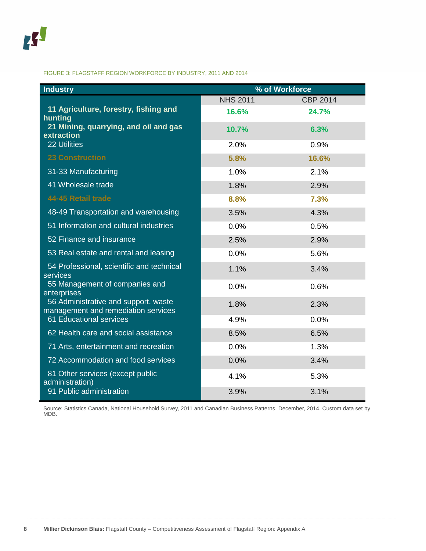#### FIGURE 3: FLAGSTAFF REGION WORKFORCE BY INDUSTRY, 2011 AND 2014

| <b>Industry</b>                                                             |                 | % of Workforce  |
|-----------------------------------------------------------------------------|-----------------|-----------------|
|                                                                             | <b>NHS 2011</b> | <b>CBP 2014</b> |
| 11 Agriculture, forestry, fishing and<br>hunting                            | 16.6%           | 24.7%           |
| 21 Mining, quarrying, and oil and gas<br>extraction                         | 10.7%           | 6.3%            |
| <b>22 Utilities</b>                                                         | 2.0%            | 0.9%            |
| <b>23 Construction</b>                                                      | 5.8%            | 16.6%           |
| 31-33 Manufacturing                                                         | 1.0%            | 2.1%            |
| 41 Wholesale trade                                                          | 1.8%            | 2.9%            |
| 44-45 Retail trade                                                          | 8.8%            | 7.3%            |
| 48-49 Transportation and warehousing                                        | 3.5%            | 4.3%            |
| 51 Information and cultural industries                                      | 0.0%            | 0.5%            |
| 52 Finance and insurance                                                    | 2.5%            | 2.9%            |
| 53 Real estate and rental and leasing                                       | 0.0%            | 5.6%            |
| 54 Professional, scientific and technical<br>services                       | 1.1%            | 3.4%            |
| 55 Management of companies and<br>enterprises                               | 0.0%            | 0.6%            |
| 56 Administrative and support, waste<br>management and remediation services | 1.8%            | 2.3%            |
| 61 Educational services                                                     | 4.9%            | 0.0%            |
| 62 Health care and social assistance                                        | 8.5%            | 6.5%            |
| 71 Arts, entertainment and recreation                                       | 0.0%            | 1.3%            |
| 72 Accommodation and food services                                          | 0.0%            | 3.4%            |
| 81 Other services (except public<br>administration)                         | 4.1%            | 5.3%            |
| 91 Public administration                                                    | 3.9%            | 3.1%            |

Source: Statistics Canada, National Household Survey, 2011 and Canadian Business Patterns, December, 2014. Custom data set by MDB.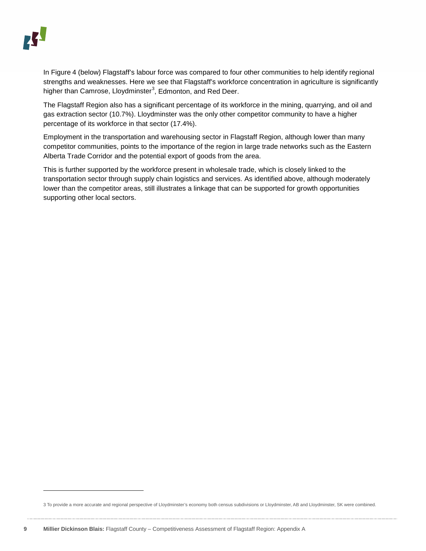In [Figure](#page-9-0) 4 (below) Flagstaff's labour force was compared to four other communities to help identify regional strengths and weaknesses. Here we see that Flagstaff's workforce concentration in agriculture is significantly higher than Camrose, Lloydminster<sup>[3](#page-8-0)</sup>, Edmonton, and Red Deer.

The Flagstaff Region also has a significant percentage of its workforce in the mining, quarrying, and oil and gas extraction sector (10.7%). Lloydminster was the only other competitor community to have a higher percentage of its workforce in that sector (17.4%).

Employment in the transportation and warehousing sector in Flagstaff Region, although lower than many competitor communities, points to the importance of the region in large trade networks such as the Eastern Alberta Trade Corridor and the potential export of goods from the area.

This is further supported by the workforce present in wholesale trade, which is closely linked to the transportation sector through supply chain logistics and services. As identified above, although moderately lower than the competitor areas, still illustrates a linkage that can be supported for growth opportunities supporting other local sectors.

j

<span id="page-8-0"></span><sup>3</sup> To provide a more accurate and regional perspective of Lloydminster's economy both census subdivisions or Lloydminster, AB and Lloydminster, SK were combined.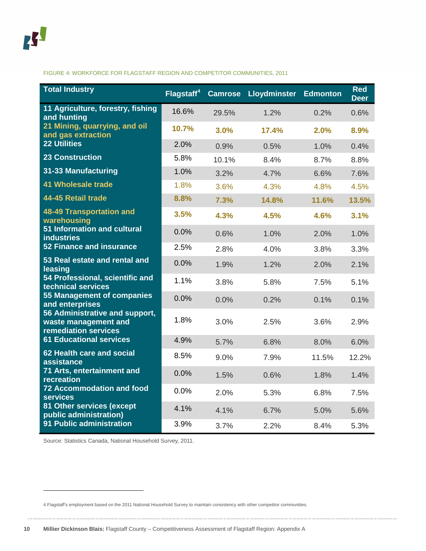<span id="page-9-0"></span>FIGURE 4: WORKFORCE FOR FLAGSTAFF REGION AND COMPETITOR COMMUNITIES, 2011

| <b>Total Industry</b>                                                          | Flagstaff <sup>4</sup> | <b>Camrose</b> | <b>Lloydminster</b> | <b>Edmonton</b> | <b>Red</b><br><b>Deer</b> |
|--------------------------------------------------------------------------------|------------------------|----------------|---------------------|-----------------|---------------------------|
| 11 Agriculture, forestry, fishing<br>and hunting                               | 16.6%                  | 29.5%          | 1.2%                | 0.2%            | 0.6%                      |
| 21 Mining, quarrying, and oil<br>and gas extraction                            | 10.7%                  | 3.0%           | 17.4%               | 2.0%            | 8.9%                      |
| <b>22 Utilities</b>                                                            | 2.0%                   | 0.9%           | 0.5%                | 1.0%            | 0.4%                      |
| <b>23 Construction</b>                                                         | 5.8%                   | 10.1%          | 8.4%                | 8.7%            | 8.8%                      |
| 31-33 Manufacturing                                                            | 1.0%                   | 3.2%           | 4.7%                | 6.6%            | 7.6%                      |
| <b>41 Wholesale trade</b>                                                      | 1.8%                   | 3.6%           | 4.3%                | 4.8%            | 4.5%                      |
| 44-45 Retail trade                                                             | 8.8%                   | 7.3%           | 14.8%               | 11.6%           | 13.5%                     |
| 48-49 Transportation and<br>warehousing                                        | 3.5%                   | 4.3%           | 4.5%                | 4.6%            | 3.1%                      |
| 51 Information and cultural<br><b>industries</b>                               | 0.0%                   | 0.6%           | 1.0%                | 2.0%            | 1.0%                      |
| <b>52 Finance and insurance</b>                                                | 2.5%                   | 2.8%           | 4.0%                | 3.8%            | 3.3%                      |
| 53 Real estate and rental and<br>leasing                                       | 0.0%                   | 1.9%           | 1.2%                | 2.0%            | 2.1%                      |
| 54 Professional, scientific and<br>technical services                          | 1.1%                   | 3.8%           | 5.8%                | 7.5%            | 5.1%                      |
| 55 Management of companies<br>and enterprises                                  | 0.0%                   | 0.0%           | 0.2%                | 0.1%            | 0.1%                      |
| 56 Administrative and support,<br>waste management and<br>remediation services | 1.8%                   | 3.0%           | 2.5%                | 3.6%            | 2.9%                      |
| <b>61 Educational services</b>                                                 | 4.9%                   | 5.7%           | 6.8%                | 8.0%            | 6.0%                      |
| 62 Health care and social<br>assistance                                        | 8.5%                   | 9.0%           | 7.9%                | 11.5%           | 12.2%                     |
| 71 Arts, entertainment and<br>recreation                                       | 0.0%                   | 1.5%           | 0.6%                | 1.8%            | 1.4%                      |
| <b>72 Accommodation and food</b><br><b>services</b>                            | 0.0%                   | 2.0%           | 5.3%                | 6.8%            | 7.5%                      |
| 81 Other services (except<br>public administration)                            | 4.1%                   | 4.1%           | 6.7%                | 5.0%            | 5.6%                      |
| 91 Public administration                                                       | 3.9%                   | 3.7%           | 2.2%                | 8.4%            | 5.3%                      |

Source: Statistics Canada, National Household Survey, 2011.

j

<span id="page-9-1"></span><sup>4</sup> Flagstaff's employment based on the 2011 National Household Survey to maintain consistency with other competitor communities.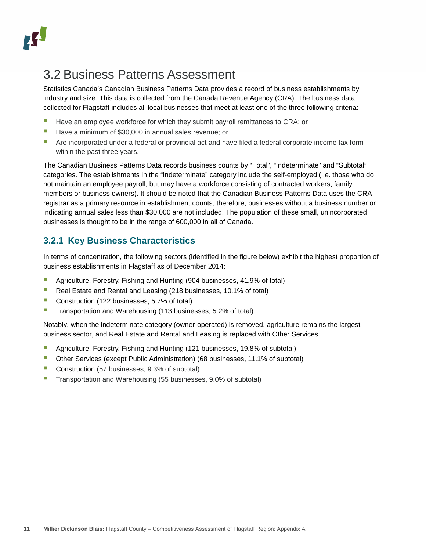## <span id="page-10-0"></span>3.2 Business Patterns Assessment

Statistics Canada's Canadian Business Patterns Data provides a record of business establishments by industry and size. This data is collected from the Canada Revenue Agency (CRA). The business data collected for Flagstaff includes all local businesses that meet at least one of the three following criteria:

- **Have an employee workforce for which they submit payroll remittances to CRA; or**
- Have a minimum of \$30,000 in annual sales revenue; or
- Are incorporated under a federal or provincial act and have filed a federal corporate income tax form within the past three years.

The Canadian Business Patterns Data records business counts by "Total", "Indeterminate" and "Subtotal" categories. The establishments in the "Indeterminate" category include the self-employed (i.e. those who do not maintain an employee payroll, but may have a workforce consisting of contracted workers, family members or business owners). It should be noted that the Canadian Business Patterns Data uses the CRA registrar as a primary resource in establishment counts; therefore, businesses without a business number or indicating annual sales less than \$30,000 are not included. The population of these small, unincorporated businesses is thought to be in the range of 600,000 in all of Canada.

#### <span id="page-10-1"></span>**3.2.1 Key Business Characteristics**

In terms of concentration, the following sectors (identified in the figure [below\)](#page-11-0) exhibit the highest proportion of business establishments in Flagstaff as of December 2014:

- Agriculture, Forestry, Fishing and Hunting (904 businesses, 41.9% of total)
- Real Estate and Rental and Leasing (218 businesses, 10.1% of total)
- Construction (122 businesses, 5.7% of total)
- **Transportation and Warehousing (113 businesses, 5.2% of total)**

Notably, when the indeterminate category (owner-operated) is removed, agriculture remains the largest business sector, and Real Estate and Rental and Leasing is replaced with Other Services:

- Agriculture, Forestry, Fishing and Hunting (121 businesses, 19.8% of subtotal)
- Other Services (except Public Administration) (68 businesses, 11.1% of subtotal)
- **Construction** (57 businesses, 9.3% of subtotal)
- Transportation and Warehousing (55 businesses, 9.0% of subtotal)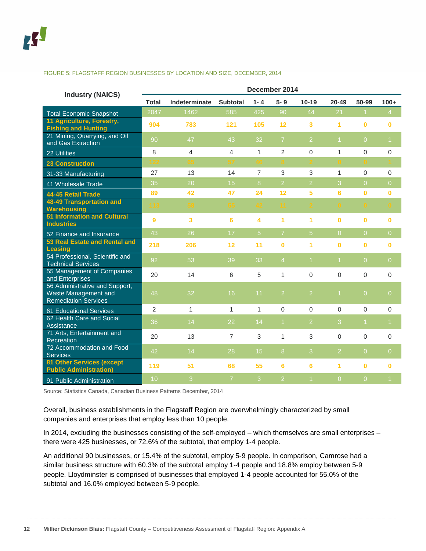#### <span id="page-11-0"></span>FIGURE 5: FLAGSTAFF REGION BUSINESSES BY LOCATION AND SIZE, DECEMBER, 2014

| <b>Industry (NAICS)</b>                                                               | December 2014  |                         |                 |                |                      |                 |                      |                |                |  |  |
|---------------------------------------------------------------------------------------|----------------|-------------------------|-----------------|----------------|----------------------|-----------------|----------------------|----------------|----------------|--|--|
|                                                                                       | <b>Total</b>   | Indeterminate           | <b>Subtotal</b> | $1 - 4$        | $5 - 9$              | $10 - 19$       | $20 - 49$            | 50-99          | $100+$         |  |  |
| <b>Total Economic Snapshot</b>                                                        | 2047           | 1462                    | 585             | 425            | 90                   | 44              | 21                   |                | 4              |  |  |
| 11 Agriculture, Forestry,<br><b>Fishing and Hunting</b>                               | 904            | 783                     | 121             | 105            | 12                   | 3               | 1                    | $\bf{0}$       | 0              |  |  |
| 21 Mining, Quarrying, and Oil<br>and Gas Extraction                                   | 90             | 47                      | 43              | 32             | $\overline{7}$       | $\overline{2}$  | $\overline{1}$       | $\overline{0}$ | 1              |  |  |
| 22 Utilities                                                                          | 8              | $\overline{4}$          | 4               | $\mathbf{1}$   | $\overline{2}$       | $\overline{0}$  | 1                    | $\mathbf 0$    | 0              |  |  |
| <b>23 Construction</b>                                                                | 122            | 65                      | 57              | 46             | 8.                   | $\mathcal{D}^-$ | $\mathbf{0}$         | $\mathbf{0}$   |                |  |  |
| 31-33 Manufacturing                                                                   | 27             | 13                      | 14              | $\overline{7}$ | 3                    | 3               | $\mathbf{1}$         | $\mathbf 0$    | 0              |  |  |
| 41 Wholesale Trade                                                                    | 35             | 20                      | 15              | 8              | $\overline{2}$       | $\overline{2}$  | 3                    | $\overline{0}$ | $\overline{0}$ |  |  |
| 44-45 Retail Trade                                                                    | 89             | 42                      | 47              | 24             | 12                   | 5               | $6\phantom{a}$       | $\mathbf{0}$   | $\bf{0}$       |  |  |
| <b>48-49 Transportation and</b><br><b>Warehousing</b>                                 | 113            | 58                      | 55              | 42             | 11                   |                 | $\bullet$            | $\bullet$      | $\mathbf{0}$   |  |  |
| <b>51 Information and Cultural</b><br><b>Industries</b>                               | 9              | $\overline{\mathbf{3}}$ | 6               | 4              | 1                    | 1               | $\bf{0}$             | $\bf{0}$       | 0              |  |  |
| 52 Finance and Insurance                                                              | 43             | 26                      | 17              | 5              | $\overline{7}$       | 5               | $\Omega$             | $\overline{0}$ | $\overline{0}$ |  |  |
| 53 Real Estate and Rental and<br><b>Leasing</b>                                       | 218            | 206                     | 12              | 11             | $\bf{0}$             | 1               | $\bf{0}$             | $\mathbf{0}$   | 0              |  |  |
| 54 Professional, Scientific and<br><b>Technical Services</b>                          | 92             | 53                      | 39              | 33             | $\overline{4}$       | $\overline{1}$  | $\blacktriangleleft$ | $\overline{0}$ | $\overline{0}$ |  |  |
| 55 Management of Companies<br>and Enterprises                                         | 20             | 14                      | 6               | 5              | $\mathbf{1}$         | $\Omega$        | $\Omega$             | $\mathbf 0$    | 0              |  |  |
| 56 Administrative and Support,<br>Waste Management and<br><b>Remediation Services</b> | 48             | 32                      | 16              | 11             | $\overline{2}$       | $\overline{2}$  | $\overline{1}$       | $\overline{0}$ | $\overline{0}$ |  |  |
| 61 Educational Services                                                               | $\overline{2}$ | $\mathbf{1}$            | $\mathbf{1}$    | $\mathbf{1}$   | $\mathbf 0$          | $\overline{0}$  | $\Omega$             | $\mathbf 0$    | 0              |  |  |
| 62 Health Care and Social<br>Assistance                                               | 36             | 14                      | 22              | 14             | $\blacktriangleleft$ | $\overline{2}$  | 3                    | $\overline{1}$ | $\mathbf{1}$   |  |  |
| 71 Arts, Entertainment and<br>Recreation                                              | 20             | 13                      | $\overline{7}$  | 3              | 1                    | 3               | $\mathbf 0$          | $\Omega$       | 0              |  |  |
| 72 Accommodation and Food<br><b>Services</b>                                          | 42             | 14                      | 28              | 15             | 8                    | 3               | $\overline{2}$       | $\overline{0}$ | $\overline{0}$ |  |  |
| <b>81 Other Services (except</b><br><b>Public Administration)</b>                     | 119            | 51                      | 68              | 55             | 6                    | 6               | 1                    | $\bf{0}$       | 0              |  |  |
| 91 Public Administration                                                              | 10             | 3                       | $\overline{7}$  | 3              | $\overline{2}$       |                 | $\overline{0}$       | $\overline{0}$ | 1              |  |  |

Source: Statistics Canada, Canadian Business Patterns December, 2014

Overall, business establishments in the Flagstaff Region are overwhelmingly characterized by small companies and enterprises that employ less than 10 people.

In 2014, excluding the businesses consisting of the self-employed – which themselves are small enterprises – there were 425 businesses, or 72.6% of the subtotal, that employ 1-4 people.

An additional 90 businesses, or 15.4% of the subtotal, employ 5-9 people. In comparison, Camrose had a similar business structure with 60.3% of the subtotal employ 1-4 people and 18.8% employ between 5-9 people. Lloydminster is comprised of businesses that employed 1-4 people accounted for 55.0% of the subtotal and 16.0% employed between 5-9 people.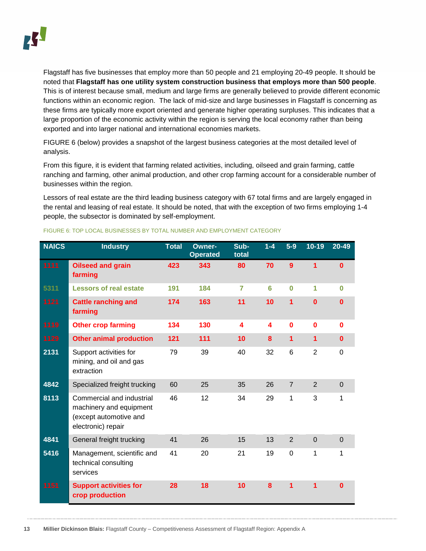Flagstaff has five businesses that employ more than 50 people and 21 employing 20-49 people. It should be noted that **Flagstaff has one utility system construction business that employs more than 500 people**. This is of interest because small, medium and large firms are generally believed to provide different economic functions within an economic region. The lack of mid-size and large businesses in Flagstaff is concerning as these firms are typically more export oriented and generate higher operating surpluses. This indicates that a large proportion of the economic activity within the region is serving the local economy rather than being exported and into larger national and international economies markets.

[FIGURE 6](#page-12-0) (below) provides a snapshot of the largest business categories at the most detailed level of analysis.

From this figure, it is evident that farming related activities, including, oilseed and grain farming, cattle ranching and farming, other animal production, and other crop farming account for a considerable number of businesses within the region.

Lessors of real estate are the third leading business category with 67 total firms and are largely engaged in the rental and leasing of real estate. It should be noted, that with the exception of two firms employing 1-4 people, the subsector is dominated by self-employment.

| <b>NAICS</b> | <b>Industry</b>                                                                                      | <b>Total</b> | <b>Owner-</b><br><b>Operated</b> | Sub-<br>total | $1 - 4$ | $5-9$          | $10 - 19$      | 20-49        |
|--------------|------------------------------------------------------------------------------------------------------|--------------|----------------------------------|---------------|---------|----------------|----------------|--------------|
| 1111         | <b>Oilseed and grain</b><br>farming                                                                  | 423          | 343                              | 80            | 70      | 9              | 1              | $\mathbf{0}$ |
| 5311         | <b>Lessors of real estate</b>                                                                        | 191          | 184                              | 7             | 6       | $\bf{0}$       | 1              | $\bf{0}$     |
| 1121         | <b>Cattle ranching and</b><br>farming                                                                | 174          | 163                              | 11            | 10      | $\overline{1}$ | $\bf{0}$       | $\bf{0}$     |
| 1119         | <b>Other crop farming</b>                                                                            | 134          | 130                              | 4             | 4       | $\mathbf 0$    | $\bf{0}$       | $\mathbf 0$  |
| 1129         | <b>Other animal production</b>                                                                       | 121          | 111                              | 10            | 8       | $\mathbf{1}$   | 1              | $\mathbf 0$  |
| 2131         | Support activities for<br>mining, and oil and gas<br>extraction                                      | 79           | 39                               | 40            | 32      | 6              | $\overline{2}$ | $\mathbf 0$  |
| 4842         | Specialized freight trucking                                                                         | 60           | 25                               | 35            | 26      | $\overline{7}$ | $\overline{2}$ | $\Omega$     |
| 8113         | Commercial and industrial<br>machinery and equipment<br>(except automotive and<br>electronic) repair | 46           | 12                               | 34            | 29      | 1              | 3              | 1            |
| 4841         | General freight trucking                                                                             | 41           | 26                               | 15            | 13      | $\overline{2}$ | $\overline{0}$ | $\Omega$     |
| 5416         | Management, scientific and<br>technical consulting<br>services                                       | 41           | 20                               | 21            | 19      | $\mathbf 0$    | 1              | $\mathbf{1}$ |
| 1151         | <b>Support activities for</b><br>crop production                                                     | 28           | 18                               | 10            | 8       | $\overline{1}$ | 1              | $\Omega$     |

#### <span id="page-12-0"></span>FIGURE 6: TOP LOCAL BUSINESSES BY TOTAL NUMBER AND EMPLOYMENT CATEGORY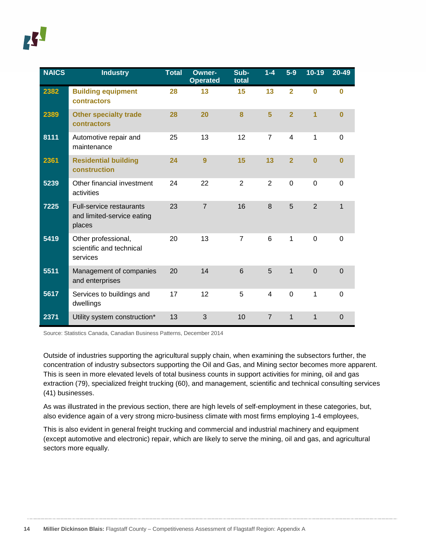| <b>NAICS</b> | <b>Industry</b>                                                  | <b>Total</b> | <b>Owner-</b><br><b>Operated</b> | Sub-<br>total  | $1 - 4$        | $5-9$          | $10 - 19$      | 20-49          |
|--------------|------------------------------------------------------------------|--------------|----------------------------------|----------------|----------------|----------------|----------------|----------------|
| 2382         | <b>Building equipment</b><br>contractors                         | 28           | 13                               | 15             | 13             | $\overline{2}$ | $\bf{0}$       | $\bf{0}$       |
| 2389         | <b>Other specialty trade</b><br>contractors                      | 28           | 20                               | 8              | 5              | $\overline{2}$ | $\overline{1}$ | $\bf{0}$       |
| 8111         | Automotive repair and<br>maintenance                             | 25           | 13                               | 12             | $\overline{7}$ | 4              | 1              | $\Omega$       |
| 2361         | <b>Residential building</b><br>construction                      | 24           | 9                                | 15             | 13             | $\overline{2}$ | $\bf{0}$       | $\overline{0}$ |
| 5239         | Other financial investment<br>activities                         | 24           | 22                               | $\overline{2}$ | 2              | 0              | $\mathbf 0$    | $\Omega$       |
| 7225         | Full-service restaurants<br>and limited-service eating<br>places | 23           | $\overline{7}$                   | 16             | 8              | 5              | $\overline{2}$ | $\mathbf{1}$   |
| 5419         | Other professional,<br>scientific and technical<br>services      | 20           | 13                               | $\overline{7}$ | 6              | 1              | $\mathbf 0$    | $\Omega$       |
| 5511         | Management of companies<br>and enterprises                       | 20           | 14                               | 6              | 5              | 1              | $\overline{0}$ | $\Omega$       |
| 5617         | Services to buildings and<br>dwellings                           | 17           | 12                               | 5              | 4              | $\mathbf 0$    | 1              | $\overline{0}$ |
| 2371         | Utility system construction*                                     | 13           | 3                                | 10             | $\overline{7}$ | $\mathbf{1}$   | $\mathbf{1}$   | $\mathbf 0$    |

Source: Statistics Canada, Canadian Business Patterns, December 2014

Outside of industries supporting the agricultural supply chain, when examining the subsectors further, the concentration of industry subsectors supporting the Oil and Gas, and Mining sector becomes more apparent. This is seen in more elevated levels of total business counts in support activities for mining, oil and gas extraction (79), specialized freight trucking (60), and management, scientific and technical consulting services (41) businesses.

As was illustrated in the previous section, there are high levels of self-employment in these categories, but, also evidence again of a very strong micro-business climate with most firms employing 1-4 employees,

<span id="page-13-0"></span>This is also evident in general freight trucking and commercial and industrial machinery and equipment (except automotive and electronic) repair, which are likely to serve the mining, oil and gas, and agricultural sectors more equally.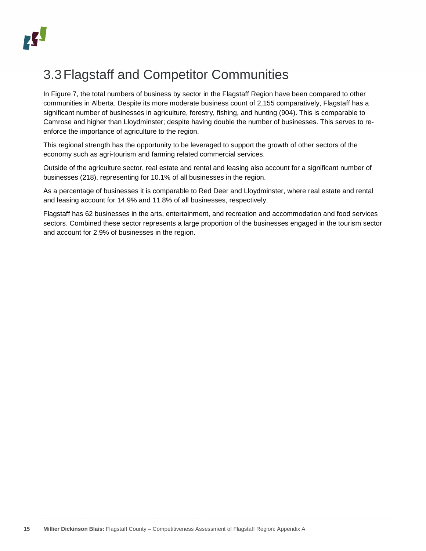

# 3.3Flagstaff and Competitor Communities

In [Figure 7,](#page-15-0) the total numbers of business by sector in the Flagstaff Region have been compared to other communities in Alberta. Despite its more moderate business count of 2,155 comparatively, Flagstaff has a significant number of businesses in agriculture, forestry, fishing, and hunting (904). This is comparable to Camrose and higher than Lloydminster; despite having double the number of businesses. This serves to reenforce the importance of agriculture to the region.

This regional strength has the opportunity to be leveraged to support the growth of other sectors of the economy such as agri-tourism and farming related commercial services.

Outside of the agriculture sector, real estate and rental and leasing also account for a significant number of businesses (218), representing for 10.1% of all businesses in the region.

As a percentage of businesses it is comparable to Red Deer and Lloydminster, where real estate and rental and leasing account for 14.9% and 11.8% of all businesses, respectively.

Flagstaff has 62 businesses in the arts, entertainment, and recreation and accommodation and food services sectors. Combined these sector represents a large proportion of the businesses engaged in the tourism sector and account for 2.9% of businesses in the region.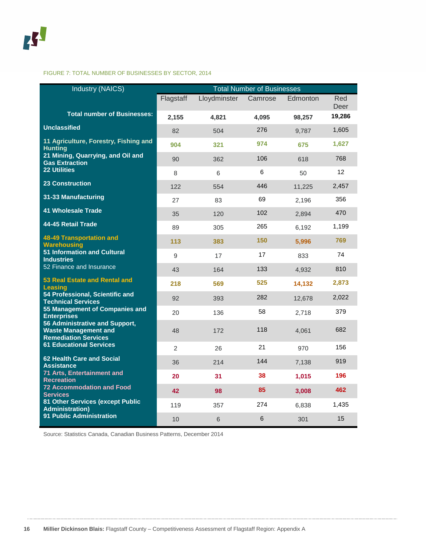#### <span id="page-15-0"></span>FIGURE 7: TOTAL NUMBER OF BUSINESSES BY SECTOR, 2014

| <b>Industry (NAICS)</b>                                                                      | <b>Total Number of Businesses</b> |                |         |          |                 |  |  |  |
|----------------------------------------------------------------------------------------------|-----------------------------------|----------------|---------|----------|-----------------|--|--|--|
|                                                                                              | Flagstaff                         | Lloydminster   | Camrose | Edmonton | Red<br>Deer     |  |  |  |
| <b>Total number of Businesses:</b>                                                           | 2.155                             | 4,821          | 4.095   | 98.257   | 19,286          |  |  |  |
| <b>Unclassified</b>                                                                          | 82                                | 504            | 276     | 9,787    | 1,605           |  |  |  |
| 11 Agriculture, Forestry, Fishing and<br><b>Hunting</b>                                      | 904                               | 321            | 974     | 675      | 1,627           |  |  |  |
| 21 Mining, Quarrying, and Oil and<br><b>Gas Extraction</b>                                   | 90                                | 362            | 106     | 618      | 768             |  |  |  |
| <b>22 Utilities</b>                                                                          | 8                                 | 6              | 6       | 50       | 12 <sup>2</sup> |  |  |  |
| <b>23 Construction</b>                                                                       | 122                               | 554            | 446     | 11,225   | 2,457           |  |  |  |
| 31-33 Manufacturing                                                                          | 27                                | 83             | 69      | 2,196    | 356             |  |  |  |
| <b>41 Wholesale Trade</b>                                                                    | 35                                | 120            | 102     | 2,894    | 470             |  |  |  |
| 44-45 Retail Trade                                                                           | 89                                | 305            | 265     | 6,192    | 1,199           |  |  |  |
| <b>48-49 Transportation and</b><br><b>Warehousing</b>                                        | 113                               | 383            | 150     | 5,996    | 769             |  |  |  |
| <b>51 Information and Cultural</b><br><b>Industries</b>                                      | 9                                 | 17             | 17      | 833      | 74              |  |  |  |
| 52 Finance and Insurance                                                                     | 43                                | 164            | 133     | 4,932    | 810             |  |  |  |
| 53 Real Estate and Rental and<br><b>Leasing</b>                                              | 218                               | 569            | 525     | 14,132   | 2,873           |  |  |  |
| 54 Professional, Scientific and<br><b>Technical Services</b>                                 | 92                                | 393            | 282     | 12,678   | 2,022           |  |  |  |
| 55 Management of Companies and<br><b>Enterprises</b>                                         | 20                                | 136            | 58      | 2,718    | 379             |  |  |  |
| 56 Administrative and Support,<br><b>Waste Management and</b><br><b>Remediation Services</b> | 48                                | 172            | 118     | 4,061    | 682             |  |  |  |
| <b>61 Educational Services</b>                                                               | $\overline{2}$                    | 26             | 21      | 970      | 156             |  |  |  |
| 62 Health Care and Social<br><b>Assistance</b>                                               | 36                                | 214            | 144     | 7,138    | 919             |  |  |  |
| 71 Arts, Entertainment and<br><b>Recreation</b>                                              | 20                                | 31             | 38      | 1,015    | 196             |  |  |  |
| <b>72 Accommodation and Food</b><br><b>Services</b>                                          | 42                                | 98             | 85      | 3,008    | 462             |  |  |  |
| 81 Other Services (except Public<br><b>Administration)</b>                                   | 119                               | 357            | 274     | 6,838    | 1,435           |  |  |  |
| <b>91 Public Administration</b>                                                              | 10                                | $6\phantom{1}$ | 6       | 301      | 15              |  |  |  |

Source: Statistics Canada, Canadian Business Patterns, December 2014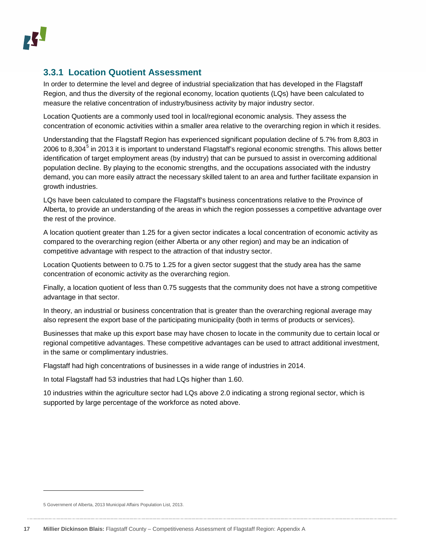#### <span id="page-16-0"></span>**3.3.1 Location Quotient Assessment**

In order to determine the level and degree of industrial specialization that has developed in the Flagstaff Region, and thus the diversity of the regional economy, location quotients (LQs) have been calculated to measure the relative concentration of industry/business activity by major industry sector.

Location Quotients are a commonly used tool in local/regional economic analysis. They assess the concentration of economic activities within a smaller area relative to the overarching region in which it resides.

Understanding that the Flagstaff Region has experienced significant population decline of 5.7% from 8,803 in 2006 to 8,304<sup>[5](#page-16-1)</sup> in 2013 it is important to understand Flagstaff's regional economic strengths. This allows better identification of target employment areas (by industry) that can be pursued to assist in overcoming additional population decline. By playing to the economic strengths, and the occupations associated with the industry demand, you can more easily attract the necessary skilled talent to an area and further facilitate expansion in growth industries.

LQs have been calculated to compare the Flagstaff's business concentrations relative to the Province of Alberta, to provide an understanding of the areas in which the region possesses a competitive advantage over the rest of the province.

A location quotient greater than 1.25 for a given sector indicates a local concentration of economic activity as compared to the overarching region (either Alberta or any other region) and may be an indication of competitive advantage with respect to the attraction of that industry sector.

Location Quotients between to 0.75 to 1.25 for a given sector suggest that the study area has the same concentration of economic activity as the overarching region.

Finally, a location quotient of less than 0.75 suggests that the community does not have a strong competitive advantage in that sector.

In theory, an industrial or business concentration that is greater than the overarching regional average may also represent the export base of the participating municipality (both in terms of products or services).

Businesses that make up this export base may have chosen to locate in the community due to certain local or regional competitive advantages. These competitive advantages can be used to attract additional investment, in the same or complimentary industries.

Flagstaff had high concentrations of businesses in a wide range of industries in 2014.

In total Flagstaff had 53 industries that had LQs higher than 1.60.

10 industries within the agriculture sector had LQs above 2.0 indicating a strong regional sector, which is supported by large percentage of the workforce as noted above.

j

<span id="page-16-1"></span><sup>5</sup> Government of Alberta, 2013 Municipal Affairs Population List, 2013.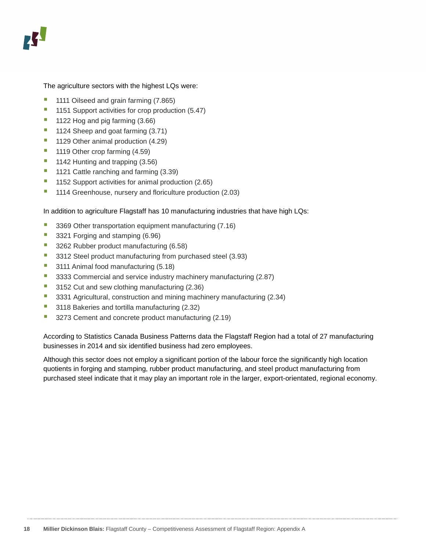The agriculture sectors with the highest LQs were:

- 1111 Oilseed and grain farming (7.865)
- 1151 Support activities for crop production (5.47)
- $\blacksquare$  1122 Hog and pig farming (3.66)
- 1124 Sheep and goat farming (3.71)
- 1129 Other animal production (4.29)
- 1119 Other crop farming (4.59)
- 1142 Hunting and trapping (3.56)
- 1121 Cattle ranching and farming (3.39)
- 1152 Support activities for animal production (2.65)
- <sup>1</sup> 1114 Greenhouse, nursery and floriculture production (2.03)

In addition to agriculture Flagstaff has 10 manufacturing industries that have high LQs:

- 3369 Other transportation equipment manufacturing (7.16)
- 3321 Forging and stamping (6.96)
- 3262 Rubber product manufacturing (6.58)
- 3312 Steel product manufacturing from purchased steel (3.93)
- 3111 Animal food manufacturing (5.18)
- 3333 Commercial and service industry machinery manufacturing (2.87)
- 3152 Cut and sew clothing manufacturing (2.36)
- <sup>3</sup> 3331 Agricultural, construction and mining machinery manufacturing (2.34)
- 3118 Bakeries and tortilla manufacturing (2.32)
- 3273 Cement and concrete product manufacturing (2.19)

According to Statistics Canada Business Patterns data the Flagstaff Region had a total of 27 manufacturing businesses in 2014 and six identified business had zero employees.

Although this sector does not employ a significant portion of the labour force the significantly high location quotients in forging and stamping, rubber product manufacturing, and steel product manufacturing from purchased steel indicate that it may play an important role in the larger, export-orientated, regional economy.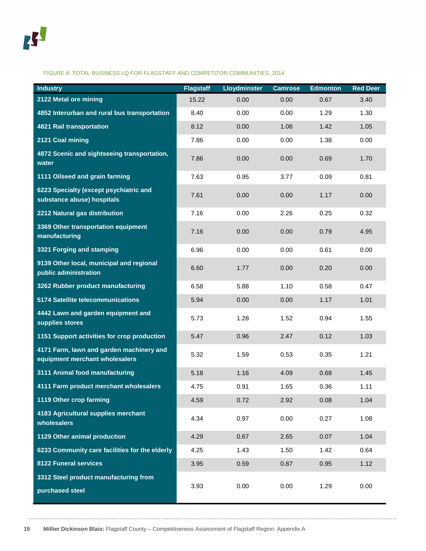#### FIGURE 8: TOTAL BUSINESS LQ FOR FLAGSTAFF AND COMPETITOR COMMUNITIES, 2014

| <b>Industry</b>                                                            | <b>Flagstaff</b> | <b>Lloydminster</b> | <b>Camrose</b> | <b>Edmonton</b> | <b>Red Deer</b> |
|----------------------------------------------------------------------------|------------------|---------------------|----------------|-----------------|-----------------|
| 2122 Metal ore mining                                                      | 15.22            | 0.00                | 0.00           | 0.67            | 3.40            |
| 4852 Interurban and rural bus transportation                               | 8.40             | 0.00                | 0.00           | 1.29            | 1.30            |
| <b>4821 Rail transportation</b>                                            | 8.12             | 0.00                | 1.06           | 1.42            | 1.05            |
| 2121 Coal mining                                                           | 7.86             | 0.00                | 0.00           | 1.38            | 0.00            |
| 4872 Scenic and sightseeing transportation,<br>water                       | 7.86             | 0.00                | 0.00           | 0.69            | 1.70            |
| 1111 Oilseed and grain farming                                             | 7.63             | 0.95                | 3.77           | 0.09            | 0.81            |
| 6223 Specialty (except psychiatric and<br>substance abuse) hospitals       | 7.61             | 0.00                | 0.00           | 1.17            | 0.00            |
| 2212 Natural gas distribution                                              | 7.16             | 0.00                | 2.26           | 0.25            | 0.32            |
| 3369 Other transportation equipment<br>manufacturing                       | 7.16             | 0.00                | 0.00           | 0.79            | 4.95            |
| 3321 Forging and stamping                                                  | 6.96             | 0.00                | 0.00           | 0.61            | 0.00            |
| 9139 Other local, municipal and regional<br>public administration          | 6.60             | 1.77                | 0.00           | 0.20            | 0.00            |
| 3262 Rubber product manufacturing                                          | 6.58             | 5.88                | 1.10           | 0.58            | 0.47            |
| 5174 Satellite telecommunications                                          | 5.94             | 0.00                | 0.00           | 1.17            | 1.01            |
| 4442 Lawn and garden equipment and<br>supplies stores                      | 5.73             | 1.28                | 1.52           | 0.94            | 1.55            |
| 1151 Support activities for crop production                                | 5.47             | 0.96                | 2.47           | 0.12            | 1.03            |
| 4171 Farm, lawn and garden machinery and<br>equipment merchant wholesalers | 5.32             | 1.59                | 0.53           | 0.35            | 1.21            |
| 3111 Animal food manufacturing                                             | 5.18             | 1.16                | 4.09           | 0.68            | 1.45            |
| 4111 Farm product merchant wholesalers                                     | 4.75             | 0.91                | 1.65           | 0.36            | 1.11            |
| 1119 Other crop farming                                                    | 4.59             | 0.72                | 2.92           | 0.08            | 1.04            |
| 4183 Agricultural supplies merchant<br>wholesalers                         | 4.34             | 0.97                | 0.00           | 0.27            | 1.08            |
| 1129 Other animal production                                               | 4.29             | 0.67                | 2.65           | 0.07            | 1.04            |
| 6233 Community care facilities for the elderly                             | 4.25             | 1.43                | 1.50           | 1.42            | 0.64            |
| 8122 Funeral services                                                      | 3.95             | 0.59                | 0.87           | 0.95            | 1.12            |
| 3312 Steel product manufacturing from<br>purchased steel                   | 3.93             | 0.00                | 0.00           | 1.29            | 0.00            |
|                                                                            |                  |                     |                |                 |                 |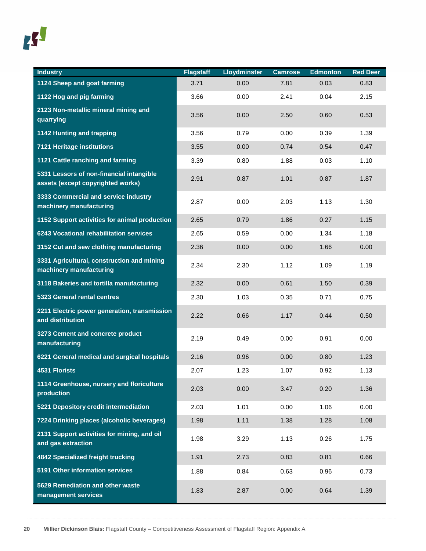

| <b>Industry</b>                                                               | <b>Flagstaff</b> | <b>Lloydminster</b> | <b>Camrose</b> | <b>Edmonton</b> | <b>Red Deer</b> |
|-------------------------------------------------------------------------------|------------------|---------------------|----------------|-----------------|-----------------|
| 1124 Sheep and goat farming                                                   | 3.71             | 0.00                | 7.81           | 0.03            | 0.83            |
| 1122 Hog and pig farming                                                      | 3.66             | 0.00                | 2.41           | 0.04            | 2.15            |
| 2123 Non-metallic mineral mining and<br>quarrying                             | 3.56             | 0.00                | 2.50           | 0.60            | 0.53            |
| 1142 Hunting and trapping                                                     | 3.56             | 0.79                | 0.00           | 0.39            | 1.39            |
| <b>7121 Heritage institutions</b>                                             | 3.55             | 0.00                | 0.74           | 0.54            | 0.47            |
| 1121 Cattle ranching and farming                                              | 3.39             | 0.80                | 1.88           | 0.03            | 1.10            |
| 5331 Lessors of non-financial intangible<br>assets (except copyrighted works) | 2.91             | 0.87                | 1.01           | 0.87            | 1.87            |
| 3333 Commercial and service industry<br>machinery manufacturing               | 2.87             | 0.00                | 2.03           | 1.13            | 1.30            |
| 1152 Support activities for animal production                                 | 2.65             | 0.79                | 1.86           | 0.27            | 1.15            |
| 6243 Vocational rehabilitation services                                       | 2.65             | 0.59                | 0.00           | 1.34            | 1.18            |
| 3152 Cut and sew clothing manufacturing                                       | 2.36             | 0.00                | 0.00           | 1.66            | 0.00            |
| 3331 Agricultural, construction and mining<br>machinery manufacturing         | 2.34             | 2.30                | 1.12           | 1.09            | 1.19            |
| 3118 Bakeries and tortilla manufacturing                                      | 2.32             | 0.00                | 0.61           | 1.50            | 0.39            |
| 5323 General rental centres                                                   | 2.30             | 1.03                | 0.35           | 0.71            | 0.75            |
| 2211 Electric power generation, transmission<br>and distribution              | 2.22             | 0.66                | 1.17           | 0.44            | 0.50            |
| 3273 Cement and concrete product<br>manufacturing                             | 2.19             | 0.49                | 0.00           | 0.91            | 0.00            |
| 6221 General medical and surgical hospitals                                   | 2.16             | 0.96                | 0.00           | 0.80            | 1.23            |
| <b>4531 Florists</b>                                                          | 2.07             | 1.23                | 1.07           | 0.92            | 1.13            |
| 1114 Greenhouse, nursery and floriculture<br>production                       | 2.03             | 0.00                | 3.47           | 0.20            | 1.36            |
| 5221 Depository credit intermediation                                         | 2.03             | 1.01                | 0.00           | 1.06            | 0.00            |
| 7224 Drinking places (alcoholic beverages)                                    | 1.98             | 1.11                | 1.38           | 1.28            | 1.08            |
| 2131 Support activities for mining, and oil<br>and gas extraction             | 1.98             | 3.29                | 1.13           | 0.26            | 1.75            |
| <b>4842 Specialized freight trucking</b>                                      | 1.91             | 2.73                | 0.83           | 0.81            | 0.66            |
| 5191 Other information services                                               | 1.88             | 0.84                | 0.63           | 0.96            | 0.73            |
| 5629 Remediation and other waste<br>management services                       | 1.83             | 2.87                | 0.00           | 0.64            | 1.39            |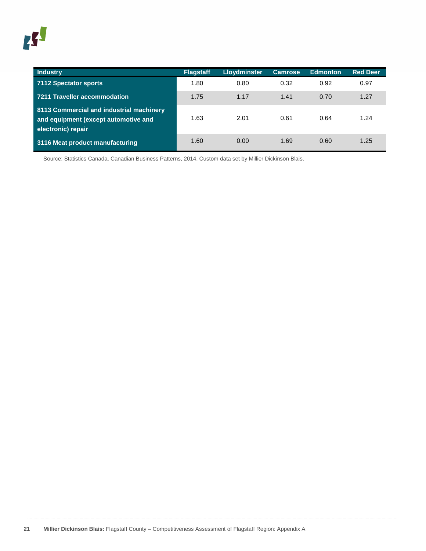

| <b>Industry</b>                                                                                        | <b>Flagstaff</b> | <b>Lloydminster</b> | <b>Camrose</b> | <b>Edmonton</b> | <b>Red Deer</b> |
|--------------------------------------------------------------------------------------------------------|------------------|---------------------|----------------|-----------------|-----------------|
| 7112 Spectator sports                                                                                  | 1.80             | 0.80                | 0.32           | 0.92            | 0.97            |
| 7211 Traveller accommodation                                                                           | 1.75             | 1.17                | 1.41           | 0.70            | 1.27            |
| 8113 Commercial and industrial machinery<br>and equipment (except automotive and<br>electronic) repair | 1.63             | 2.01                | 0.61           | 0.64            | 1.24            |
| 3116 Meat product manufacturing                                                                        | 1.60             | 0.00                | 1.69           | 0.60            | 1.25            |

Source: Statistics Canada, Canadian Business Patterns, 2014. Custom data set by Millier Dickinson Blais.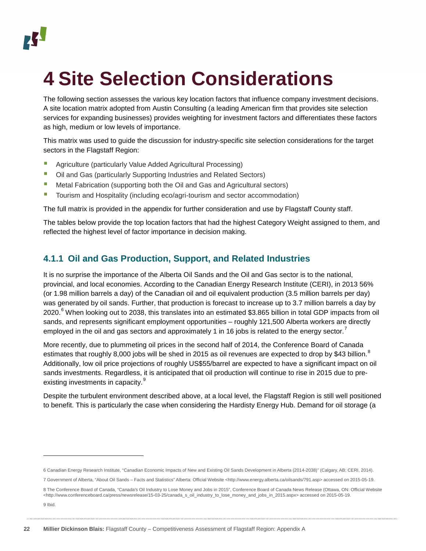# <span id="page-21-0"></span>**4 Site Selection Considerations**

The following section assesses the various key location factors that influence company investment decisions. A site location matrix adopted from Austin Consulting (a leading American firm that provides site selection services for expanding businesses) provides weighting for investment factors and differentiates these factors as high, medium or low levels of importance.

This matrix was used to guide the discussion for industry-specific site selection considerations for the target sectors in the Flagstaff Region:

- **Agriculture (particularly Value Added Agricultural Processing)**
- Oil and Gas (particularly Supporting Industries and Related Sectors)
- Metal Fabrication (supporting both the Oil and Gas and Agricultural sectors)
- **T** Tourism and Hospitality (including eco/agri-tourism and sector accommodation)

The full matrix is provided in the appendix for further consideration and use by Flagstaff County staff.

The tables below provide the top location factors that had the highest Category Weight assigned to them, and reflected the highest level of factor importance in decision making.

#### <span id="page-21-1"></span>**4.1.1 Oil and Gas Production, Support, and Related Industries**

It is no surprise the importance of the Alberta Oil Sands and the Oil and Gas sector is to the national, provincial, and local economies. According to the Canadian Energy Research Institute (CERI), in 2013 56% (or 1.98 million barrels a day) of the Canadian oil and oil equivalent production (3.5 million barrels per day) was generated by oil sands. Further, that production is forecast to increase up to 3.7 million barrels a day by 2020.<sup>[6](#page-21-2)</sup> When looking out to 2038, this translates into an estimated \$3.865 billion in total GDP impacts from oil sands, and represents significant employment opportunities – roughly 121,500 Alberta workers are directly employed in the oil and gas sectors and approximately 1 in 16 jobs is related to the energy sector.<sup>[7](#page-21-3)</sup>

More recently, due to plummeting oil prices in the second half of 2014, the Conference Board of Canada estimates that roughly [8](#page-21-4),000 jobs will be shed in 2015 as oil revenues are expected to drop by \$43 billion.<sup>8</sup> Additionally, low oil price projections of roughly US\$55/barrel are expected to have a significant impact on oil sands investments. Regardless, it is anticipated that oil production will continue to rise in 2015 due to pre-existing investments in capacity.<sup>[9](#page-21-5)</sup>

Despite the turbulent environment described above, at a local level, the Flagstaff Region is still well positioned to benefit. This is particularly the case when considering the Hardisty Energy Hub. Demand for oil storage (a

<span id="page-21-5"></span>9 Ibid.

j

<span id="page-21-2"></span><sup>6</sup> Canadian Energy Research Institute, "Canadian Economic Impacts of New and Existing Oil Sands Development in Alberta (2014-2038)" (Calgary, AB: CERI, 2014).

<span id="page-21-3"></span><sup>7</sup> Government of Alberta, "About Oil Sands – Facts and Statistics" Alberta: Official Website [<http://www.energy.alberta.ca/oilsands/791.asp>](http://www.energy.alberta.ca/oilsands/791.asp) accessed on 2015-05-19.

<span id="page-21-4"></span><sup>8</sup> The Conference Board of Canada, "Canada's Oil Industry to Lose Money and Jobs in 2015", Conference Board of Canada News Release (Ottawa, ON: Official Website [<http://www.conferenceboard.ca/press/newsrelease/15-03-25/canada\\_s\\_oil\\_industry\\_to\\_lose\\_money\\_and\\_jobs\\_in\\_2015.aspx>](http://www.conferenceboard.ca/press/newsrelease/15-03-25/canada_s_oil_industry_to_lose_money_and_jobs_in_2015.aspx) accessed on 2015-05-19.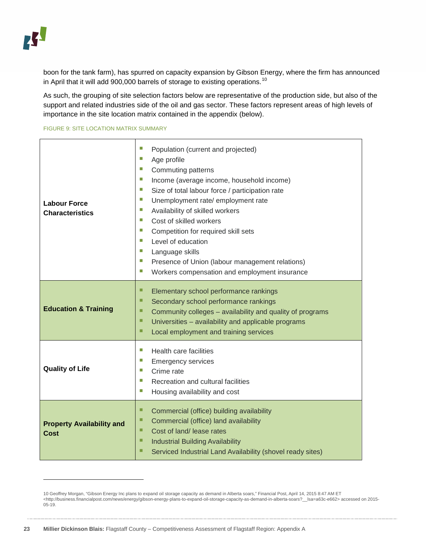-

boon for the tank farm), has spurred on capacity expansion by Gibson Energy, where the firm has announced in April that it will add 900,000 barrels of storage to existing operations.<sup>[10](#page-22-0)</sup>

As such, the grouping of site selection factors below are representative of the production side, but also of the support and related industries side of the oil and gas sector. These factors represent areas of high levels of importance in the site location matrix contained in the appendix [\(below\)](#page-59-0).

#### FIGURE 9: SITE LOCATION MATRIX SUMMARY

| <b>Labour Force</b><br><b>Characteristics</b>   | П<br>Population (current and projected)<br>ш<br>Age profile<br>T.<br>Commuting patterns<br>П<br>Income (average income, household income)<br>T.<br>Size of total labour force / participation rate<br>П<br>Unemployment rate/ employment rate<br>П<br>Availability of skilled workers<br>П<br>Cost of skilled workers<br>П<br>Competition for required skill sets<br>T.<br>Level of education<br>П<br>Language skills<br>T.<br>Presence of Union (labour management relations)<br>T.<br>Workers compensation and employment insurance |
|-------------------------------------------------|---------------------------------------------------------------------------------------------------------------------------------------------------------------------------------------------------------------------------------------------------------------------------------------------------------------------------------------------------------------------------------------------------------------------------------------------------------------------------------------------------------------------------------------|
| <b>Education &amp; Training</b>                 | □<br>Elementary school performance rankings<br>□<br>Secondary school performance rankings<br>□<br>Community colleges – availability and quality of programs<br>■<br>Universities - availability and applicable programs<br>■<br>Local employment and training services                                                                                                                                                                                                                                                                |
| <b>Quality of Life</b>                          | ш<br>Health care facilities<br>T.<br><b>Emergency services</b><br>Crime rate<br>П<br>T.<br>Recreation and cultural facilities<br>T.<br>Housing availability and cost                                                                                                                                                                                                                                                                                                                                                                  |
| <b>Property Availability and</b><br><b>Cost</b> | □<br>Commercial (office) building availability<br>■<br>Commercial (office) land availability<br>□<br>Cost of land/ lease rates<br>□<br><b>Industrial Building Availability</b><br>□<br>Serviced Industrial Land Availability (shovel ready sites)                                                                                                                                                                                                                                                                                     |

<span id="page-22-0"></span><sup>10</sup> Geoffrey Morgan, "Gibson Energy Inc plans to expand oil storage capacity as demand in Alberta soars," Financial Post, April 14, 2015 8:47 AM ET [<http://business.financialpost.com/news/energy/gibson-energy-plans-to-expand-oil-storage-capacity-as-demand-in-alberta-soars?\\_\\_lsa=a63c-e662>](http://business.financialpost.com/news/energy/gibson-energy-plans-to-expand-oil-storage-capacity-as-demand-in-alberta-soars?__lsa=a63c-e662) accessed on 2015- 05-19.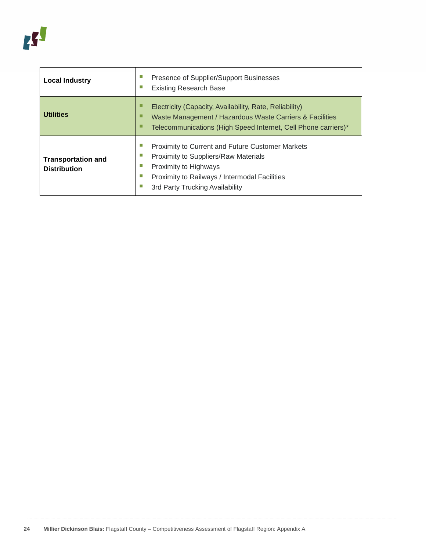<span id="page-23-0"></span>

| <b>Local Industry</b>                            | Presence of Supplier/Support Businesses<br><b>Existing Research Base</b>                                                                                                                                                              |  |  |  |  |
|--------------------------------------------------|---------------------------------------------------------------------------------------------------------------------------------------------------------------------------------------------------------------------------------------|--|--|--|--|
| <b>Utilities</b>                                 | ⊔<br>Electricity (Capacity, Availability, Rate, Reliability)<br>□<br>Waste Management / Hazardous Waste Carriers & Facilities<br>□<br>Telecommunications (High Speed Internet, Cell Phone carriers)*                                  |  |  |  |  |
| <b>Transportation and</b><br><b>Distribution</b> | ш<br><b>Proximity to Current and Future Customer Markets</b><br>П<br>Proximity to Suppliers/Raw Materials<br>П<br>Proximity to Highways<br>П<br>Proximity to Railways / Intermodal Facilities<br>П<br>3rd Party Trucking Availability |  |  |  |  |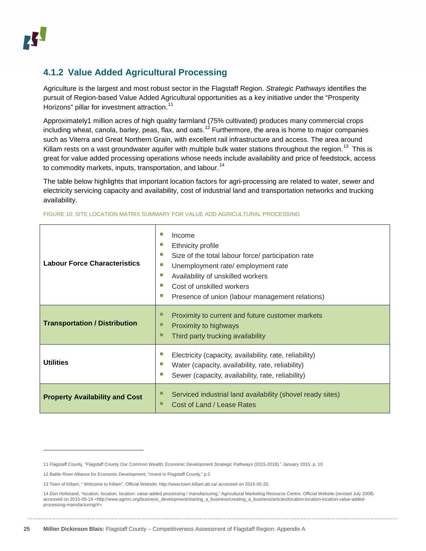### **4.1.2 Value Added Agricultural Processing**

Agriculture is the largest and most robust sector in the Flagstaff Region. *Strategic Pathways* identifies the pursuit of Region-based Value Added Agricultural opportunities as a key initiative under the "Prosperity Horizons" pillar for investment attraction.<sup>[11](#page-24-1)</sup>

Approximately1 million acres of high quality farmland (75% cultivated) produces many commercial crops including wheat, canola, barley, peas, flax, and oats.<sup>[12](#page-24-2)</sup> Furthermore, the area is home to major companies such as Viterra and Great Northern Grain, with excellent rail infrastructure and access. The area around Killam rests on a vast groundwater aquifer with multiple bulk water stations throughout the region.<sup>13</sup> This is great for value added processing operations whose needs include availability and price of feedstock, access to commodity markets, inputs, transportation, and labour.<sup>[14](#page-24-4)</sup>

The table below highlights that important location factors for agri-processing are related to water, sewer and electricity servicing capacity and availability, cost of industrial land and transportation networks and trucking availability.

| <b>Labour Force Characteristics</b>   | Income<br>ш<br>Ethnicity profile<br>ш<br>Size of the total labour force/ participation rate<br>ш<br>Unemployment rate/employment rate<br>ш<br>Availability of unskilled workers<br>Cost of unskilled workers<br>ш<br>Presence of union (labour management relations)<br>ш |
|---------------------------------------|---------------------------------------------------------------------------------------------------------------------------------------------------------------------------------------------------------------------------------------------------------------------------|
| <b>Transportation / Distribution</b>  | Proximity to current and future customer markets<br>ш<br>Proximity to highways<br>ш<br>Third party trucking availability                                                                                                                                                  |
| <b>Utilities</b>                      | Electricity (capacity, availability, rate, reliability)<br>Water (capacity, availability, rate, reliability)<br>ш<br>Sewer (capacity, availability, rate, reliability)                                                                                                    |
| <b>Property Availability and Cost</b> | Serviced industrial land availability (shovel ready sites)<br>Cost of Land / Lease Rates                                                                                                                                                                                  |

#### FIGURE 10: SITE LOCATION MATRIX SUMMARY FOR VALUE ADD AGRICULTURAL PROCESSING

<span id="page-24-0"></span>-

<span id="page-24-1"></span><sup>11</sup> Flagstaff County, "Flagstaff County Our Common Wealth: Economic Development Strategic Pathways (2015-2018)," January 2015, p. 10

<span id="page-24-2"></span><sup>12</sup> Battle River Alliance for Economic Development, "Invest in Flagstaff County," p.2

<span id="page-24-3"></span><sup>13</sup> Town of Killam, " Welcome to Killam", Official Website[: http://www.town.killam.ab.ca/](http://www.town.killam.ab.ca/) accessed on 2015-05-20.

<span id="page-24-4"></span><sup>14</sup> Don Hofstrand, "location, location, location: value-added processing / manufacturing," Agricultural Marketing Resource Centre, Official Website (revised July 2008) accessed on 2015-05-19 [<http://www.agmrc.org/business\\_development/starting\\_a\\_business/creating\\_a\\_business/articles/location-location-location-value-added](http://www.agmrc.org/business_development/starting_a_business/creating_a_business/articles/location-location-location-value-added-processing-manufacturing/)[processing-manufacturing/#>](http://www.agmrc.org/business_development/starting_a_business/creating_a_business/articles/location-location-location-value-added-processing-manufacturing/).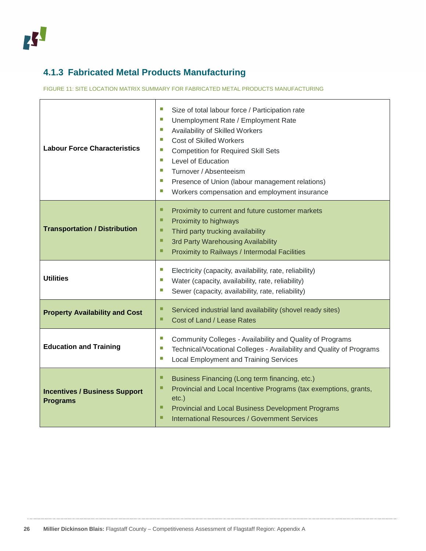## **4.1.3 Fabricated Metal Products Manufacturing**

FIGURE 11: SITE LOCATION MATRIX SUMMARY FOR FABRICATED METAL PRODUCTS MANUFACTURING

<span id="page-25-0"></span>

| <b>Labour Force Characteristics</b>                     | T.<br>Size of total labour force / Participation rate<br>Unemployment Rate / Employment Rate<br>T.<br>T.<br>Availability of Skilled Workers<br>T.<br><b>Cost of Skilled Workers</b><br>T.<br><b>Competition for Required Skill Sets</b><br>Level of Education<br>ш<br>T.<br>Turnover / Absenteeism<br>T.<br>Presence of Union (labour management relations)<br>T.<br>Workers compensation and employment insurance |
|---------------------------------------------------------|--------------------------------------------------------------------------------------------------------------------------------------------------------------------------------------------------------------------------------------------------------------------------------------------------------------------------------------------------------------------------------------------------------------------|
| <b>Transportation / Distribution</b>                    | ■<br>Proximity to current and future customer markets<br>□<br>Proximity to highways<br>■<br>Third party trucking availability<br>■<br>3rd Party Warehousing Availability<br>■<br>Proximity to Railways / Intermodal Facilities                                                                                                                                                                                     |
| <b>Utilities</b>                                        | T.<br>Electricity (capacity, availability, rate, reliability)<br>T.<br>Water (capacity, availability, rate, reliability)<br>T.<br>Sewer (capacity, availability, rate, reliability)                                                                                                                                                                                                                                |
| <b>Property Availability and Cost</b>                   | ■<br>Serviced industrial land availability (shovel ready sites)<br>■<br>Cost of Land / Lease Rates                                                                                                                                                                                                                                                                                                                 |
| <b>Education and Training</b>                           | T.<br>Community Colleges - Availability and Quality of Programs<br>T.<br>Technical/Vocational Colleges - Availability and Quality of Programs<br>×.<br><b>Local Employment and Training Services</b>                                                                                                                                                                                                               |
| <b>Incentives / Business Support</b><br><b>Programs</b> | ■<br>Business Financing (Long term financing, etc.)<br>□<br>Provincial and Local Incentive Programs (tax exemptions, grants,<br>$etc.$ )<br>□<br>Provincial and Local Business Development Programs<br>□<br><b>International Resources / Government Services</b>                                                                                                                                                   |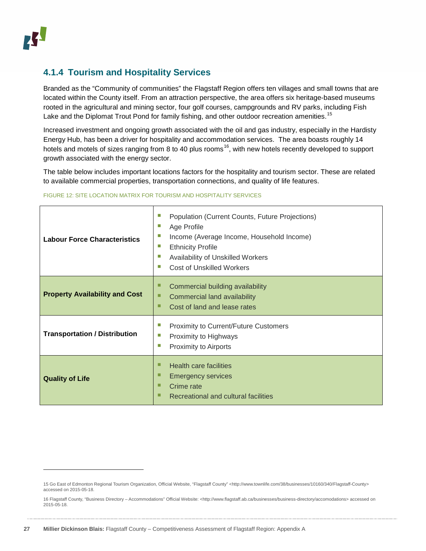#### **4.1.4 Tourism and Hospitality Services**

Branded as the "Community of communities" the Flagstaff Region offers ten villages and small towns that are located within the County itself. From an attraction perspective, the area offers six heritage-based museums rooted in the agricultural and mining sector, four golf courses, campgrounds and RV parks, including Fish Lake and the Diplomat Trout Pond for family fishing, and other outdoor recreation amenities.<sup>[15](#page-26-0)</sup>

Increased investment and ongoing growth associated with the oil and gas industry, especially in the Hardisty Energy Hub, has been a driver for hospitality and accommodation services. The area boasts roughly 14 hotels and motels of sizes ranging from 8 to 40 plus rooms<sup>[16](#page-26-1)</sup>, with new hotels recently developed to support growth associated with the energy sector.

The table below includes important locations factors for the hospitality and tourism sector. These are related to available commercial properties, transportation connections, and quality of life features.

| <b>Labour Force Characteristics</b>   | ш<br>Population (Current Counts, Future Projections)<br>ш<br>Age Profile<br>П<br>Income (Average Income, Household Income)<br>ш<br><b>Ethnicity Profile</b><br>ш<br>Availability of Unskilled Workers<br>ш<br><b>Cost of Unskilled Workers</b> |
|---------------------------------------|------------------------------------------------------------------------------------------------------------------------------------------------------------------------------------------------------------------------------------------------|
| <b>Property Availability and Cost</b> | ш<br>Commercial building availability<br>ш<br>Commercial land availability<br>Cost of land and lease rates<br>П                                                                                                                                |
| <b>Transportation / Distribution</b>  | П<br><b>Proximity to Current/Future Customers</b><br>ш<br>Proximity to Highways<br>ш<br>Proximity to Airports                                                                                                                                  |
| <b>Quality of Life</b>                | □<br><b>Health care facilities</b><br>ш<br><b>Emergency services</b><br>П<br>Crime rate<br>Recreational and cultural facilities                                                                                                                |

#### FIGURE 12: SITE LOCATION MATRIX FOR TOURISM AND HOSPITALITY SERVICES

<span id="page-26-0"></span><sup>15</sup> Go East of Edmonton Regional Tourism Organization, Official Website, "Flagstaff County" [<http://www.townlife.com/38/businesses/10160/340/Flagstaff-County>](http://www.townlife.com/38/businesses/10160/340/Flagstaff-County) accessed on 2015-05-18.

<span id="page-26-1"></span><sup>16</sup> Flagstaff County, "Business Directory – Accommodations" Official Website: [<http://www.flagstaff.ab.ca/businesses/business-directory/accomodations>](http://www.flagstaff.ab.ca/businesses/business-directory/accomodations) accessed on 2015-05-18.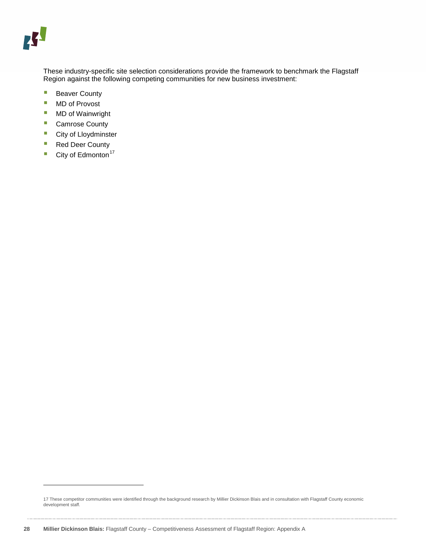These industry-specific site selection considerations provide the framework to benchmark the Flagstaff Region against the following competing communities for new business investment:

- **Beaver County**
- MD of Provost
- **MD** of Wainwright
- Camrose County
- **City of Lloydminster**
- Red Deer County
- $\blacksquare$  City of Edmonton<sup>[17](#page-27-0)</sup>

<span id="page-27-0"></span><sup>17</sup> These competitor communities were identified through the background research by Millier Dickinson Blais and in consultation with Flagstaff County economic development staff.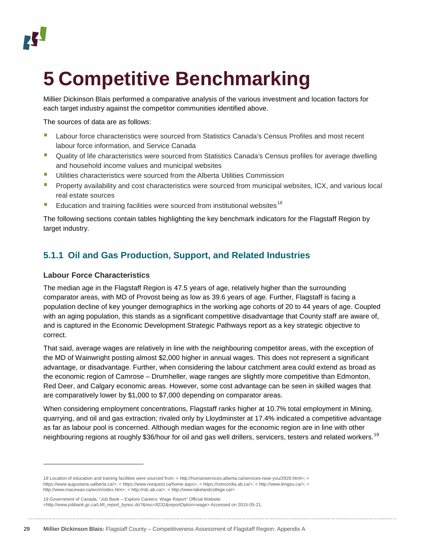# <span id="page-28-0"></span>**5 Competitive Benchmarking**

Millier Dickinson Blais performed a comparative analysis of the various investment and location factors for each target industry against the competitor communities identified above.

The sources of data are as follows:

- **Labour force characteristics were sourced from Statistics Canada's Census Profiles and most recent** labour force information, and Service Canada
- **Quality of life characteristics were sourced from Statistics Canada's Census profiles for average dwelling** and household income values and municipal websites
- **Utilities characteristics were sourced from the Alberta Utilities Commission**
- **Property availability and cost characteristics were sourced from municipal websites, ICX, and various local** real estate sources
- Education and training facilities were sourced from institutional websites<sup>[18](#page-28-2)</sup>

The following sections contain tables highlighting the key benchmark indicators for the Flagstaff Region by target industry.

#### <span id="page-28-1"></span>**5.1.1 Oil and Gas Production, Support, and Related Industries**

#### **Labour Force Characteristics**

j

The median age in the Flagstaff Region is 47.5 years of age, relatively higher than the surrounding comparator areas, with MD of Provost being as low as 39.6 years of age. Further, Flagstaff is facing a population decline of key younger demographics in the working age cohorts of 20 to 44 years of age. Coupled with an aging population, this stands as a significant competitive disadvantage that County staff are aware of, and is captured in the Economic Development Strategic Pathways report as a key strategic objective to correct.

That said, average wages are relatively in line with the neighbouring competitor areas, with the exception of the MD of Wainwright posting almost \$2,000 higher in annual wages. This does not represent a significant advantage, or disadvantage. Further, when considering the labour catchment area could extend as broad as the economic region of Camrose – Drumheller, wage ranges are slightly more competitive than Edmonton, Red Deer, and Calgary economic areas. However, some cost advantage can be seen in skilled wages that are comparatively lower by \$1,000 to \$7,000 depending on comparator areas.

When considering employment concentrations, Flagstaff ranks higher at 10.7% total employment in Mining, quarrying, and oil and gas extraction; rivaled only by Lloydminster at 17.4% indicated a competitive advantage as far as labour pool is concerned. Although median wages for the economic region are in line with other neighbouring regions at roughly \$36/hour for oil and gas well drillers, servicers, testers and related workers.<sup>[19](#page-28-3)</sup>

<span id="page-28-2"></span><sup>18</sup> Location of education and training facilities were sourced from: < http://humanservices.alberta.ca/services-near-you/2929.html>; < https://www.augustana.ualberta.ca/>; < https://www.norquest.ca/home.aspx>; < https://concordia.ab.ca/>; < http://www.kingsu.ca/>; < http://www.macewan.ca/wcm/index.htm>; < http://rdc.ab.ca/>; < http://www.lakelandcollege.ca/>

<span id="page-28-3"></span><sup>19</sup> Government of Canada, "Job Bank – Explore Careers: Wage Report" Official Website: [<http://www.jobbank.gc.ca/LMI\\_report\\_bynoc.do?&noc=8232&reportOption=wage>](http://www.jobbank.gc.ca/LMI_report_bynoc.do?&noc=8232&reportOption=wage) Accessed on 2015-05-21.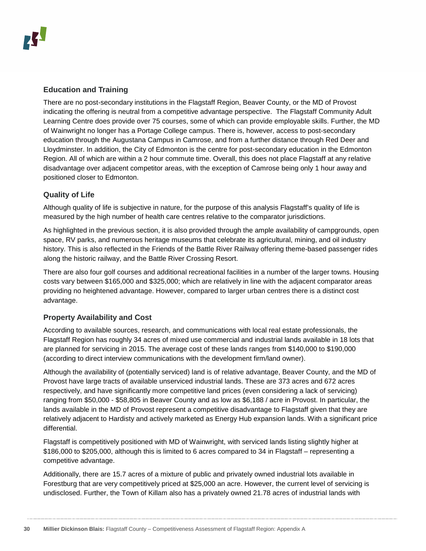#### **Education and Training**

There are no post-secondary institutions in the Flagstaff Region, Beaver County, or the MD of Provost indicating the offering is neutral from a competitive advantage perspective. The Flagstaff Community Adult Learning Centre does provide over 75 courses, some of which can provide employable skills. Further, the MD of Wainwright no longer has a Portage College campus. There is, however, access to post-secondary education through the Augustana Campus in Camrose, and from a further distance through Red Deer and Lloydminster. In addition, the City of Edmonton is the centre for post-secondary education in the Edmonton Region. All of which are within a 2 hour commute time. Overall, this does not place Flagstaff at any relative disadvantage over adjacent competitor areas, with the exception of Camrose being only 1 hour away and positioned closer to Edmonton.

#### **Quality of Life**

Although quality of life is subjective in nature, for the purpose of this analysis Flagstaff's quality of life is measured by the high number of health care centres relative to the comparator jurisdictions.

As highlighted in the previous section, it is also provided through the ample availability of campgrounds, open space, RV parks, and numerous heritage museums that celebrate its agricultural, mining, and oil industry history. This is also reflected in the Friends of the Battle River Railway offering theme-based passenger rides along the historic railway, and the Battle River Crossing Resort.

There are also four golf courses and additional recreational facilities in a number of the larger towns. Housing costs vary between \$165,000 and \$325,000; which are relatively in line with the adjacent comparator areas providing no heightened advantage. However, compared to larger urban centres there is a distinct cost advantage.

#### **Property Availability and Cost**

According to available sources, research, and communications with local real estate professionals, the Flagstaff Region has roughly 34 acres of mixed use commercial and industrial lands available in 18 lots that are planned for servicing in 2015. The average cost of these lands ranges from \$140,000 to \$190,000 (according to direct interview communications with the development firm/land owner).

Although the availability of (potentially serviced) land is of relative advantage, Beaver County, and the MD of Provost have large tracts of available unserviced industrial lands. These are 373 acres and 672 acres respectively, and have significantly more competitive land prices (even considering a lack of servicing) ranging from \$50,000 - \$58,805 in Beaver County and as low as \$6,188 / acre in Provost. In particular, the lands available in the MD of Provost represent a competitive disadvantage to Flagstaff given that they are relatively adjacent to Hardisty and actively marketed as Energy Hub expansion lands. With a significant price differential.

Flagstaff is competitively positioned with MD of Wainwright, with serviced lands listing slightly higher at \$186,000 to \$205,000, although this is limited to 6 acres compared to 34 in Flagstaff – representing a competitive advantage.

Additionally, there are 15.7 acres of a mixture of public and privately owned industrial lots available in Forestburg that are very competitively priced at \$25,000 an acre. However, the current level of servicing is undisclosed. Further, the Town of Killam also has a privately owned 21.78 acres of industrial lands with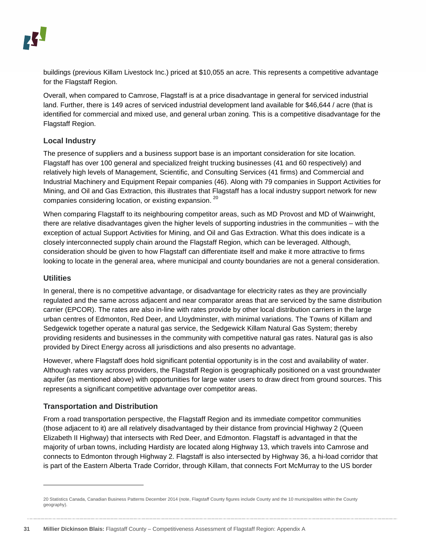buildings (previous Killam Livestock Inc.) priced at \$10,055 an acre. This represents a competitive advantage for the Flagstaff Region.

Overall, when compared to Camrose, Flagstaff is at a price disadvantage in general for serviced industrial land. Further, there is 149 acres of serviced industrial development land available for \$46,644 / acre (that is identified for commercial and mixed use, and general urban zoning. This is a competitive disadvantage for the Flagstaff Region.

#### **Local Industry**

The presence of suppliers and a business support base is an important consideration for site location. Flagstaff has over 100 general and specialized freight trucking businesses (41 and 60 respectively) and relatively high levels of Management, Scientific, and Consulting Services (41 firms) and Commercial and Industrial Machinery and Equipment Repair companies (46). Along with 79 companies in Support Activities for Mining, and Oil and Gas Extraction, this illustrates that Flagstaff has a local industry support network for new companies considering location, or existing expansion. [20](#page-30-0) 

When comparing Flagstaff to its neighbouring competitor areas, such as MD Provost and MD of Wainwright, there are relative disadvantages given the higher levels of supporting industries in the communities – with the exception of actual Support Activities for Mining, and Oil and Gas Extraction. What this does indicate is a closely interconnected supply chain around the Flagstaff Region, which can be leveraged. Although, consideration should be given to how Flagstaff can differentiate itself and make it more attractive to firms looking to locate in the general area, where municipal and county boundaries are not a general consideration.

#### **Utilities**

j

In general, there is no competitive advantage, or disadvantage for electricity rates as they are provincially regulated and the same across adjacent and near comparator areas that are serviced by the same distribution carrier (EPCOR). The rates are also in-line with rates provide by other local distribution carriers in the large urban centres of Edmonton, Red Deer, and Lloydminster, with minimal variations. The Towns of Killam and Sedgewick together operate a natural gas service, the Sedgewick Killam Natural Gas System; thereby providing residents and businesses in the community with competitive natural gas rates. Natural gas is also provided by Direct Energy across all jurisdictions and also presents no advantage.

However, where Flagstaff does hold significant potential opportunity is in the cost and availability of water. Although rates vary across providers, the Flagstaff Region is geographically positioned on a vast groundwater aquifer (as mentioned above) with opportunities for large water users to draw direct from ground sources. This represents a significant competitive advantage over competitor areas.

#### **Transportation and Distribution**

From a road transportation perspective, the Flagstaff Region and its immediate competitor communities (those adjacent to it) are all relatively disadvantaged by their distance from provincial Highway 2 (Queen Elizabeth II Highway) that intersects with Red Deer, and Edmonton. Flagstaff is advantaged in that the majority of urban towns, including Hardisty are located along Highway 13, which travels into Camrose and connects to Edmonton through Highway 2. Flagstaff is also intersected by Highway 36, a hi-load corridor that is part of the Eastern Alberta Trade Corridor, through Killam, that connects Fort McMurray to the US border

<span id="page-30-0"></span><sup>20</sup> Statistics Canada, Canadian Business Patterns December 2014 (note, Flagstaff County figures include County and the 10 municipalities within the County geography).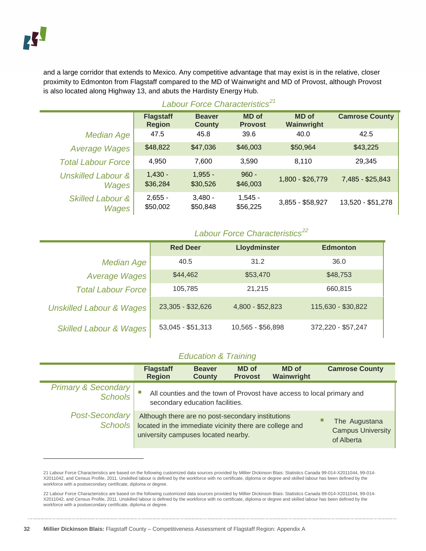-

and a large corridor that extends to Mexico. Any competitive advantage that may exist is in the relative, closer proximity to Edmonton from Flagstaff compared to the MD of Wainwright and MD of Provost, although Provost is also located along Highway 13, and abuts the Hardisty Energy Hub.

|                                        | <b>Flagstaff</b><br><b>Region</b> | <b>Beaver</b><br><b>County</b> | <b>MD</b> of<br><b>Provost</b> | <b>MD</b> of<br>Wainwright | <b>Camrose County</b> |  |
|----------------------------------------|-----------------------------------|--------------------------------|--------------------------------|----------------------------|-----------------------|--|
| <b>Median Age</b>                      | 47.5                              | 45.8                           | 39.6                           | 40.0                       | 42.5                  |  |
| <b>Average Wages</b>                   | \$48,822                          | \$47,036                       | \$46,003                       | \$50,964                   | \$43,225              |  |
| <b>Total Labour Force</b>              | 4,950                             | 7,600                          | 3.590                          | 8,110                      | 29,345                |  |
| <b>Unskilled Labour &amp;</b><br>Wages | $1,430 -$<br>\$36,284             | $1.955 -$<br>\$30,526          | $960 -$<br>\$46,003            | 1,800 - \$26,779           | 7,485 - \$25,843      |  |
| <b>Skilled Labour &amp;</b><br>Wages   | $2,655 -$<br>\$50,002             | $3.480 -$<br>\$50,848          | $1,545 -$<br>\$56,225          | 3,855 - \$58,927           | 13,520 - \$51,278     |  |

#### *Labour Force Characteristics[21](#page-31-0)*

#### *Labour Force Characteristics[22](#page-31-1)*

|                                     | <b>Red Deer</b>   | Lloydminster      | <b>Edmonton</b>    |
|-------------------------------------|-------------------|-------------------|--------------------|
| <b>Median Age</b>                   | 40.5              | 31.2              | 36.0               |
| <b>Average Wages</b>                | \$44,462          | \$53,470          | \$48,753           |
| <b>Total Labour Force</b>           | 105,785           | 21,215            | 660,815            |
| <b>Unskilled Labour &amp; Wages</b> | 23,305 - \$32,626 | 4,800 - \$52,823  | 115,630 - \$30,822 |
| <b>Skilled Labour &amp; Wages</b>   | 53,045 - \$51,313 | 10,565 - \$56,898 | 372,220 - \$57,247 |

#### *Education & Training*

|                                           | <b>Flagstaff</b><br><b>Region</b>                                                                                                                   | <b>Beaver</b><br><b>County</b>  | <b>MD</b> of<br><b>Provost</b> | <b>MD</b> of<br>Wainwright                                            | <b>Camrose County</b>                                   |
|-------------------------------------------|-----------------------------------------------------------------------------------------------------------------------------------------------------|---------------------------------|--------------------------------|-----------------------------------------------------------------------|---------------------------------------------------------|
| <b>Primary &amp; Secondary</b><br>Schools |                                                                                                                                                     | secondary education facilities. |                                | All counties and the town of Provost have access to local primary and |                                                         |
| <b>Post-Secondary</b><br>Schools          | Although there are no post-secondary institutions<br>located in the immediate vicinity there are college and<br>university campuses located nearby. |                                 |                                |                                                                       | The Augustana<br><b>Campus University</b><br>of Alberta |

<span id="page-31-0"></span><sup>21</sup> Labour Force Characteristics are based on the following customized data sources provided by Millier Dickinson Blais: Statistics Canada 99-014-X2011044, 99-014- X2011042, and Census Profile, 2011. Unskilled labour is defined by the workforce with no certificate, diploma or degree and skilled labour has been defined by the workforce with a postsecondary certificate, diploma or degree.

<span id="page-31-1"></span><sup>22</sup> Labour Force Characteristics are based on the following customized data sources provided by Millier Dickinson Blais: Statistics Canada 99-014-X2011044, 99-014- X2011042, and Census Profile, 2011. Unskilled labour is defined by the workforce with no certificate, diploma or degree and skilled labour has been defined by the workforce with a postsecondary certificate, diploma or degree.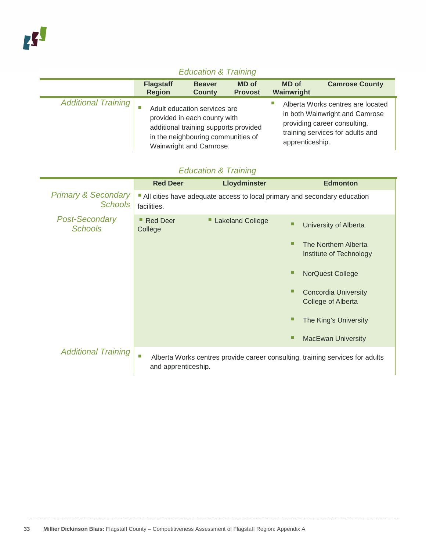### *Education & Training*

|                            | <b>Flagstaff</b><br><b>Region</b> | <b>Beaver</b><br><b>County</b>                                                                                                                                         | <b>MD</b> of<br><b>Provost</b> | <b>MD</b> of<br>Wainwright | <b>Camrose County</b>                                                                                                                   |
|----------------------------|-----------------------------------|------------------------------------------------------------------------------------------------------------------------------------------------------------------------|--------------------------------|----------------------------|-----------------------------------------------------------------------------------------------------------------------------------------|
| <b>Additional Training</b> |                                   | Adult education services are<br>provided in each county with<br>additional training supports provided<br>in the neighbouring communities of<br>Wainwright and Camrose. |                                | apprenticeship.            | Alberta Works centres are located<br>in both Wainwright and Camrose<br>providing career consulting,<br>training services for adults and |

### *Education & Training*

|                                                  | <b>Red Deer</b>                 | Lloydminster            | <b>Edmonton</b>                                                               |
|--------------------------------------------------|---------------------------------|-------------------------|-------------------------------------------------------------------------------|
| <b>Primary &amp; Secondary</b><br><b>Schools</b> | facilities.                     |                         | All cities have adequate access to local primary and secondary education      |
| <b>Post-Secondary</b><br><b>Schools</b>          | <b>Red Deer</b><br>ш<br>College | <b>Lakeland College</b> | University of Alberta                                                         |
|                                                  |                                 |                         | The Northern Alberta<br>Institute of Technology                               |
|                                                  |                                 |                         | <b>NorQuest College</b>                                                       |
|                                                  |                                 |                         | <b>Concordia University</b><br>College of Alberta                             |
|                                                  |                                 |                         | The King's University                                                         |
|                                                  |                                 |                         | <b>MacEwan University</b>                                                     |
| <b>Additional Training</b>                       | ш<br>and apprenticeship.        |                         | Alberta Works centres provide career consulting, training services for adults |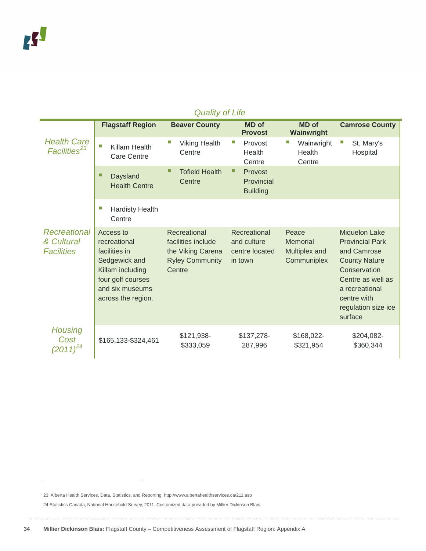|                                                 |                                                                                                                                               | Quality of Life                                                                             |                                                          |                                                          |                                                                                                                                                                                               |
|-------------------------------------------------|-----------------------------------------------------------------------------------------------------------------------------------------------|---------------------------------------------------------------------------------------------|----------------------------------------------------------|----------------------------------------------------------|-----------------------------------------------------------------------------------------------------------------------------------------------------------------------------------------------|
|                                                 | <b>Flagstaff Region</b>                                                                                                                       | <b>Beaver County</b>                                                                        | <b>MD</b> of<br><b>Provost</b>                           | <b>MD</b> of<br>Wainwright                               | <b>Camrose County</b>                                                                                                                                                                         |
| <b>Health Care</b><br>Facilities <sup>23</sup>  | П<br>Killam Health<br><b>Care Centre</b>                                                                                                      | <b>Viking Health</b><br>Centre                                                              | П<br>Provost<br>Health<br>Centre                         | Wainwright<br>Health<br>Centre                           | П<br>St. Mary's<br>Hospital                                                                                                                                                                   |
|                                                 | □<br><b>Daysland</b><br><b>Health Centre</b>                                                                                                  | П<br><b>Tofield Health</b><br>Centre                                                        | ■<br>Provost<br>Provincial<br><b>Building</b>            |                                                          |                                                                                                                                                                                               |
|                                                 | o.<br><b>Hardisty Health</b><br>Centre                                                                                                        |                                                                                             |                                                          |                                                          |                                                                                                                                                                                               |
| Recreational<br>& Cultural<br><b>Facilities</b> | Access to<br>recreational<br>facilities in<br>Sedgewick and<br>Killam including<br>four golf courses<br>and six museums<br>across the region. | Recreational<br>facilities include<br>the Viking Carena<br><b>Ryley Community</b><br>Centre | Recreational<br>and culture<br>centre located<br>in town | Peace<br><b>Memorial</b><br>Multiplex and<br>Communiplex | <b>Miquelon Lake</b><br><b>Provincial Park</b><br>and Camrose<br><b>County Nature</b><br>Conservation<br>Centre as well as<br>a recreational<br>centre with<br>regulation size ice<br>surface |
| <b>Housing</b><br>Cost<br>$(2011)^{24}$         | \$165,133-\$324,461                                                                                                                           | \$121,938-<br>\$333,059                                                                     | \$137,278-<br>287,996                                    | \$168,022-<br>\$321,954                                  | \$204,082-<br>\$360,344                                                                                                                                                                       |

#### *Quality of Life*

<span id="page-33-0"></span><sup>23</sup> Alberta Health Services, Data, Statistics, and Reporting, http://www.albertahealthservices.ca/211.asp

<span id="page-33-1"></span><sup>24</sup> Statistics Canada, National Household Survey, 2011. Customized data provided by Millier Dickinson Blais.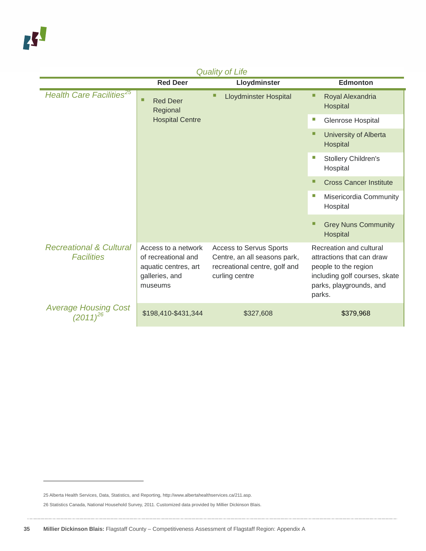| Quality Of Life                                         |                                                                                                 |                                                                                                                   |                                                                                                                                                    |  |  |  |
|---------------------------------------------------------|-------------------------------------------------------------------------------------------------|-------------------------------------------------------------------------------------------------------------------|----------------------------------------------------------------------------------------------------------------------------------------------------|--|--|--|
|                                                         | <b>Red Deer</b>                                                                                 | Lloydminster                                                                                                      | <b>Edmonton</b>                                                                                                                                    |  |  |  |
| <b>Health Care Facilities<sup>25</sup></b>              | □<br><b>Red Deer</b><br>Regional<br><b>Hospital Centre</b>                                      | <b>Lloydminster Hospital</b>                                                                                      | Royal Alexandria<br>■<br>Hospital                                                                                                                  |  |  |  |
|                                                         |                                                                                                 |                                                                                                                   | T.<br>Glenrose Hospital                                                                                                                            |  |  |  |
|                                                         |                                                                                                 |                                                                                                                   | □<br>University of Alberta<br>Hospital                                                                                                             |  |  |  |
|                                                         |                                                                                                 |                                                                                                                   | Stollery Children's<br>Hospital                                                                                                                    |  |  |  |
|                                                         |                                                                                                 |                                                                                                                   | <b>Cross Cancer Institute</b><br>П                                                                                                                 |  |  |  |
|                                                         |                                                                                                 |                                                                                                                   | T.<br>Misericordia Community<br>Hospital                                                                                                           |  |  |  |
|                                                         |                                                                                                 |                                                                                                                   | <b>Grey Nuns Community</b><br>Hospital                                                                                                             |  |  |  |
| <b>Recreational &amp; Cultural</b><br><b>Facilities</b> | Access to a network<br>of recreational and<br>aquatic centres, art<br>galleries, and<br>museums | <b>Access to Servus Sports</b><br>Centre, an all seasons park,<br>recreational centre, golf and<br>curling centre | Recreation and cultural<br>attractions that can draw<br>people to the region<br>including golf courses, skate<br>parks, playgrounds, and<br>parks. |  |  |  |
| Average Housing Cost<br>(2011) <sup>26</sup>            | \$198,410-\$431,344                                                                             | \$327,608                                                                                                         | \$379,968                                                                                                                                          |  |  |  |

*Quality of Life*

<span id="page-34-0"></span><sup>25</sup> Alberta Health Services, Data, Statistics, and Reporting, http://www.albertahealthservices.ca/211.asp.

<span id="page-34-1"></span><sup>26</sup> Statistics Canada, National Household Survey, 2011. Customized data provided by Millier Dickinson Blais.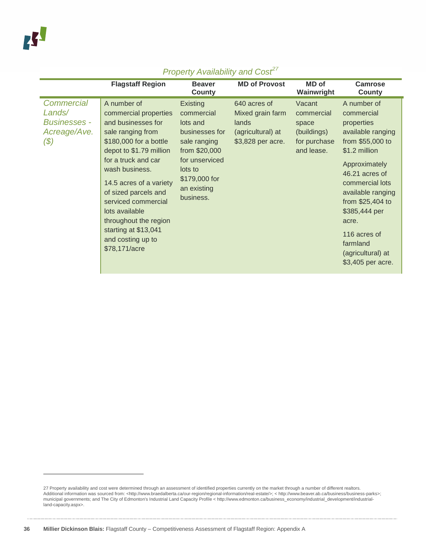|                                                                       | <b>Flagstaff Region</b>                                                                                                                                                                                                                                                                                                                                          | <b>Beaver</b><br><b>County</b>                                                                                                                                         | <b>MD of Provost</b>                                                                | <b>MD</b> of<br>Wainwright                                                 | <b>Camrose</b><br>County                                                                                                                                                                                                                                                                         |
|-----------------------------------------------------------------------|------------------------------------------------------------------------------------------------------------------------------------------------------------------------------------------------------------------------------------------------------------------------------------------------------------------------------------------------------------------|------------------------------------------------------------------------------------------------------------------------------------------------------------------------|-------------------------------------------------------------------------------------|----------------------------------------------------------------------------|--------------------------------------------------------------------------------------------------------------------------------------------------------------------------------------------------------------------------------------------------------------------------------------------------|
| Commercial<br>Lands/<br><b>Businesses -</b><br>Acreage/Ave.<br>$(\$)$ | A number of<br>commercial properties<br>and businesses for<br>sale ranging from<br>\$180,000 for a bottle<br>depot to \$1.79 million<br>for a truck and car<br>wash business.<br>14.5 acres of a variety<br>of sized parcels and<br>serviced commercial<br>lots available<br>throughout the region<br>starting at \$13,041<br>and costing up to<br>\$78,171/acre | <b>Existing</b><br>commercial<br>lots and<br>businesses for<br>sale ranging<br>from \$20,000<br>for unserviced<br>lots to<br>\$179,000 for<br>an existing<br>business. | 640 acres of<br>Mixed grain farm<br>lands<br>(agricultural) at<br>\$3,828 per acre. | Vacant<br>commercial<br>space<br>(buildings)<br>for purchase<br>and lease. | A number of<br>commercial<br>properties<br>available ranging<br>from \$55,000 to<br>\$1.2 million<br>Approximately<br>46.21 acres of<br>commercial lots<br>available ranging<br>from \$25,404 to<br>\$385,444 per<br>acre.<br>116 acres of<br>farmland<br>(agricultural) at<br>\$3,405 per acre. |

<span id="page-35-0"></span><sup>27</sup> Property availability and cost were determined through an assessment of identified properties currently on the market through a number of different realtors.<br>Additional information was sourced from: <http://www.braedal municipal governments; and The City of Edmonton's Industrial Land Capacity Profile < http://www.edmonton.ca/business\_economy/industrial\_development/industrialland-capacity.aspx>.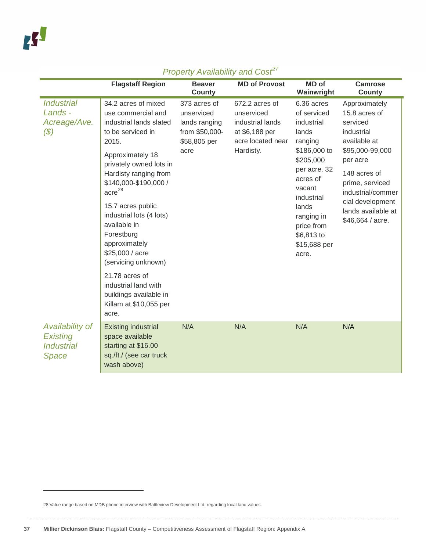|                                                                  | <b>Flagstaff Region</b>                                                                                                                                                                                                                                              | <b>Beaver</b><br><b>County</b>                                                        | <b>MD of Provost</b>                                                                                 | <b>MD</b> of<br>Wainwright                                                                                                                                          | <b>Camrose</b><br><b>County</b>                                                                                                                                                                                               |
|------------------------------------------------------------------|----------------------------------------------------------------------------------------------------------------------------------------------------------------------------------------------------------------------------------------------------------------------|---------------------------------------------------------------------------------------|------------------------------------------------------------------------------------------------------|---------------------------------------------------------------------------------------------------------------------------------------------------------------------|-------------------------------------------------------------------------------------------------------------------------------------------------------------------------------------------------------------------------------|
| <b>Industrial</b><br>Lands -<br>Acreage/Ave.<br>$(\$)$           | 34.2 acres of mixed<br>use commercial and<br>industrial lands slated<br>to be serviced in<br>2015.<br>Approximately 18<br>privately owned lots in<br>Hardisty ranging from<br>\$140,000-\$190,000 /<br>$\arccos 28$<br>15.7 acres public<br>industrial lots (4 lots) | 373 acres of<br>unserviced<br>lands ranging<br>from \$50,000-<br>\$58,805 per<br>acre | 672.2 acres of<br>unserviced<br>industrial lands<br>at \$6,188 per<br>acre located near<br>Hardisty. | 6.36 acres<br>of serviced<br>industrial<br>lands<br>ranging<br>\$186,000 to<br>\$205,000<br>per acre. 32<br>acres of<br>vacant<br>industrial<br>lands<br>ranging in | Approximately<br>15.8 acres of<br>serviced<br>industrial<br>available at<br>\$95,000-99,000<br>per acre<br>148 acres of<br>prime, serviced<br>industrial/commer<br>cial development<br>lands available at<br>\$46,664 / acre. |
|                                                                  | available in<br>Forestburg<br>approximately<br>\$25,000 / acre<br>(servicing unknown)                                                                                                                                                                                |                                                                                       |                                                                                                      | price from<br>\$6,813 to<br>\$15,688 per<br>acre.                                                                                                                   |                                                                                                                                                                                                                               |
|                                                                  | 21.78 acres of<br>industrial land with<br>buildings available in<br>Killam at \$10,055 per<br>acre.                                                                                                                                                                  |                                                                                       |                                                                                                      |                                                                                                                                                                     |                                                                                                                                                                                                                               |
| Availability of<br><b>Existing</b><br><b>Industrial</b><br>Space | <b>Existing industrial</b><br>space available<br>starting at \$16.00<br>sq./ft./ (see car truck<br>wash above)                                                                                                                                                       | N/A                                                                                   | N/A                                                                                                  | N/A                                                                                                                                                                 | N/A                                                                                                                                                                                                                           |

<span id="page-36-0"></span><sup>28</sup> Value range based on MDB phone interview with Battleview Development Ltd. regarding local land values.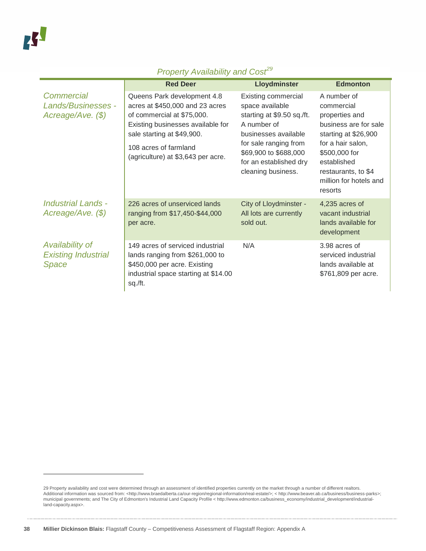|                                                        | <b>Red Deer</b>                                                                                                                                                                                                                | Lloydminster                                                                                                                                                                                                         | <b>Edmonton</b>                                                                                                                                                                                               |
|--------------------------------------------------------|--------------------------------------------------------------------------------------------------------------------------------------------------------------------------------------------------------------------------------|----------------------------------------------------------------------------------------------------------------------------------------------------------------------------------------------------------------------|---------------------------------------------------------------------------------------------------------------------------------------------------------------------------------------------------------------|
| Commercial<br>Lands/Businesses -<br>Acreage/Ave. (\$)  | Queens Park development 4.8<br>acres at \$450,000 and 23 acres<br>of commercial at \$75,000.<br>Existing businesses available for<br>sale starting at \$49,900.<br>108 acres of farmland<br>(agriculture) at \$3,643 per acre. | <b>Existing commercial</b><br>space available<br>starting at \$9.50 sq./ft.<br>A number of<br>businesses available<br>for sale ranging from<br>\$69,900 to \$688,000<br>for an established dry<br>cleaning business. | A number of<br>commercial<br>properties and<br>business are for sale<br>starting at \$26,900<br>for a hair salon,<br>\$500,000 for<br>established<br>restaurants, to \$4<br>million for hotels and<br>resorts |
| <b>Industrial Lands -</b><br>Acreage/Ave. (\$)         | 226 acres of unserviced lands<br>ranging from \$17,450-\$44,000<br>per acre.                                                                                                                                                   | City of Lloydminster -<br>All lots are currently<br>sold out.                                                                                                                                                        | 4,235 acres of<br>vacant industrial<br>lands available for<br>development                                                                                                                                     |
| Availability of<br><b>Existing Industrial</b><br>Space | 149 acres of serviced industrial<br>lands ranging from \$261,000 to<br>\$450,000 per acre. Existing<br>industrial space starting at \$14.00<br>sq./ft.                                                                         | N/A                                                                                                                                                                                                                  | 3.98 acres of<br>serviced industrial<br>lands available at<br>\$761,809 per acre.                                                                                                                             |

<span id="page-37-0"></span><sup>29</sup> Property availability and cost were determined through an assessment of identified properties currently on the market through a number of different realtors.<br>Additional information was sourced from: <http://www.braedal municipal governments; and The City of Edmonton's Industrial Land Capacity Profile < http://www.edmonton.ca/business\_economy/industrial\_development/industrialland-capacity.aspx>.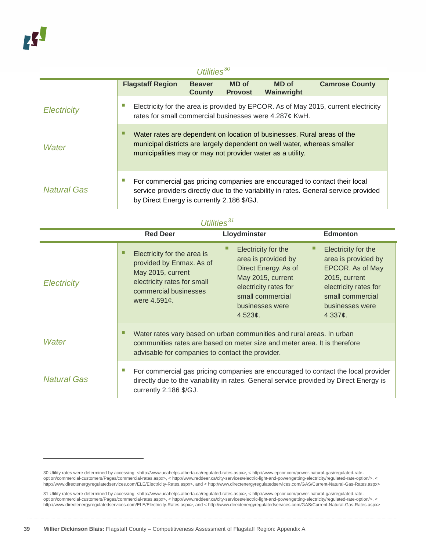-

| Utilities $^{30}$  |                                                            |                                |                                |                                                                                                                                                     |                                                                                                                                                                    |
|--------------------|------------------------------------------------------------|--------------------------------|--------------------------------|-----------------------------------------------------------------------------------------------------------------------------------------------------|--------------------------------------------------------------------------------------------------------------------------------------------------------------------|
|                    | <b>Flagstaff Region</b>                                    | <b>Beaver</b><br><b>County</b> | <b>MD</b> of<br><b>Provost</b> | <b>MD</b> of<br>Wainwright                                                                                                                          | <b>Camrose County</b>                                                                                                                                              |
| <b>Electricity</b> |                                                            |                                |                                | rates for small commercial businesses were 4.287¢ KwH.                                                                                              | Electricity for the area is provided by EPCOR. As of May 2015, current electricity                                                                                 |
| <b>Water</b>       | municipalities may or may not provider water as a utility. |                                |                                | Water rates are dependent on location of businesses. Rural areas of the<br>municipal districts are largely dependent on well water, whereas smaller |                                                                                                                                                                    |
| Natural Gas        | by Direct Energy is currently 2.186 \$/GJ.                 |                                |                                |                                                                                                                                                     | For commercial gas pricing companies are encouraged to contact their local<br>service providers directly due to the variability in rates. General service provided |

|                    | <b>Red Deer</b>                                                                                                                                                                                             | Lloydminster                                                                                                                                                       | <b>Edmonton</b>                                                                                                                                                           |  |
|--------------------|-------------------------------------------------------------------------------------------------------------------------------------------------------------------------------------------------------------|--------------------------------------------------------------------------------------------------------------------------------------------------------------------|---------------------------------------------------------------------------------------------------------------------------------------------------------------------------|--|
| <b>Electricity</b> | □<br>Electricity for the area is<br>provided by Enmax. As of<br>May 2015, current<br>electricity rates for small<br>commercial businesses<br>were 4.591¢.                                                   | Electricity for the<br>area is provided by<br>Direct Energy. As of<br>May 2015, current<br>electricity rates for<br>small commercial<br>businesses were<br>4.523¢. | Electricity for the<br>area is provided by<br>EPCOR. As of May<br>2015, current<br>electricity rates for<br>small commercial<br>businesses were<br>4.337 $\mathfrak{c}$ . |  |
| Water              | □<br>Water rates vary based on urban communities and rural areas. In urban<br>communities rates are based on meter size and meter area. It is therefore<br>advisable for companies to contact the provider. |                                                                                                                                                                    |                                                                                                                                                                           |  |
| <b>Natural Gas</b> | ×.<br>For commercial gas pricing companies are encouraged to contact the local provider<br>directly due to the variability in rates. General service provided by Direct Energy is<br>currently 2.186 \$/GJ. |                                                                                                                                                                    |                                                                                                                                                                           |  |

#### *Utilities[31](#page-38-1)*

<span id="page-38-0"></span><sup>30</sup> Utility rates were determined by accessing: <http://www.ucahelps.alberta.ca/regulated-rates.aspx>, < http://www.epcor.com/power-natural-gas/regulated-rateoption/commercial-customers/Pages/commercial-rates.aspx>, < http://www.reddeer.ca/city-services/electric-light-and-power/getting-electricity/regulated-rate-option/>, < http://www.directenergyregulatedservices.com/ELE/Electricity-Rates.aspx>, and < http://www.directenergyregulatedservices.com/GAS/Current-Natural-Gas-Rates.aspx>

<span id="page-38-1"></span><sup>31</sup> Utility rates were determined by accessing: <http://www.ucahelps.alberta.ca/regulated-rates.aspx>, < http://www.epcor.com/power-natural-gas/regulated-rateoption/commercial-customers/Pages/commercial-rates.aspx>, < http://www.reddeer.ca/city-services/electric-light-and-power/getting-electricity/regulated-rate-option/>, < http://www.directenergyregulatedservices.com/ELE/Electricity-Rates.aspx>, and < http://www.directenergyregulatedservices.com/GAS/Current-Natural-Gas-Rates.aspx>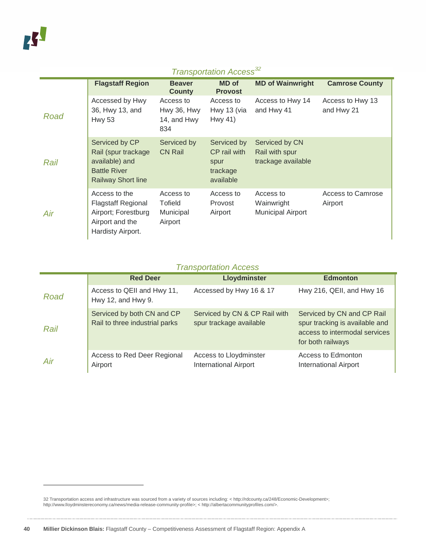## *Transportation Access[32](#page-39-0)*

|      | <b>Flagstaff Region</b>                                                                                     | <b>Beaver</b><br><b>County</b>                 | <b>MD</b> of<br><b>Provost</b>                               | <b>MD of Wainwright</b>                                | <b>Camrose County</b>          |
|------|-------------------------------------------------------------------------------------------------------------|------------------------------------------------|--------------------------------------------------------------|--------------------------------------------------------|--------------------------------|
| Road | Accessed by Hwy<br>36, Hwy 13, and<br><b>Hwy 53</b>                                                         | Access to<br>Hwy 36, Hwy<br>14, and Hwy<br>834 | Access to<br>Hwy 13 (via<br>Hwy 41)                          | Access to Hwy 14<br>and Hwy 41                         | Access to Hwy 13<br>and Hwy 21 |
| Rail | Serviced by CP<br>Rail (spur trackage<br>available) and<br><b>Battle River</b><br><b>Railway Short line</b> | Serviced by<br><b>CN Rail</b>                  | Serviced by<br>CP rail with<br>spur<br>trackage<br>available | Serviced by CN<br>Rail with spur<br>trackage available |                                |
| Air  | Access to the<br><b>Flagstaff Regional</b><br>Airport; Forestburg<br>Airport and the<br>Hardisty Airport.   | Access to<br>Tofield<br>Municipal<br>Airport   | Access to<br>Provost<br>Airport                              | Access to<br>Wainwright<br><b>Municipal Airport</b>    | Access to Camrose<br>Airport   |

#### *Transportation Access*

|      | <b>Red Deer</b>                                              | <b>Lloydminster</b>                                      | <b>Edmonton</b>                                                                                                    |
|------|--------------------------------------------------------------|----------------------------------------------------------|--------------------------------------------------------------------------------------------------------------------|
| Road | Access to QEII and Hwy 11,<br>Hwy 12, and Hwy 9.             | Accessed by Hwy 16 & 17                                  | Hwy 216, QEII, and Hwy 16                                                                                          |
| Rail | Serviced by both CN and CP<br>Rail to three industrial parks | Serviced by CN & CP Rail with<br>spur trackage available | Serviced by CN and CP Rail<br>spur tracking is available and<br>access to intermodal services<br>for both railways |
| Air  | Access to Red Deer Regional<br>Airport                       | Access to Lloydminster<br><b>International Airport</b>   | Access to Edmonton<br><b>International Airport</b>                                                                 |

<span id="page-39-0"></span><sup>32</sup> Transportation access and infrastructure was sourced from a variety of sources including: < http://rdcounty.ca/248/Economic-Development>; http://www.lloydminstereconomy.ca/news/media-release-community-profile>; < http://albertacommunityprofiles.com/>.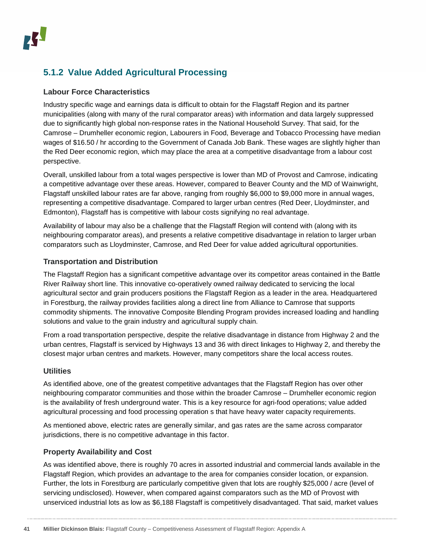### <span id="page-40-0"></span>**5.1.2 Value Added Agricultural Processing**

#### **Labour Force Characteristics**

Industry specific wage and earnings data is difficult to obtain for the Flagstaff Region and its partner municipalities (along with many of the rural comparator areas) with information and data largely suppressed due to significantly high global non-response rates in the National Household Survey. That said, for the Camrose – Drumheller economic region, Labourers in Food, Beverage and Tobacco Processing have median wages of \$16.50 / hr according to the Government of Canada Job Bank. These wages are slightly higher than the Red Deer economic region, which may place the area at a competitive disadvantage from a labour cost perspective.

Overall, unskilled labour from a total wages perspective is lower than MD of Provost and Camrose, indicating a competitive advantage over these areas. However, compared to Beaver County and the MD of Wainwright, Flagstaff unskilled labour rates are far above, ranging from roughly \$6,000 to \$9,000 more in annual wages, representing a competitive disadvantage. Compared to larger urban centres (Red Deer, Lloydminster, and Edmonton), Flagstaff has is competitive with labour costs signifying no real advantage.

Availability of labour may also be a challenge that the Flagstaff Region will contend with (along with its neighbouring comparator areas), and presents a relative competitive disadvantage in relation to larger urban comparators such as Lloydminster, Camrose, and Red Deer for value added agricultural opportunities.

#### **Transportation and Distribution**

The Flagstaff Region has a significant competitive advantage over its competitor areas contained in the Battle River Railway short line. This innovative co-operatively owned railway dedicated to servicing the local agricultural sector and grain producers positions the Flagstaff Region as a leader in the area. Headquartered in Forestburg, the railway provides facilities along a direct line from Alliance to Camrose that supports commodity shipments. The innovative Composite Blending Program provides increased loading and handling solutions and value to the grain industry and agricultural supply chain.

From a road transportation perspective, despite the relative disadvantage in distance from Highway 2 and the urban centres, Flagstaff is serviced by Highways 13 and 36 with direct linkages to Highway 2, and thereby the closest major urban centres and markets. However, many competitors share the local access routes.

#### **Utilities**

As identified above, one of the greatest competitive advantages that the Flagstaff Region has over other neighbouring comparator communities and those within the broader Camrose – Drumheller economic region is the availability of fresh underground water. This is a key resource for agri-food operations; value added agricultural processing and food processing operation s that have heavy water capacity requirements.

As mentioned above, electric rates are generally similar, and gas rates are the same across comparator jurisdictions, there is no competitive advantage in this factor.

#### **Property Availability and Cost**

As was identified above, there is roughly 70 acres in assorted industrial and commercial lands available in the Flagstaff Region, which provides an advantage to the area for companies consider location, or expansion. Further, the lots in Forestburg are particularly competitive given that lots are roughly \$25,000 / acre (level of servicing undisclosed). However, when compared against comparators such as the MD of Provost with unserviced industrial lots as low as \$6,188 Flagstaff is competitively disadvantaged. That said, market values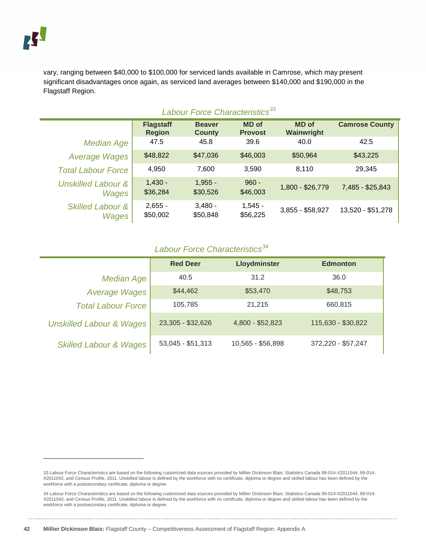-

vary, ranging between \$40,000 to \$100,000 for serviced lands available in Camrose, which may present significant disadvantages once again, as serviced land averages between \$140,000 and \$190,000 in the Flagstaff Region.

| Labour Force Characteristics <sup>33</sup> |                                   |                                |                                |                            |                       |  |
|--------------------------------------------|-----------------------------------|--------------------------------|--------------------------------|----------------------------|-----------------------|--|
|                                            | <b>Flagstaff</b><br><b>Region</b> | <b>Beaver</b><br><b>County</b> | <b>MD</b> of<br><b>Provost</b> | <b>MD</b> of<br>Wainwright | <b>Camrose County</b> |  |
| Median Age                                 | 47.5                              | 45.8                           | 39.6                           | 40.0                       | 42.5                  |  |
| <b>Average Wages</b>                       | \$48,822                          | \$47,036                       | \$46,003                       | \$50,964                   | \$43,225              |  |
| <b>Total Labour Force</b>                  | 4,950                             | 7,600                          | 3,590                          | 8.110                      | 29,345                |  |
| <b>Unskilled Labour &amp;</b><br>Wages     | $1,430 -$<br>\$36,284             | $1,955 -$<br>\$30,526          | $960 -$<br>\$46,003            | 1,800 - \$26,779           | 7,485 - \$25,843      |  |
| <b>Skilled Labour &amp;</b><br>Wages       | $2,655 -$<br>\$50,002             | $3,480 -$<br>\$50,848          | $1,545 -$<br>\$56,225          | 3,855 - \$58,927           | 13,520 - \$51,278     |  |

#### *Labour Force Characteristics[34](#page-41-1)*

|                                     | <b>Red Deer</b>   | Lloydminster      | <b>Edmonton</b>    |
|-------------------------------------|-------------------|-------------------|--------------------|
| <b>Median Age</b>                   | 40.5              | 31.2              | 36.0               |
| <b>Average Wages</b>                | \$44,462          | \$53,470          | \$48,753           |
| <b>Total Labour Force</b>           | 105,785           | 21.215            | 660,815            |
| <b>Unskilled Labour &amp; Wages</b> | 23,305 - \$32,626 | 4,800 - \$52,823  | 115,630 - \$30,822 |
| <b>Skilled Labour &amp; Wages</b>   | 53,045 - \$51,313 | 10,565 - \$56,898 | 372,220 - \$57,247 |

<span id="page-41-0"></span><sup>33</sup> Labour Force Characteristics are based on the following customized data sources provided by Millier Dickinson Blais: Statistics Canada 99-014-X2011044, 99-014- X2011042, and Census Profile, 2011. Unskilled labour is defined by the workforce with no certificate, diploma or degree and skilled labour has been defined by the workforce with a postsecondary certificate, diploma or degree.

<span id="page-41-1"></span><sup>34</sup> Labour Force Characteristics are based on the following customized data sources provided by Millier Dickinson Blais: Statistics Canada 99-014-X2011044, 99-014- X2011042, and Census Profile, 2011. Unskilled labour is defined by the workforce with no certificate, diploma or degree and skilled labour has been defined by the workforce with a postsecondary certificate, diploma or degree.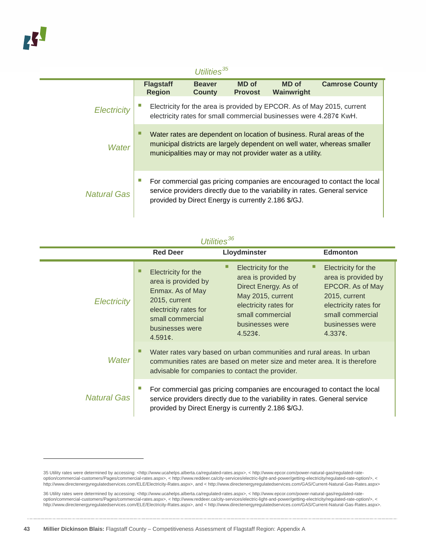-

#### *Utilities[35](#page-42-0)* **Flagstaff Region Beaver County MD of Provost MD of Wainwright Camrose County** *Electricity* **Electricity for the area is provided by EPCOR. As of May 2015, current** electricity rates for small commercial businesses were 4.287¢ KwH. *Water* Water rates are dependent on location of business. Rural areas of the municipal districts are largely dependent on well water, whereas smaller municipalities may or may not provider water as a utility. *Natural Gas* For commercial gas pricing companies are encouraged to contact the local service providers directly due to the variability in rates. General service provided by Direct Energy is currently 2.186 \$/GJ.

| Utilities <sup>36</sup> |                                                                                                                                                                           |                                                                                                                                                                                                                |                                                                                                                                                            |  |
|-------------------------|---------------------------------------------------------------------------------------------------------------------------------------------------------------------------|----------------------------------------------------------------------------------------------------------------------------------------------------------------------------------------------------------------|------------------------------------------------------------------------------------------------------------------------------------------------------------|--|
|                         | <b>Red Deer</b>                                                                                                                                                           | Lloydminster                                                                                                                                                                                                   | <b>Edmonton</b>                                                                                                                                            |  |
| <b>Electricity</b>      | Electricity for the<br>area is provided by<br>Enmax. As of May<br>2015, current<br>electricity rates for<br>small commercial<br>businesses were<br>4.591 $\mathfrak{c}$ . | Electricity for the<br>area is provided by<br>Direct Energy. As of<br>May 2015, current<br>electricity rates for<br>small commercial<br>businesses were<br>4.523c.                                             | Electricity for the<br>area is provided by<br>EPCOR. As of May<br>2015, current<br>electricity rates for<br>small commercial<br>businesses were<br>4.337c. |  |
| Water                   |                                                                                                                                                                           | Water rates vary based on urban communities and rural areas. In urban<br>communities rates are based on meter size and meter area. It is therefore<br>advisable for companies to contact the provider.         |                                                                                                                                                            |  |
| <b>Natural Gas</b>      |                                                                                                                                                                           | For commercial gas pricing companies are encouraged to contact the local<br>service providers directly due to the variability in rates. General service<br>provided by Direct Energy is currently 2.186 \$/GJ. |                                                                                                                                                            |  |

<span id="page-42-0"></span><sup>35</sup> Utility rates were determined by accessing: <http://www.ucahelps.alberta.ca/regulated-rates.aspx>, < http://www.epcor.com/power-natural-gas/regulated-rateoption/commercial-customers/Pages/commercial-rates.aspx>, < http://www.reddeer.ca/city-services/electric-light-and-power/getting-electricity/regulated-rate-option/>, < http://www.directenergyregulatedservices.com/ELE/Electricity-Rates.aspx>, and < http://www.directenergyregulatedservices.com/GAS/Current-Natural-Gas-Rates.aspx>

<span id="page-42-1"></span><sup>36</sup> Utility rates were determined by accessing: <http://www.ucahelps.alberta.ca/regulated-rates.aspx>, < http://www.epcor.com/power-natural-gas/regulated-rateoption/commercial-customers/Pages/commercial-rates.aspx>, < http://www.reddeer.ca/city-services/electric-light-and-power/getting-electricity/regulated-rate-option/>, < http://www.directenergyregulatedservices.com/ELE/Electricity-Rates.aspx>, and < http://www.directenergyregulatedservices.com/GAS/Current-Natural-Gas-Rates.aspx>.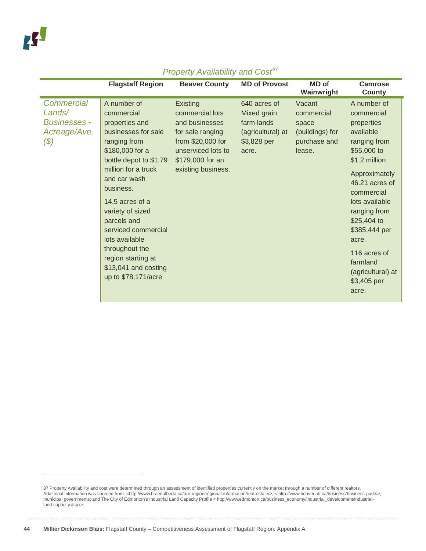|                                                                                     | <b>Flagstaff Region</b>                                                                                                                                                                                                                                                                                                                                                   | <b>Beaver County</b>                                                                                                                                   | <b>MD of Provost</b>                                                                   | <b>MD</b> of<br>Wainwright                                                 | Camrose<br><b>County</b>                                                                                                                                                                                                                                                                                  |
|-------------------------------------------------------------------------------------|---------------------------------------------------------------------------------------------------------------------------------------------------------------------------------------------------------------------------------------------------------------------------------------------------------------------------------------------------------------------------|--------------------------------------------------------------------------------------------------------------------------------------------------------|----------------------------------------------------------------------------------------|----------------------------------------------------------------------------|-----------------------------------------------------------------------------------------------------------------------------------------------------------------------------------------------------------------------------------------------------------------------------------------------------------|
| <b>Commercial</b><br>Lands/<br><b>Businesses -</b><br>Acreage/Ave.<br>$\mathcal{S}$ | A number of<br>commercial<br>properties and<br>businesses for sale<br>ranging from<br>\$180,000 for a<br>bottle depot to \$1.79<br>million for a truck<br>and car wash<br>business.<br>14.5 acres of a<br>variety of sized<br>parcels and<br>serviced commercial<br>lots available<br>throughout the<br>region starting at<br>\$13,041 and costing<br>up to \$78,171/acre | Existing<br>commercial lots<br>and businesses<br>for sale ranging<br>from \$20,000 for<br>unserviced lots to<br>\$179,000 for an<br>existing business. | 640 acres of<br>Mixed grain<br>farm lands<br>(agricultural) at<br>\$3,828 per<br>acre. | Vacant<br>commercial<br>space<br>(buildings) for<br>purchase and<br>lease. | A number of<br>commercial<br>properties<br>available<br>ranging from<br>\$55,000 to<br>\$1.2 million<br>Approximately<br>46.21 acres of<br>commercial<br>lots available<br>ranging from<br>\$25,404 to<br>\$385,444 per<br>acre.<br>116 acres of<br>farmland<br>(agricultural) at<br>\$3,405 per<br>acre. |

<span id="page-43-0"></span><sup>37</sup> Property Availability and cost were determined through an assessment of identified properties currently on the market through a number of different realtors.<br>Additional information was sourced from: <http://www.braedal municipal governments; and The City of Edmonton's Industrial Land Capacity Profile < http://www.edmonton.ca/business\_economy/industrial\_development/industrialland-capacity.aspx>.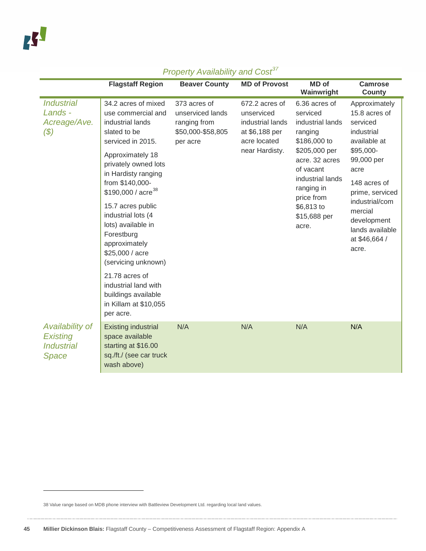|                                                                  | <b>Flagstaff Region</b>                                                                                                                                                                                                                                                                                                                                                                                                                                                     | <b>Beaver County</b>                                                              | <b>MD of Provost</b>                                                                                 | <b>MD</b> of<br>Wainwright                                                                                                                                                                                      | <b>Camrose</b><br><b>County</b>                                                                                                                                                                                                         |
|------------------------------------------------------------------|-----------------------------------------------------------------------------------------------------------------------------------------------------------------------------------------------------------------------------------------------------------------------------------------------------------------------------------------------------------------------------------------------------------------------------------------------------------------------------|-----------------------------------------------------------------------------------|------------------------------------------------------------------------------------------------------|-----------------------------------------------------------------------------------------------------------------------------------------------------------------------------------------------------------------|-----------------------------------------------------------------------------------------------------------------------------------------------------------------------------------------------------------------------------------------|
| <b>Industrial</b><br>Lands -<br>Acreage/Ave.<br>$(\$)$           | 34.2 acres of mixed<br>use commercial and<br>industrial lands<br>slated to be<br>serviced in 2015.<br>Approximately 18<br>privately owned lots<br>in Hardisty ranging<br>from \$140,000-<br>\$190,000 / acre <sup>38</sup><br>15.7 acres public<br>industrial lots (4<br>lots) available in<br>Forestburg<br>approximately<br>\$25,000 / acre<br>(servicing unknown)<br>21.78 acres of<br>industrial land with<br>buildings available<br>in Killam at \$10,055<br>per acre. | 373 acres of<br>unserviced lands<br>ranging from<br>\$50,000-\$58,805<br>per acre | 672.2 acres of<br>unserviced<br>industrial lands<br>at \$6,188 per<br>acre located<br>near Hardisty. | 6.36 acres of<br>serviced<br>industrial lands<br>ranging<br>\$186,000 to<br>\$205,000 per<br>acre. 32 acres<br>of vacant<br>industrial lands<br>ranging in<br>price from<br>\$6,813 to<br>\$15,688 per<br>acre. | Approximately<br>15.8 acres of<br>serviced<br>industrial<br>available at<br>\$95,000-<br>99,000 per<br>acre<br>148 acres of<br>prime, serviced<br>industrial/com<br>mercial<br>development<br>lands available<br>at \$46,664 /<br>acre. |
| Availability of<br><b>Existing</b><br><b>Industrial</b><br>Space | <b>Existing industrial</b><br>space available<br>starting at \$16.00<br>sq./ft./ (see car truck<br>wash above)                                                                                                                                                                                                                                                                                                                                                              | N/A                                                                               | N/A                                                                                                  | N/A                                                                                                                                                                                                             | N/A                                                                                                                                                                                                                                     |

<span id="page-44-0"></span><sup>38</sup> Value range based on MDB phone interview with Battleview Development Ltd. regarding local land values.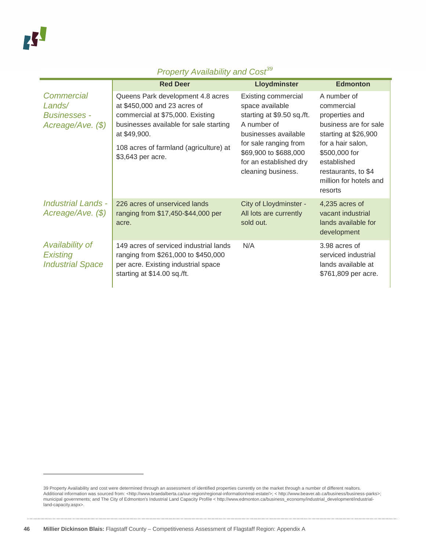|                                                                         | <b>Red Deer</b>                                                                                                                                                                                                                | Lloydminster                                                                                                                                                                                                         | <b>Edmonton</b>                                                                                                                                                                                               |
|-------------------------------------------------------------------------|--------------------------------------------------------------------------------------------------------------------------------------------------------------------------------------------------------------------------------|----------------------------------------------------------------------------------------------------------------------------------------------------------------------------------------------------------------------|---------------------------------------------------------------------------------------------------------------------------------------------------------------------------------------------------------------|
| <b>Commercial</b><br>Lands/<br><b>Businesses -</b><br>Acreage/Ave. (\$) | Queens Park development 4.8 acres<br>at \$450,000 and 23 acres of<br>commercial at \$75,000. Existing<br>businesses available for sale starting<br>at \$49,900.<br>108 acres of farmland (agriculture) at<br>\$3,643 per acre. | <b>Existing commercial</b><br>space available<br>starting at \$9.50 sq./ft.<br>A number of<br>businesses available<br>for sale ranging from<br>\$69,900 to \$688,000<br>for an established dry<br>cleaning business. | A number of<br>commercial<br>properties and<br>business are for sale<br>starting at \$26,900<br>for a hair salon,<br>\$500,000 for<br>established<br>restaurants, to \$4<br>million for hotels and<br>resorts |
| <b>Industrial Lands -</b><br>Acreage/Ave. (\$)                          | 226 acres of unserviced lands<br>ranging from \$17,450-\$44,000 per<br>acre.                                                                                                                                                   | City of Lloydminster -<br>All lots are currently<br>sold out.                                                                                                                                                        | 4,235 acres of<br>vacant industrial<br>lands available for<br>development                                                                                                                                     |
| Availability of<br><b>Existing</b><br><b>Industrial Space</b>           | 149 acres of serviced industrial lands<br>ranging from \$261,000 to \$450,000<br>per acre. Existing industrial space<br>starting at \$14.00 sq./ft.                                                                            | N/A                                                                                                                                                                                                                  | 3.98 acres of<br>serviced industrial<br>lands available at<br>\$761,809 per acre.                                                                                                                             |

<span id="page-45-0"></span><sup>39</sup> Property Availability and cost were determined through an assessment of identified properties currently on the market through a number of different realtors.<br>Additional information was sourced from: <http://www.braedal municipal governments; and The City of Edmonton's Industrial Land Capacity Profile < http://www.edmonton.ca/business\_economy/industrial\_development/industrialland-capacity.aspx>.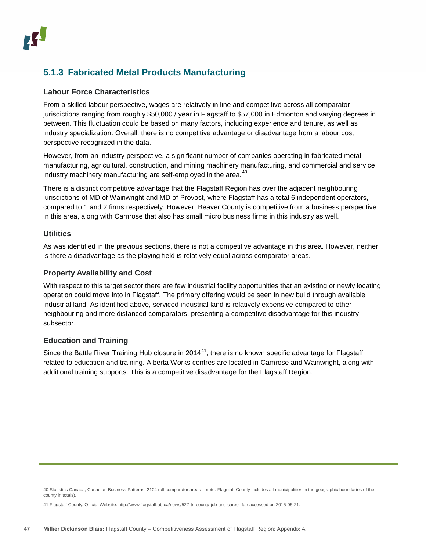### <span id="page-46-0"></span>**5.1.3 Fabricated Metal Products Manufacturing**

#### **Labour Force Characteristics**

From a skilled labour perspective, wages are relatively in line and competitive across all comparator jurisdictions ranging from roughly \$50,000 / year in Flagstaff to \$57,000 in Edmonton and varying degrees in between. This fluctuation could be based on many factors, including experience and tenure, as well as industry specialization. Overall, there is no competitive advantage or disadvantage from a labour cost perspective recognized in the data.

However, from an industry perspective, a significant number of companies operating in fabricated metal manufacturing, agricultural, construction, and mining machinery manufacturing, and commercial and service industry machinery manufacturing are self-employed in the area.<sup>[40](#page-46-1)</sup>

There is a distinct competitive advantage that the Flagstaff Region has over the adjacent neighbouring jurisdictions of MD of Wainwright and MD of Provost, where Flagstaff has a total 6 independent operators, compared to 1 and 2 firms respectively. However, Beaver County is competitive from a business perspective in this area, along with Camrose that also has small micro business firms in this industry as well.

#### **Utilities**

-

As was identified in the previous sections, there is not a competitive advantage in this area. However, neither is there a disadvantage as the playing field is relatively equal across comparator areas.

#### **Property Availability and Cost**

With respect to this target sector there are few industrial facility opportunities that an existing or newly locating operation could move into in Flagstaff. The primary offering would be seen in new build through available industrial land. As identified above, serviced industrial land is relatively expensive compared to other neighbouring and more distanced comparators, presenting a competitive disadvantage for this industry subsector.

#### **Education and Training**

Since the Battle River Training Hub closure in 2014<sup>41</sup>, there is no known specific advantage for Flagstaff related to education and training. Alberta Works centres are located in Camrose and Wainwright, along with additional training supports. This is a competitive disadvantage for the Flagstaff Region.

<span id="page-46-1"></span><sup>40</sup> Statistics Canada, Canadian Business Patterns, 2104 (all comparator areas – note: Flagstaff County includes all municipalities in the geographic boundaries of the county in totals).

<span id="page-46-2"></span><sup>41</sup> Flagstaff County, Official Website[: http://www.flagstaff.ab.ca/news/527-tri-county-job-and-career-fair](http://www.flagstaff.ab.ca/news/527-tri-county-job-and-career-fair) accessed on 2015-05-21.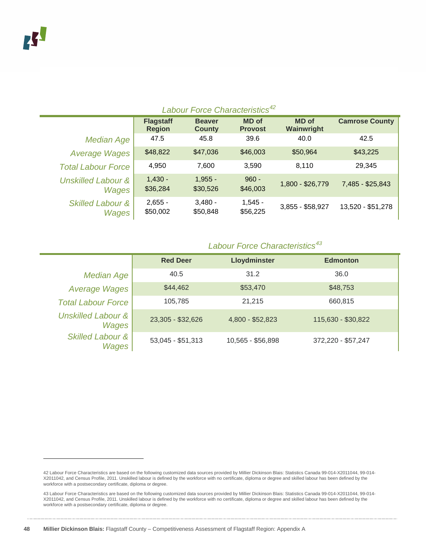-

| Labour Force Characteristics <sup>42</sup> |                                   |                                |                                |                            |                       |  |  |
|--------------------------------------------|-----------------------------------|--------------------------------|--------------------------------|----------------------------|-----------------------|--|--|
|                                            | <b>Flagstaff</b><br><b>Region</b> | <b>Beaver</b><br><b>County</b> | <b>MD</b> of<br><b>Provost</b> | <b>MD</b> of<br>Wainwright | <b>Camrose County</b> |  |  |
| <b>Median Age</b>                          | 47.5                              | 45.8                           | 39.6                           | 40.0                       | 42.5                  |  |  |
| <b>Average Wages</b>                       | \$48,822                          | \$47,036                       | \$46,003                       | \$50,964                   | \$43,225              |  |  |
| <b>Total Labour Force</b>                  | 4,950                             | 7,600                          | 3,590                          | 8,110                      | 29,345                |  |  |
| <b>Unskilled Labour &amp;</b><br>Wages     | $1,430 -$<br>\$36,284             | $1,955 -$<br>\$30,526          | $960 -$<br>\$46,003            | 1,800 - \$26,779           | 7,485 - \$25,843      |  |  |
| <b>Skilled Labour &amp;</b><br>Wages       | $2,655 -$<br>\$50,002             | $3,480 -$<br>\$50,848          | $1,545 -$<br>\$56,225          | 3,855 - \$58,927           | 13,520 - \$51,278     |  |  |

#### *Labour Force Characteristics[43](#page-47-1)*

|                                      | <b>Red Deer</b>   | Lloydminster      | <b>Edmonton</b>    |
|--------------------------------------|-------------------|-------------------|--------------------|
| <b>Median Age</b>                    | 40.5              | 31.2              | 36.0               |
| <b>Average Wages</b>                 | \$44,462          | \$53,470          | \$48,753           |
| <b>Total Labour Force</b>            | 105,785           | 21.215            | 660,815            |
| Unskilled Labour &<br>Wages          | 23,305 - \$32,626 | 4,800 - \$52,823  | 115,630 - \$30,822 |
| <b>Skilled Labour &amp;</b><br>Wages | 53,045 - \$51,313 | 10,565 - \$56,898 | 372,220 - \$57,247 |

<span id="page-47-0"></span><sup>42</sup> Labour Force Characteristics are based on the following customized data sources provided by Millier Dickinson Blais: Statistics Canada 99-014-X2011044, 99-014- X2011042, and Census Profile, 2011. Unskilled labour is defined by the workforce with no certificate, diploma or degree and skilled labour has been defined by the workforce with a postsecondary certificate, diploma or degree.

<span id="page-47-1"></span><sup>43</sup> Labour Force Characteristics are based on the following customized data sources provided by Millier Dickinson Blais: Statistics Canada 99-014-X2011044, 99-014- X2011042, and Census Profile, 2011. Unskilled labour is defined by the workforce with no certificate, diploma or degree and skilled labour has been defined by the workforce with a postsecondary certificate, diploma or degree.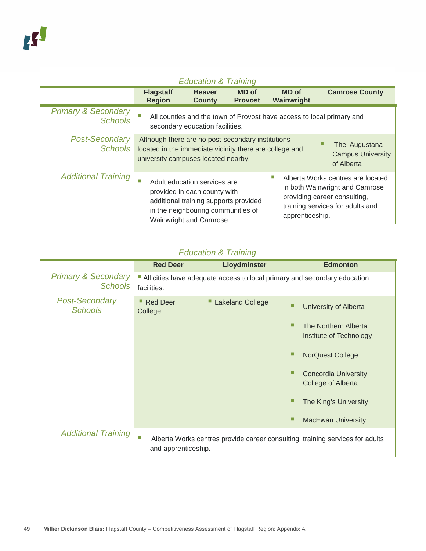| <b>Education &amp; Training</b>                  |                                                                                                                                                     |                                                                                                                                                                        |                                |  |                            |                                                                                                                                         |
|--------------------------------------------------|-----------------------------------------------------------------------------------------------------------------------------------------------------|------------------------------------------------------------------------------------------------------------------------------------------------------------------------|--------------------------------|--|----------------------------|-----------------------------------------------------------------------------------------------------------------------------------------|
|                                                  | <b>Flagstaff</b><br><b>Region</b>                                                                                                                   | <b>Beaver</b><br><b>County</b>                                                                                                                                         | <b>MD</b> of<br><b>Provost</b> |  | <b>MD</b> of<br>Wainwright | <b>Camrose County</b>                                                                                                                   |
| <b>Primary &amp; Secondary</b><br><b>Schools</b> |                                                                                                                                                     | All counties and the town of Provost have access to local primary and<br>secondary education facilities.                                                               |                                |  |                            |                                                                                                                                         |
| <b>Post-Secondary</b><br><b>Schools</b>          | Although there are no post-secondary institutions<br>located in the immediate vicinity there are college and<br>university campuses located nearby. |                                                                                                                                                                        |                                |  |                            | The Augustana<br><b>Campus University</b><br>of Alberta                                                                                 |
| <b>Additional Training</b>                       | ш                                                                                                                                                   | Adult education services are<br>provided in each county with<br>additional training supports provided<br>in the neighbouring communities of<br>Wainwright and Camrose. |                                |  | apprenticeship.            | Alberta Works centres are located<br>in both Wainwright and Camrose<br>providing career consulting,<br>training services for adults and |

### *Education & Training*

|                                                  | <b>Red Deer</b>          | <b>Lloydminster</b>     | <b>Edmonton</b>                                                               |
|--------------------------------------------------|--------------------------|-------------------------|-------------------------------------------------------------------------------|
| <b>Primary &amp; Secondary</b><br><b>Schools</b> | facilities.              |                         | All cities have adequate access to local primary and secondary education      |
| <b>Post-Secondary</b><br><b>Schools</b>          | ■ Red Deer<br>College    | <b>Lakeland College</b> | University of Alberta                                                         |
|                                                  |                          |                         | The Northern Alberta<br>Institute of Technology                               |
|                                                  |                          |                         | <b>NorQuest College</b>                                                       |
|                                                  |                          |                         | <b>Concordia University</b><br>College of Alberta                             |
|                                                  |                          |                         | The King's University                                                         |
|                                                  |                          |                         | <b>MacEwan University</b>                                                     |
| <b>Additional Training</b>                       | п<br>and apprenticeship. |                         | Alberta Works centres provide career consulting, training services for adults |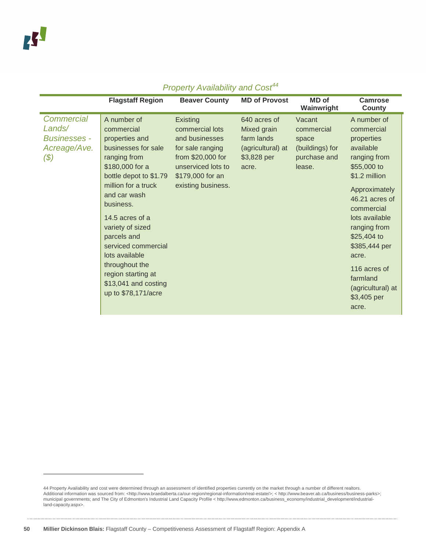|                                                                              | <b>Flagstaff Region</b>                                                                                                                                                                                                                                                                                                                                                   | <b>Beaver County</b>                                                                                                                                   | <b>MD of Provost</b>                                                                   | MD of<br>Wainwright                                                        | <b>Camrose</b><br>County                                                                                                                                                                                                                                                                                   |
|------------------------------------------------------------------------------|---------------------------------------------------------------------------------------------------------------------------------------------------------------------------------------------------------------------------------------------------------------------------------------------------------------------------------------------------------------------------|--------------------------------------------------------------------------------------------------------------------------------------------------------|----------------------------------------------------------------------------------------|----------------------------------------------------------------------------|------------------------------------------------------------------------------------------------------------------------------------------------------------------------------------------------------------------------------------------------------------------------------------------------------------|
| <b>Commercial</b><br>Lands/<br><b>Businesses -</b><br>Acreage/Ave.<br>$(\$)$ | A number of<br>commercial<br>properties and<br>businesses for sale<br>ranging from<br>\$180,000 for a<br>bottle depot to \$1.79<br>million for a truck<br>and car wash<br>business.<br>14.5 acres of a<br>variety of sized<br>parcels and<br>serviced commercial<br>lots available<br>throughout the<br>region starting at<br>\$13,041 and costing<br>up to \$78,171/acre | Existing<br>commercial lots<br>and businesses<br>for sale ranging<br>from \$20,000 for<br>unserviced lots to<br>\$179,000 for an<br>existing business. | 640 acres of<br>Mixed grain<br>farm lands<br>(agricultural) at<br>\$3,828 per<br>acre. | Vacant<br>commercial<br>space<br>(buildings) for<br>purchase and<br>lease. | A number of<br>commercial<br>properties<br>available<br>ranging from<br>$$55,000$ to<br>\$1.2 million<br>Approximately<br>46.21 acres of<br>commercial<br>lots available<br>ranging from<br>\$25,404 to<br>\$385,444 per<br>acre.<br>116 acres of<br>farmland<br>(agricultural) at<br>\$3,405 per<br>acre. |

<span id="page-49-0"></span><sup>44</sup> Property Availability and cost were determined through an assessment of identified properties currently on the market through a number of different realtors.<br>Additional information was sourced from: <http://www.braedal municipal governments; and The City of Edmonton's Industrial Land Capacity Profile < http://www.edmonton.ca/business\_economy/industrial\_development/industrialland-capacity.aspx>.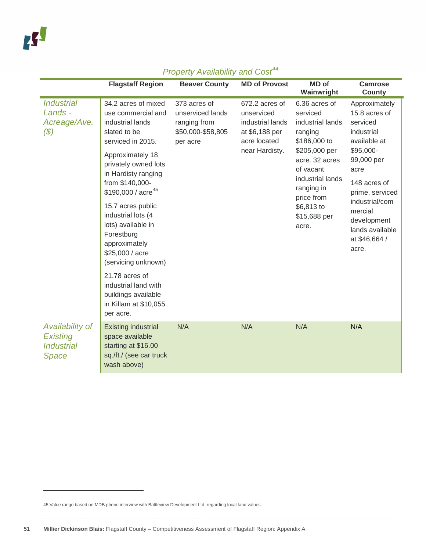|                                                                  | <b>Flagstaff Region</b>                                                                                                                                                                                                                                                                                                                                                                                                                                                     | <b>Beaver County</b>                                                              | <b>MD of Provost</b>                                                                                 | <b>MD</b> of<br>Wainwright                                                                                                                                                                                      | <b>Camrose</b><br><b>County</b>                                                                                                                                                                                                         |
|------------------------------------------------------------------|-----------------------------------------------------------------------------------------------------------------------------------------------------------------------------------------------------------------------------------------------------------------------------------------------------------------------------------------------------------------------------------------------------------------------------------------------------------------------------|-----------------------------------------------------------------------------------|------------------------------------------------------------------------------------------------------|-----------------------------------------------------------------------------------------------------------------------------------------------------------------------------------------------------------------|-----------------------------------------------------------------------------------------------------------------------------------------------------------------------------------------------------------------------------------------|
| <b>Industrial</b><br>Lands -<br>Acreage/Ave.<br>$(\$)$           | 34.2 acres of mixed<br>use commercial and<br>industrial lands<br>slated to be<br>serviced in 2015.<br>Approximately 18<br>privately owned lots<br>in Hardisty ranging<br>from \$140,000-<br>\$190,000 / acre <sup>45</sup><br>15.7 acres public<br>industrial lots (4<br>lots) available in<br>Forestburg<br>approximately<br>\$25,000 / acre<br>(servicing unknown)<br>21.78 acres of<br>industrial land with<br>buildings available<br>in Killam at \$10,055<br>per acre. | 373 acres of<br>unserviced lands<br>ranging from<br>\$50,000-\$58,805<br>per acre | 672.2 acres of<br>unserviced<br>industrial lands<br>at \$6,188 per<br>acre located<br>near Hardisty. | 6.36 acres of<br>serviced<br>industrial lands<br>ranging<br>\$186,000 to<br>\$205,000 per<br>acre. 32 acres<br>of vacant<br>industrial lands<br>ranging in<br>price from<br>\$6,813 to<br>\$15,688 per<br>acre. | Approximately<br>15.8 acres of<br>serviced<br>industrial<br>available at<br>\$95,000-<br>99,000 per<br>acre<br>148 acres of<br>prime, serviced<br>industrial/com<br>mercial<br>development<br>lands available<br>at \$46,664 /<br>acre. |
| Availability of<br><b>Existing</b><br><b>Industrial</b><br>Space | <b>Existing industrial</b><br>space available<br>starting at \$16.00<br>sq./ft./ (see car truck<br>wash above)                                                                                                                                                                                                                                                                                                                                                              | N/A                                                                               | N/A                                                                                                  | N/A                                                                                                                                                                                                             | N/A                                                                                                                                                                                                                                     |

<span id="page-50-0"></span><sup>45</sup> Value range based on MDB phone interview with Battleview Development Ltd. regarding local land values.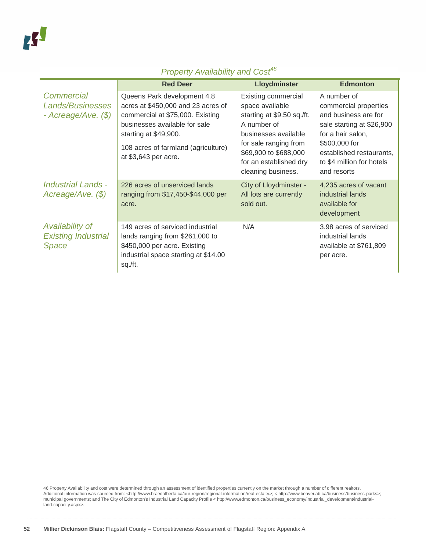|                                                                | <b>Red Deer</b>                                                                                                                                                                                                                | <b>Lloydminster</b>                                                                                                                                                                                                  | <b>Edmonton</b>                                                                                                                                                                                         |
|----------------------------------------------------------------|--------------------------------------------------------------------------------------------------------------------------------------------------------------------------------------------------------------------------------|----------------------------------------------------------------------------------------------------------------------------------------------------------------------------------------------------------------------|---------------------------------------------------------------------------------------------------------------------------------------------------------------------------------------------------------|
| Commercial<br><b>Lands/Businesses</b><br>- Acreage/Ave. $(\$)$ | Queens Park development 4.8<br>acres at \$450,000 and 23 acres of<br>commercial at \$75,000. Existing<br>businesses available for sale<br>starting at \$49,900.<br>108 acres of farmland (agriculture)<br>at \$3,643 per acre. | <b>Existing commercial</b><br>space available<br>starting at \$9.50 sq./ft.<br>A number of<br>businesses available<br>for sale ranging from<br>\$69,900 to \$688,000<br>for an established dry<br>cleaning business. | A number of<br>commercial properties<br>and business are for<br>sale starting at \$26,900<br>for a hair salon,<br>\$500,000 for<br>established restaurants,<br>to \$4 million for hotels<br>and resorts |
| Industrial Lands -<br>Acreage/Ave. (\$)                        | 226 acres of unserviced lands<br>ranging from \$17,450-\$44,000 per<br>acre.                                                                                                                                                   | City of Lloydminster -<br>All lots are currently<br>sold out.                                                                                                                                                        | 4,235 acres of vacant<br>industrial lands<br>available for<br>development                                                                                                                               |
| Availability of<br><b>Existing Industrial</b><br>Space         | 149 acres of serviced industrial<br>lands ranging from \$261,000 to<br>\$450,000 per acre. Existing<br>industrial space starting at \$14.00<br>sq./ft.                                                                         | N/A                                                                                                                                                                                                                  | 3.98 acres of serviced<br>industrial lands<br>available at \$761,809<br>per acre.                                                                                                                       |

<span id="page-51-0"></span><sup>46</sup> Property Availability and cost were determined through an assessment of identified properties currently on the market through a number of different realtors.<br>Additional information was sourced from: <http://www.braedal municipal governments; and The City of Edmonton's Industrial Land Capacity Profile < http://www.edmonton.ca/business\_economy/industrial\_development/industrialland-capacity.aspx>.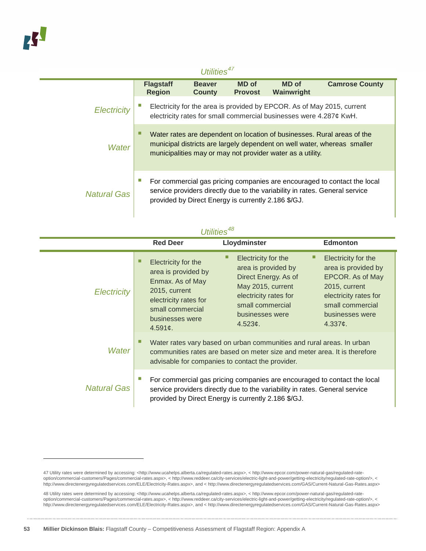<span id="page-52-0"></span>-

#### *Utilities[47](#page-52-1)* **Flagstaff Region Beaver County MD of Provost MD of Wainwright Camrose County** *Electricity* **Electricity for the area is provided by EPCOR. As of May 2015, current** electricity rates for small commercial businesses were 4.287¢ KwH. *Water* Water rates are dependent on location of businesses. Rural areas of the municipal districts are largely dependent on well water, whereas smaller municipalities may or may not provider water as a utility. *Natural Gas* For commercial gas pricing companies are encouraged to contact the local service providers directly due to the variability in rates. General service provided by Direct Energy is currently 2.186 \$/GJ.

| Utilities <sup>48</sup> |                                                                                                                                                            |                                                                                                                                                                                                                |                                                                                                                                                                           |  |  |  |
|-------------------------|------------------------------------------------------------------------------------------------------------------------------------------------------------|----------------------------------------------------------------------------------------------------------------------------------------------------------------------------------------------------------------|---------------------------------------------------------------------------------------------------------------------------------------------------------------------------|--|--|--|
|                         | <b>Red Deer</b>                                                                                                                                            | Lloydminster                                                                                                                                                                                                   | <b>Edmonton</b>                                                                                                                                                           |  |  |  |
| <b>Electricity</b>      | Electricity for the<br>area is provided by<br>Enmax. As of May<br>2015, current<br>electricity rates for<br>small commercial<br>businesses were<br>4.591c. | Electricity for the<br>□<br>area is provided by<br>Direct Energy. As of<br>May 2015, current<br>electricity rates for<br>small commercial<br>businesses were<br>4.523¢.                                        | Electricity for the<br>area is provided by<br>EPCOR. As of May<br>2015, current<br>electricity rates for<br>small commercial<br>businesses were<br>4.337 $\mathfrak{c}$ . |  |  |  |
| Water                   |                                                                                                                                                            | Water rates vary based on urban communities and rural areas. In urban<br>communities rates are based on meter size and meter area. It is therefore<br>advisable for companies to contact the provider.         |                                                                                                                                                                           |  |  |  |
| <b>Natural Gas</b>      |                                                                                                                                                            | For commercial gas pricing companies are encouraged to contact the local<br>service providers directly due to the variability in rates. General service<br>provided by Direct Energy is currently 2.186 \$/GJ. |                                                                                                                                                                           |  |  |  |

#### <span id="page-52-1"></span>47 Utility rates were determined by accessing: <http://www.ucahelps.alberta.ca/regulated-rates.aspx>, < http://www.epcor.com/power-natural-gas/regulated-rateoption/commercial-customers/Pages/commercial-rates.aspx>, < http://www.reddeer.ca/city-services/electric-light-and-power/getting-electricity/regulated-rate-option/>, < http://www.directenergyregulatedservices.com/ELE/Electricity-Rates.aspx>, and < http://www.directenergyregulatedservices.com/GAS/Current-Natural-Gas-Rates.aspx>

<span id="page-52-2"></span>48 Utility rates were determined by accessing: <http://www.ucahelps.alberta.ca/regulated-rates.aspx>, < http://www.epcor.com/power-natural-gas/regulated-rateoption/commercial-customers/Pages/commercial-rates.aspx>, < http://www.reddeer.ca/city-services/electric-light-and-power/getting-electricity/regulated-rate-option/>, < http://www.directenergyregulatedservices.com/ELE/Electricity-Rates.aspx>, and < http://www.directenergyregulatedservices.com/GAS/Current-Natural-Gas-Rates.aspx>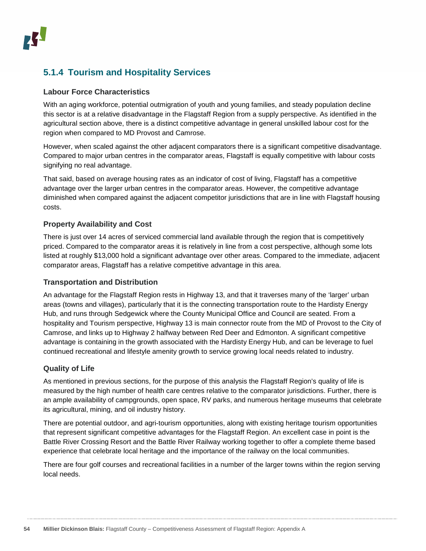### **5.1.4 Tourism and Hospitality Services**

#### **Labour Force Characteristics**

With an aging workforce, potential outmigration of youth and young families, and steady population decline this sector is at a relative disadvantage in the Flagstaff Region from a supply perspective. As identified in the agricultural section above, there is a distinct competitive advantage in general unskilled labour cost for the region when compared to MD Provost and Camrose.

However, when scaled against the other adjacent comparators there is a significant competitive disadvantage. Compared to major urban centres in the comparator areas, Flagstaff is equally competitive with labour costs signifying no real advantage.

That said, based on average housing rates as an indicator of cost of living, Flagstaff has a competitive advantage over the larger urban centres in the comparator areas. However, the competitive advantage diminished when compared against the adjacent competitor jurisdictions that are in line with Flagstaff housing costs.

#### **Property Availability and Cost**

There is just over 14 acres of serviced commercial land available through the region that is competitively priced. Compared to the comparator areas it is relatively in line from a cost perspective, although some lots listed at roughly \$13,000 hold a significant advantage over other areas. Compared to the immediate, adjacent comparator areas, Flagstaff has a relative competitive advantage in this area.

#### **Transportation and Distribution**

An advantage for the Flagstaff Region rests in Highway 13, and that it traverses many of the 'larger' urban areas (towns and villages), particularly that it is the connecting transportation route to the Hardisty Energy Hub, and runs through Sedgewick where the County Municipal Office and Council are seated. From a hospitality and Tourism perspective, Highway 13 is main connector route from the MD of Provost to the City of Camrose, and links up to Highway 2 halfway between Red Deer and Edmonton. A significant competitive advantage is containing in the growth associated with the Hardisty Energy Hub, and can be leverage to fuel continued recreational and lifestyle amenity growth to service growing local needs related to industry.

#### **Quality of Life**

As mentioned in previous sections, for the purpose of this analysis the Flagstaff Region's quality of life is measured by the high number of health care centres relative to the comparator jurisdictions. Further, there is an ample availability of campgrounds, open space, RV parks, and numerous heritage museums that celebrate its agricultural, mining, and oil industry history.

There are potential outdoor, and agri-tourism opportunities, along with existing heritage tourism opportunities that represent significant competitive advantages for the Flagstaff Region. An excellent case in point is the Battle River Crossing Resort and the Battle River Railway working together to offer a complete theme based experience that celebrate local heritage and the importance of the railway on the local communities.

There are four golf courses and recreational facilities in a number of the larger towns within the region serving local needs.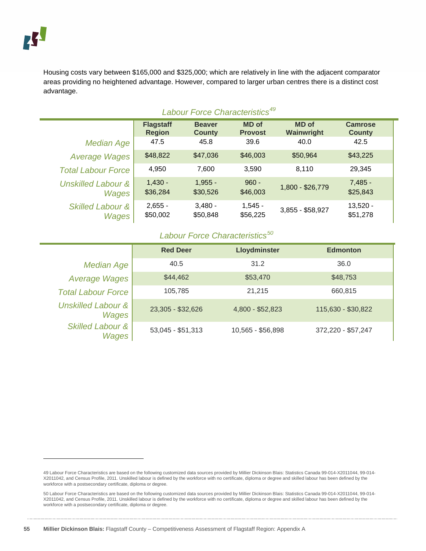-

Housing costs vary between \$165,000 and \$325,000; which are relatively in line with the adjacent comparator areas providing no heightened advantage. However, compared to larger urban centres there is a distinct cost advantage.

#### *Labour Force Characteristics[49](#page-54-0)*

|                               | <b>Flagstaff</b> | <b>Beaver</b> | <b>MD</b> of   | <b>MD</b> of     | <b>Camrose</b> |
|-------------------------------|------------------|---------------|----------------|------------------|----------------|
|                               | <b>Region</b>    | <b>County</b> | <b>Provost</b> | Wainwright       | <b>County</b>  |
| <b>Median Age</b>             | 47.5             | 45.8          | 39.6           | 40.0             | 42.5           |
| <b>Average Wages</b>          | \$48,822         | \$47,036      | \$46,003       | \$50,964         | \$43,225       |
| <b>Total Labour Force</b>     | 4.950            | 7,600         | 3,590          | 8.110            | 29,345         |
| <b>Unskilled Labour &amp;</b> | $1.430 -$        | $1.955 -$     | $960 -$        | 1,800 - \$26,779 | $7,485 -$      |
| Wages                         | \$36,284         | \$30,526      | \$46,003       |                  | \$25,843       |
| <b>Skilled Labour &amp;</b>   | $2,655 -$        | $3.480 -$     | $1,545 -$      | 3,855 - \$58,927 | $13,520 -$     |
| Wages                         | \$50,002         | \$50,848      | \$56,225       |                  | \$51,278       |

#### *Labour Force Characteristics[50](#page-54-1)*

|                                        | <b>Red Deer</b>   | Lloydminster      | <b>Edmonton</b>    |
|----------------------------------------|-------------------|-------------------|--------------------|
| <b>Median Age</b>                      | 40.5              | 31.2              | 36.0               |
| <b>Average Wages</b>                   | \$44,462          | \$53,470          | \$48,753           |
| <b>Total Labour Force</b>              | 105,785           | 21.215            | 660,815            |
| <b>Unskilled Labour &amp;</b><br>Wages | 23,305 - \$32,626 | 4,800 - \$52,823  | 115,630 - \$30,822 |
| <b>Skilled Labour &amp;</b><br>Wages   | 53,045 - \$51,313 | 10,565 - \$56,898 | 372,220 - \$57,247 |

<span id="page-54-0"></span><sup>49</sup> Labour Force Characteristics are based on the following customized data sources provided by Millier Dickinson Blais: Statistics Canada 99-014-X2011044, 99-014- X2011042, and Census Profile, 2011. Unskilled labour is defined by the workforce with no certificate, diploma or degree and skilled labour has been defined by the workforce with a postsecondary certificate, diploma or degree.

<span id="page-54-1"></span><sup>50</sup> Labour Force Characteristics are based on the following customized data sources provided by Millier Dickinson Blais: Statistics Canada 99-014-X2011044, 99-014- X2011042, and Census Profile, 2011. Unskilled labour is defined by the workforce with no certificate, diploma or degree and skilled labour has been defined by the workforce with a postsecondary certificate, diploma or degree.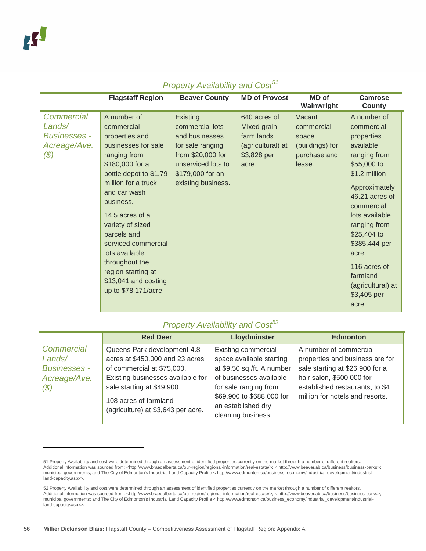|                                                                              | <b>Flagstaff Region</b>                                                                                                                                                                                                                                                                                                                                                   | <b>Beaver County</b>                                                                                                                                   | <b>MD of Provost</b>                                                                   | <b>MD</b> of<br>Wainwright                                                 | <b>Camrose</b><br><b>County</b>                                                                                                                                                                                                                                                                           |
|------------------------------------------------------------------------------|---------------------------------------------------------------------------------------------------------------------------------------------------------------------------------------------------------------------------------------------------------------------------------------------------------------------------------------------------------------------------|--------------------------------------------------------------------------------------------------------------------------------------------------------|----------------------------------------------------------------------------------------|----------------------------------------------------------------------------|-----------------------------------------------------------------------------------------------------------------------------------------------------------------------------------------------------------------------------------------------------------------------------------------------------------|
| <b>Commercial</b><br>Lands/<br><b>Businesses -</b><br>Acreage/Ave.<br>$(\$)$ | A number of<br>commercial<br>properties and<br>businesses for sale<br>ranging from<br>\$180,000 for a<br>bottle depot to \$1.79<br>million for a truck<br>and car wash<br>business.<br>14.5 acres of a<br>variety of sized<br>parcels and<br>serviced commercial<br>lots available<br>throughout the<br>region starting at<br>\$13,041 and costing<br>up to \$78,171/acre | Existing<br>commercial lots<br>and businesses<br>for sale ranging<br>from \$20,000 for<br>unserviced lots to<br>\$179,000 for an<br>existing business. | 640 acres of<br>Mixed grain<br>farm lands<br>(agricultural) at<br>\$3,828 per<br>acre. | Vacant<br>commercial<br>space<br>(buildings) for<br>purchase and<br>lease. | A number of<br>commercial<br>properties<br>available<br>ranging from<br>\$55,000 to<br>\$1.2 million<br>Approximately<br>46.21 acres of<br>commercial<br>lots available<br>ranging from<br>\$25,404 to<br>\$385,444 per<br>acre.<br>116 acres of<br>farmland<br>(agricultural) at<br>\$3,405 per<br>acre. |

#### *Property Availability and Cost[51](#page-55-0)*

|                                                                    | <b>Red Deer</b>                                                                                                                                                                                                                | Lloydminster                                                                                                                                                                                                      | <b>Edmonton</b>                                                                                                                                                                                 |
|--------------------------------------------------------------------|--------------------------------------------------------------------------------------------------------------------------------------------------------------------------------------------------------------------------------|-------------------------------------------------------------------------------------------------------------------------------------------------------------------------------------------------------------------|-------------------------------------------------------------------------------------------------------------------------------------------------------------------------------------------------|
| Commercial<br>Lands/<br><b>Businesses -</b><br>Acreage/Ave.<br>(5) | Queens Park development 4.8<br>acres at \$450,000 and 23 acres<br>of commercial at \$75,000.<br>Existing businesses available for<br>sale starting at \$49,900.<br>108 acres of farmland<br>(agriculture) at \$3,643 per acre. | <b>Existing commercial</b><br>space available starting<br>at \$9.50 sq./ft. A number<br>of businesses available<br>for sale ranging from<br>\$69,900 to \$688,000 for<br>an established dry<br>cleaning business. | A number of commercial<br>properties and business are for<br>sale starting at \$26,900 for a<br>hair salon, \$500,000 for<br>established restaurants, to \$4<br>million for hotels and resorts. |

<span id="page-55-0"></span><sup>51</sup> Property Availability and cost were determined through an assessment of identified properties currently on the market through a number of different realtors. Additional information was sourced from: <http://www.braedalberta.ca/our-region/regional-information/real-estate/>; < http://www.beaver.ab.ca/business/business-parks>;<br>municipal governments; and The City of Edmonton's Ind land-capacity.aspx>.

<span id="page-55-1"></span><sup>52</sup> Property Availability and cost were determined through an assessment of identified properties currently on the market through a number of different realtors. Additional information was sourced from: <http://www.braedalberta.ca/our-region/regional-information/real-estate/>; < http://www.beaver.ab.ca/business/business-parks>; municipal governments; and The City of Edmonton's Industrial Land Capacity Profile < http://www.edmonton.ca/business\_economy/industrial\_development/industrialland-capacity.aspx>.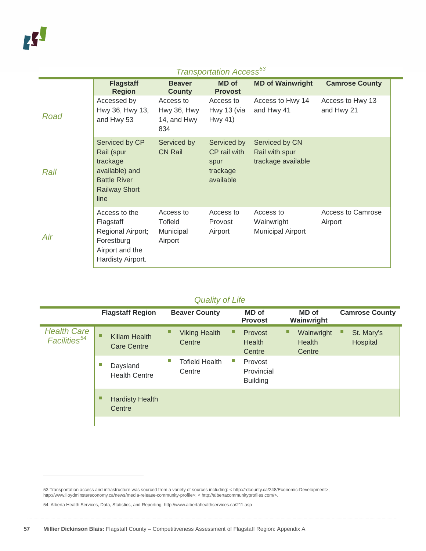-

|      | <b>Flagstaff</b><br><b>Region</b>                                                                                 | <b>Beaver</b><br><b>County</b>                 | <b>MD</b> of<br><b>Provost</b>                               | <b>MD of Wainwright</b>                                | <b>Camrose County</b>          |
|------|-------------------------------------------------------------------------------------------------------------------|------------------------------------------------|--------------------------------------------------------------|--------------------------------------------------------|--------------------------------|
| Road | Accessed by<br>Hwy 36, Hwy 13,<br>and Hwy 53                                                                      | Access to<br>Hwy 36, Hwy<br>14, and Hwy<br>834 | Access to<br>Hwy 13 (via<br>Hwy 41)                          | Access to Hwy 14<br>and Hwy 41                         | Access to Hwy 13<br>and Hwy 21 |
| Rail | Serviced by CP<br>Rail (spur<br>trackage<br>available) and<br><b>Battle River</b><br><b>Railway Short</b><br>line | Serviced by<br><b>CN Rail</b>                  | Serviced by<br>CP rail with<br>spur<br>trackage<br>available | Serviced by CN<br>Rail with spur<br>trackage available |                                |
| Air  | Access to the<br>Flagstaff<br>Regional Airport;<br>Forestburg<br>Airport and the<br>Hardisty Airport.             | Access to<br>Tofield<br>Municipal<br>Airport   | Access to<br>Provost<br>Airport                              | Access to<br>Wainwright<br><b>Municipal Airport</b>    | Access to Camrose<br>Airport   |

## *Transportation Access[53](#page-56-0)*

#### *Quality of Life*

|                                                | <b>Flagstaff Region</b>                  | <b>Beaver County</b>                 | <b>MD</b> of<br><b>Provost</b>                | MD of<br>Wainwright            | <b>Camrose County</b>       |
|------------------------------------------------|------------------------------------------|--------------------------------------|-----------------------------------------------|--------------------------------|-----------------------------|
| <b>Health Care</b><br>Facilities <sup>54</sup> | ■<br>Killam Health<br><b>Care Centre</b> | □<br><b>Viking Health</b><br>Centre  | ■<br>Provost<br><b>Health</b><br>Centre       | Wainwright<br>Health<br>Centre | ш<br>St. Mary's<br>Hospital |
|                                                | ×.<br>Daysland<br><b>Health Centre</b>   | П<br><b>Tofield Health</b><br>Centre | П<br>Provost<br>Provincial<br><b>Building</b> |                                |                             |
|                                                | □<br><b>Hardisty Health</b><br>Centre    |                                      |                                               |                                |                             |

<span id="page-56-0"></span><sup>53</sup> Transportation access and infrastructure was sourced from a variety of sources including: < http://rdcounty.ca/248/Economic-Development>; http://www.lloydminstereconomy.ca/news/media-release-community-profile>; < http://albertacommunityprofiles.com/>.

<span id="page-56-1"></span><sup>54</sup> Alberta Health Services, Data, Statistics, and Reporting, http://www.albertahealthservices.ca/211.asp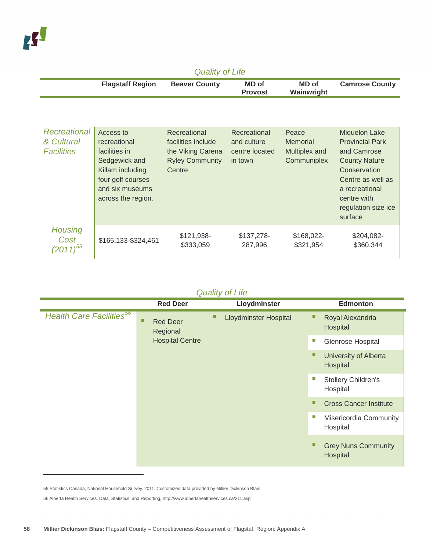-

| <b>Quality of Life</b>                          |                                                                                                                                               |                                                                                             |                                                          |                                                          |                                                                                                                                                                                               |  |
|-------------------------------------------------|-----------------------------------------------------------------------------------------------------------------------------------------------|---------------------------------------------------------------------------------------------|----------------------------------------------------------|----------------------------------------------------------|-----------------------------------------------------------------------------------------------------------------------------------------------------------------------------------------------|--|
|                                                 | <b>Flagstaff Region</b>                                                                                                                       | <b>Beaver County</b>                                                                        | MD of<br><b>Provost</b>                                  | <b>MD</b> of<br>Wainwright                               | <b>Camrose County</b>                                                                                                                                                                         |  |
|                                                 |                                                                                                                                               |                                                                                             |                                                          |                                                          |                                                                                                                                                                                               |  |
| Recreational<br>& Cultural<br><b>Facilities</b> | Access to<br>recreational<br>facilities in<br>Sedgewick and<br>Killam including<br>four golf courses<br>and six museums<br>across the region. | Recreational<br>facilities include<br>the Viking Carena<br><b>Ryley Community</b><br>Centre | Recreational<br>and culture<br>centre located<br>in town | Peace<br><b>Memorial</b><br>Multiplex and<br>Communiplex | <b>Miquelon Lake</b><br><b>Provincial Park</b><br>and Camrose<br><b>County Nature</b><br>Conservation<br>Centre as well as<br>a recreational<br>centre with<br>regulation size ice<br>surface |  |
| <b>Housing</b><br>Cost<br>$(2011)^{55}$         | \$165,133-\$324,461                                                                                                                           | \$121,938-<br>\$333,059                                                                     | \$137,278-<br>287,996                                    | \$168,022-<br>\$321,954                                  | \$204,082-<br>\$360,344                                                                                                                                                                       |  |

### *Quality of Life*

|                                             | <b>Red Deer</b>                                            |                              | Lloydminster |                              | <b>Edmonton</b>                        |                               |                                 |   |                                   |  |  |  |  |
|---------------------------------------------|------------------------------------------------------------|------------------------------|--------------|------------------------------|----------------------------------------|-------------------------------|---------------------------------|---|-----------------------------------|--|--|--|--|
| <b>Health Care Facilities</b> <sup>56</sup> | <b>Red Deer</b><br>□<br>Regional<br><b>Hospital Centre</b> | <b>Lloydminster Hospital</b> | ⊔            | Royal Alexandria<br>Hospital |                                        |                               |                                 |   |                                   |  |  |  |  |
|                                             |                                                            |                              |              |                              | ш                                      | Glenrose Hospital             |                                 |   |                                   |  |  |  |  |
|                                             |                                                            |                              |              |                              |                                        |                               |                                 | п | University of Alberta<br>Hospital |  |  |  |  |
|                                             |                                                            |                              |              |                              |                                        | T.                            | Stollery Children's<br>Hospital |   |                                   |  |  |  |  |
|                                             |                                                            |                              |              |                              |                                        | <b>Cross Cancer Institute</b> |                                 |   |                                   |  |  |  |  |
|                                             |                                                            |                              |              |                              |                                        |                               |                                 |   |                                   |  |  |  |  |
|                                             |                                                            |                              |              |                              | <b>Grey Nuns Community</b><br>Hospital |                               |                                 |   |                                   |  |  |  |  |

<span id="page-57-1"></span><span id="page-57-0"></span>55 Statistics Canada, National Household Survey, 2011. Customized data provided by Millier Dickinson Blais. 56 Alberta Health Services, Data, Statistics, and Reporting, http://www.albertahealthservices.ca/211.asp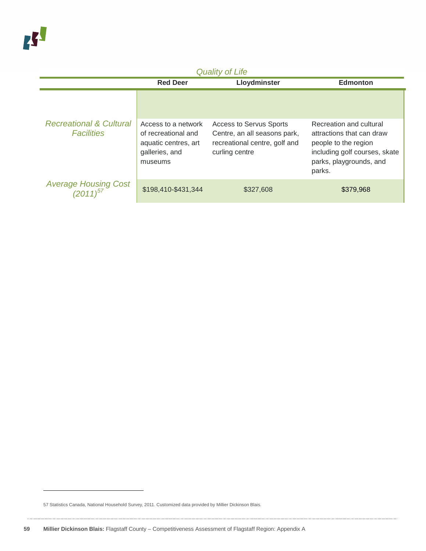| <b>Quality of Life</b>                                  |                                                                                                 |                                                                                                                   |                                                                                                                                                    |  |  |
|---------------------------------------------------------|-------------------------------------------------------------------------------------------------|-------------------------------------------------------------------------------------------------------------------|----------------------------------------------------------------------------------------------------------------------------------------------------|--|--|
|                                                         | <b>Red Deer</b>                                                                                 | Lloydminster                                                                                                      | <b>Edmonton</b>                                                                                                                                    |  |  |
|                                                         |                                                                                                 |                                                                                                                   |                                                                                                                                                    |  |  |
| <b>Recreational &amp; Cultural</b><br><b>Facilities</b> | Access to a network<br>of recreational and<br>aquatic centres, art<br>galleries, and<br>museums | <b>Access to Servus Sports</b><br>Centre, an all seasons park,<br>recreational centre, golf and<br>curling centre | Recreation and cultural<br>attractions that can draw<br>people to the region<br>including golf courses, skate<br>parks, playgrounds, and<br>parks. |  |  |
| Average Housing Cost<br>(2011) <sup>57</sup>            | \$198,410-\$431,344                                                                             | \$327,608                                                                                                         | \$379,968                                                                                                                                          |  |  |

<span id="page-58-0"></span>57 Statistics Canada, National Household Survey, 2011. Customized data provided by Millier Dickinson Blais.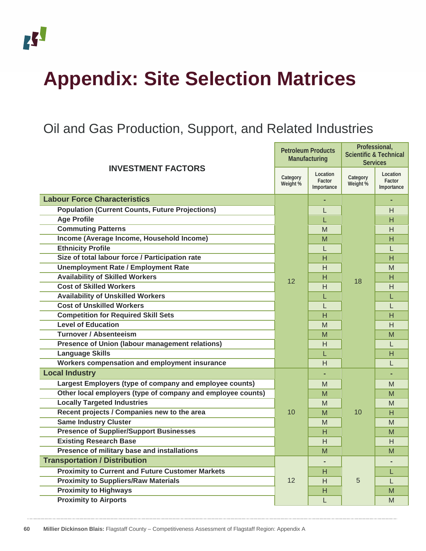

# <span id="page-59-0"></span>**Appendix: Site Selection Matrices**

# <span id="page-59-1"></span>Oil and Gas Production, Support, and Related Industries

| <b>INVESTMENT FACTORS</b>                                   |    | <b>Petroleum Products</b><br>Manufacturing |                      | Professional,<br><b>Scientific &amp; Technical</b><br><b>Services</b> |
|-------------------------------------------------------------|----|--------------------------------------------|----------------------|-----------------------------------------------------------------------|
|                                                             |    | Location<br>Factor<br>Importance           | Category<br>Weight % | Location<br>Factor<br>Importance                                      |
| <b>Labour Force Characteristics</b>                         |    |                                            |                      |                                                                       |
| <b>Population (Current Counts, Future Projections)</b>      |    | L                                          |                      | H                                                                     |
| <b>Age Profile</b>                                          |    | L                                          |                      | н                                                                     |
| <b>Commuting Patterns</b>                                   |    | M                                          |                      | H                                                                     |
| Income (Average Income, Household Income)                   |    | M                                          |                      | н                                                                     |
| <b>Ethnicity Profile</b>                                    |    | $\mathbf{L}$                               |                      | L                                                                     |
| Size of total labour force / Participation rate             |    | н                                          |                      | н                                                                     |
| <b>Unemployment Rate / Employment Rate</b>                  |    | Н                                          |                      | M                                                                     |
| <b>Availability of Skilled Workers</b>                      | 12 | н                                          | 18                   | н                                                                     |
| <b>Cost of Skilled Workers</b>                              |    | H                                          |                      | H                                                                     |
| <b>Availability of Unskilled Workers</b>                    |    | L                                          |                      | L                                                                     |
| <b>Cost of Unskilled Workers</b>                            |    | L                                          |                      | L                                                                     |
| <b>Competition for Required Skill Sets</b>                  |    | н                                          |                      | н                                                                     |
| <b>Level of Education</b>                                   |    | M                                          |                      | H                                                                     |
| <b>Turnover / Absenteeism</b>                               |    | M                                          |                      | M                                                                     |
| Presence of Union (labour management relations)             |    | H                                          |                      | L                                                                     |
| <b>Language Skills</b>                                      |    | L                                          |                      | H                                                                     |
| Workers compensation and employment insurance               |    | H                                          |                      | L                                                                     |
| <b>Local Industry</b>                                       |    |                                            |                      | ٠                                                                     |
| Largest Employers (type of company and employee counts)     |    | M                                          |                      | M                                                                     |
| Other local employers (type of company and employee counts) |    | M                                          |                      | M                                                                     |
| <b>Locally Targeted Industries</b>                          |    | M                                          |                      | M                                                                     |
| Recent projects / Companies new to the area                 | 10 | M                                          | 10                   | н                                                                     |
| <b>Same Industry Cluster</b>                                |    | M                                          |                      | M                                                                     |
| <b>Presence of Supplier/Support Businesses</b>              |    | н                                          |                      | M                                                                     |
| <b>Existing Research Base</b>                               |    | H                                          |                      | H                                                                     |
| Presence of military base and installations                 |    | M                                          |                      | M                                                                     |
| <b>Transportation / Distribution</b>                        |    |                                            |                      |                                                                       |
| <b>Proximity to Current and Future Customer Markets</b>     |    | н                                          |                      | L                                                                     |
| <b>Proximity to Suppliers/Raw Materials</b>                 | 12 | H                                          | 5                    | L                                                                     |
| <b>Proximity to Highways</b>                                |    | Н                                          |                      | M                                                                     |
| <b>Proximity to Airports</b>                                |    | L                                          |                      | M                                                                     |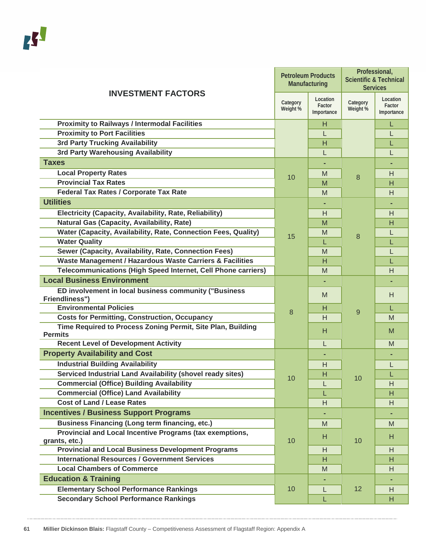| <b>INVESTMENT FACTORS</b>                                                      |                      | <b>Petroleum Products</b><br>Manufacturing | Professional,<br><b>Scientific &amp; Technical</b><br><b>Services</b> |                                  |
|--------------------------------------------------------------------------------|----------------------|--------------------------------------------|-----------------------------------------------------------------------|----------------------------------|
|                                                                                | Category<br>Weight % | Location<br>Factor<br>Importance           | Category<br>Weight %                                                  | Location<br>Factor<br>Importance |
| <b>Proximity to Railways / Intermodal Facilities</b>                           |                      | н                                          |                                                                       | L                                |
| <b>Proximity to Port Facilities</b>                                            |                      | L                                          |                                                                       | L                                |
| <b>3rd Party Trucking Availability</b>                                         |                      | н                                          |                                                                       | L                                |
| <b>3rd Party Warehousing Availability</b>                                      |                      | L                                          |                                                                       | L                                |
| <b>Taxes</b>                                                                   |                      |                                            |                                                                       |                                  |
| <b>Local Property Rates</b>                                                    | 10                   | M                                          | 8                                                                     | H                                |
| <b>Provincial Tax Rates</b>                                                    |                      | M                                          |                                                                       | н                                |
| <b>Federal Tax Rates / Corporate Tax Rate</b>                                  |                      | M                                          |                                                                       | H                                |
| <b>Utilities</b>                                                               |                      |                                            |                                                                       |                                  |
| Electricity (Capacity, Availability, Rate, Reliability)                        |                      | H                                          |                                                                       | H                                |
| <b>Natural Gas (Capacity, Availability, Rate)</b>                              |                      | M                                          |                                                                       | н                                |
| Water (Capacity, Availability, Rate, Connection Fees, Quality)                 |                      | М                                          |                                                                       | L                                |
| <b>Water Quality</b>                                                           | 15                   | L                                          | 8                                                                     | L                                |
| Sewer (Capacity, Availability, Rate, Connection Fees)                          |                      | М                                          |                                                                       | L                                |
| Waste Management / Hazardous Waste Carriers & Facilities                       |                      | H                                          |                                                                       | L                                |
| Telecommunications (High Speed Internet, Cell Phone carriers)                  |                      | M                                          |                                                                       | н                                |
| <b>Local Business Environment</b>                                              |                      | ٠                                          |                                                                       |                                  |
| ED involvement in local business community ("Business<br><b>Friendliness")</b> |                      | M                                          |                                                                       | H                                |
| <b>Environmental Policies</b>                                                  |                      | н                                          |                                                                       | L                                |
| <b>Costs for Permitting, Construction, Occupancy</b>                           | 8                    | H                                          | 9                                                                     | M                                |
| Time Required to Process Zoning Permit, Site Plan, Building<br><b>Permits</b>  |                      | Н                                          |                                                                       | M                                |
| <b>Recent Level of Development Activity</b>                                    |                      | L                                          |                                                                       | M                                |
| <b>Property Availability and Cost</b>                                          |                      |                                            |                                                                       |                                  |
| <b>Industrial Building Availability</b>                                        |                      | H                                          |                                                                       | L                                |
| <b>Serviced Industrial Land Availability (shovel ready sites)</b>              |                      | H                                          |                                                                       |                                  |
| <b>Commercial (Office) Building Availability</b>                               | 10                   | L                                          | 10                                                                    | Н                                |
| <b>Commercial (Office) Land Availability</b>                                   |                      | L                                          |                                                                       | H                                |
| <b>Cost of Land / Lease Rates</b>                                              |                      | H                                          |                                                                       | H                                |
| <b>Incentives / Business Support Programs</b>                                  |                      |                                            |                                                                       |                                  |
| <b>Business Financing (Long term financing, etc.)</b>                          |                      | M                                          |                                                                       | M                                |
| Provincial and Local Incentive Programs (tax exemptions,<br>grants, etc.)      | 10                   | H                                          | 10                                                                    | H.                               |
| <b>Provincial and Local Business Development Programs</b>                      |                      | H                                          |                                                                       | Н                                |
| <b>International Resources / Government Services</b>                           |                      | H                                          |                                                                       | H.                               |
| <b>Local Chambers of Commerce</b>                                              |                      | M                                          |                                                                       | H                                |
| <b>Education &amp; Training</b>                                                |                      |                                            |                                                                       |                                  |
| <b>Elementary School Performance Rankings</b>                                  | 10                   | L                                          | 12                                                                    | H                                |
| <b>Secondary School Performance Rankings</b>                                   |                      | L                                          |                                                                       | H.                               |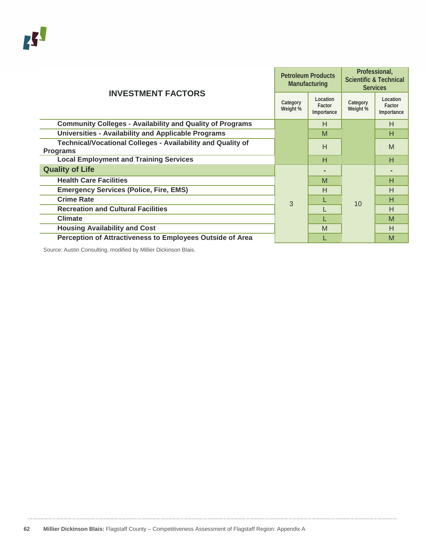| <b>INVESTMENT FACTORS</b>                                                             |   | <b>Petroleum Products</b><br>Manufacturing | Professional,<br><b>Scientific &amp; Technical</b><br><b>Services</b> |                                  |
|---------------------------------------------------------------------------------------|---|--------------------------------------------|-----------------------------------------------------------------------|----------------------------------|
|                                                                                       |   | Location<br>Factor<br>Importance           | Category<br>Weight %                                                  | Location<br>Factor<br>Importance |
| <b>Community Colleges - Availability and Quality of Programs</b>                      |   | H                                          |                                                                       | н                                |
| <b>Universities - Availability and Applicable Programs</b>                            |   | M                                          |                                                                       | н                                |
| <b>Technical/Vocational Colleges - Availability and Quality of</b><br><b>Programs</b> |   | H                                          |                                                                       | M                                |
| <b>Local Employment and Training Services</b>                                         |   | Н                                          |                                                                       | н                                |
| <b>Quality of Life</b>                                                                |   |                                            |                                                                       |                                  |
| <b>Health Care Facilities</b>                                                         |   | M                                          |                                                                       | н                                |
| <b>Emergency Services (Police, Fire, EMS)</b>                                         |   | H                                          |                                                                       | н                                |
| <b>Crime Rate</b>                                                                     | 3 |                                            | 10                                                                    | н                                |
| <b>Recreation and Cultural Facilities</b>                                             |   |                                            |                                                                       | н                                |
| <b>Climate</b>                                                                        |   |                                            |                                                                       | M                                |
| <b>Housing Availability and Cost</b>                                                  |   | M                                          |                                                                       | н                                |
| Perception of Attractiveness to Employees Outside of Area                             |   |                                            |                                                                       | M                                |

Source: Austin Consulting, modified by Millier Dickinson Blais.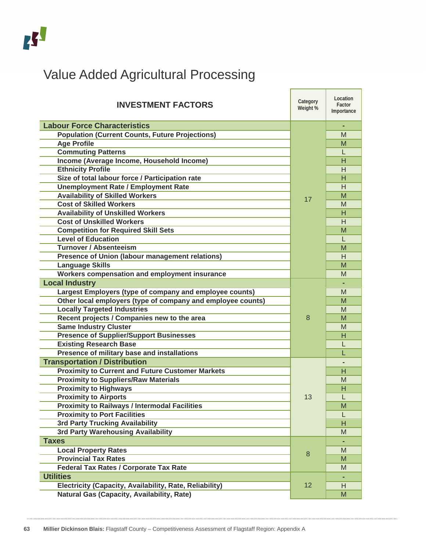# <span id="page-62-0"></span>Value Added Agricultural Processing

| <b>INVESTMENT FACTORS</b>                                   | Category<br>Weight % | Location<br>Factor<br>Importance |
|-------------------------------------------------------------|----------------------|----------------------------------|
| <b>Labour Force Characteristics</b>                         |                      | ٠                                |
| <b>Population (Current Counts, Future Projections)</b>      |                      | М                                |
| <b>Age Profile</b>                                          |                      | M                                |
| <b>Commuting Patterns</b>                                   |                      |                                  |
| Income (Average Income, Household Income)                   |                      | н                                |
| <b>Ethnicity Profile</b>                                    |                      | H                                |
| Size of total labour force / Participation rate             |                      | н                                |
| <b>Unemployment Rate / Employment Rate</b>                  |                      | H                                |
| <b>Availability of Skilled Workers</b>                      | 17                   | M                                |
| <b>Cost of Skilled Workers</b>                              |                      | M                                |
| <b>Availability of Unskilled Workers</b>                    |                      | н                                |
| <b>Cost of Unskilled Workers</b>                            |                      | H                                |
| <b>Competition for Required Skill Sets</b>                  |                      | M                                |
| <b>Level of Education</b>                                   |                      | T.                               |
| <b>Turnover / Absenteeism</b>                               |                      | M                                |
| Presence of Union (labour management relations)             |                      | H                                |
| <b>Language Skills</b>                                      |                      | M                                |
| Workers compensation and employment insurance               |                      | M                                |
| <b>Local Industry</b>                                       |                      |                                  |
| Largest Employers (type of company and employee counts)     |                      | M                                |
| Other local employers (type of company and employee counts) |                      | M                                |
| <b>Locally Targeted Industries</b>                          |                      | M                                |
| Recent projects / Companies new to the area                 | 8                    | M                                |
| <b>Same Industry Cluster</b>                                |                      | M                                |
| <b>Presence of Supplier/Support Businesses</b>              |                      | н                                |
| <b>Existing Research Base</b>                               |                      |                                  |
| Presence of military base and installations                 |                      |                                  |
| <b>Transportation / Distribution</b>                        |                      |                                  |
| <b>Proximity to Current and Future Customer Markets</b>     |                      | н                                |
| <b>Proximity to Suppliers/Raw Materials</b>                 |                      | M                                |
| <b>Proximity to Highways</b>                                |                      | Н                                |
| <b>Proximity to Airports</b>                                | 13                   | L                                |
| <b>Proximity to Railways / Intermodal Facilities</b>        |                      | M                                |
| <b>Proximity to Port Facilities</b>                         |                      | L                                |
| 3rd Party Trucking Availability                             |                      | Н                                |
| 3rd Party Warehousing Availability                          |                      | M                                |
| <b>Taxes</b>                                                |                      |                                  |
| <b>Local Property Rates</b>                                 | 8                    | M                                |
| <b>Provincial Tax Rates</b>                                 |                      | M                                |
| Federal Tax Rates / Corporate Tax Rate                      |                      | M                                |
| <b>Utilities</b>                                            |                      | ٠                                |
| Electricity (Capacity, Availability, Rate, Reliability)     | 12                   | H                                |
| Natural Gas (Capacity, Availability, Rate)                  |                      | M                                |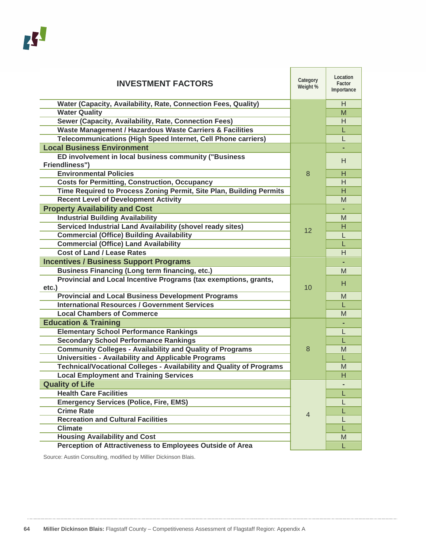| <b>INVESTMENT FACTORS</b>                                                 | Category<br>Weight % | Location<br>Factor<br>Importance |
|---------------------------------------------------------------------------|----------------------|----------------------------------|
| Water (Capacity, Availability, Rate, Connection Fees, Quality)            |                      | H                                |
| <b>Water Quality</b>                                                      |                      | M                                |
| Sewer (Capacity, Availability, Rate, Connection Fees)                     |                      | H                                |
| Waste Management / Hazardous Waste Carriers & Facilities                  |                      | L                                |
| Telecommunications (High Speed Internet, Cell Phone carriers)             |                      | L                                |
| <b>Local Business Environment</b>                                         |                      |                                  |
| ED involvement in local business community ("Business                     |                      | H                                |
| Friendliness")<br><b>Environmental Policies</b>                           |                      |                                  |
|                                                                           | 8                    | н                                |
| <b>Costs for Permitting, Construction, Occupancy</b>                      |                      | H                                |
| Time Required to Process Zoning Permit, Site Plan, Building Permits       |                      | н                                |
| <b>Recent Level of Development Activity</b>                               |                      | M                                |
| <b>Property Availability and Cost</b>                                     |                      |                                  |
| <b>Industrial Building Availability</b>                                   |                      | M                                |
| Serviced Industrial Land Availability (shovel ready sites)                | 12                   | н                                |
| <b>Commercial (Office) Building Availability</b>                          |                      | L                                |
| <b>Commercial (Office) Land Availability</b>                              |                      | L                                |
| <b>Cost of Land / Lease Rates</b>                                         |                      | H                                |
| <b>Incentives / Business Support Programs</b>                             |                      |                                  |
| <b>Business Financing (Long term financing, etc.)</b>                     |                      | M                                |
| Provincial and Local Incentive Programs (tax exemptions, grants,<br>etc.) | 10                   | н                                |
| <b>Provincial and Local Business Development Programs</b>                 |                      | M                                |
| <b>International Resources / Government Services</b>                      |                      | L                                |
| <b>Local Chambers of Commerce</b>                                         |                      | M                                |
| <b>Education &amp; Training</b>                                           |                      |                                  |
| <b>Elementary School Performance Rankings</b>                             |                      | L                                |
| <b>Secondary School Performance Rankings</b>                              |                      | L                                |
| <b>Community Colleges - Availability and Quality of Programs</b>          | 8                    | M                                |
| <b>Universities - Availability and Applicable Programs</b>                |                      | L                                |
| Technical/Vocational Colleges - Availability and Quality of Programs      |                      | M                                |
| <b>Local Employment and Training Services</b>                             |                      | н                                |
| <b>Quality of Life</b>                                                    |                      |                                  |
| <b>Health Care Facilities</b>                                             |                      | L                                |
| <b>Emergency Services (Police, Fire, EMS)</b>                             |                      | L                                |
| <b>Crime Rate</b>                                                         |                      |                                  |
| <b>Recreation and Cultural Facilities</b>                                 | $\overline{4}$       |                                  |
| <b>Climate</b>                                                            |                      | L                                |
| <b>Housing Availability and Cost</b>                                      |                      | M                                |
| <b>Perception of Attractiveness to Employees Outside of Area</b>          |                      | L                                |

<span id="page-63-0"></span>Source: Austin Consulting, modified by Millier Dickinson Blais.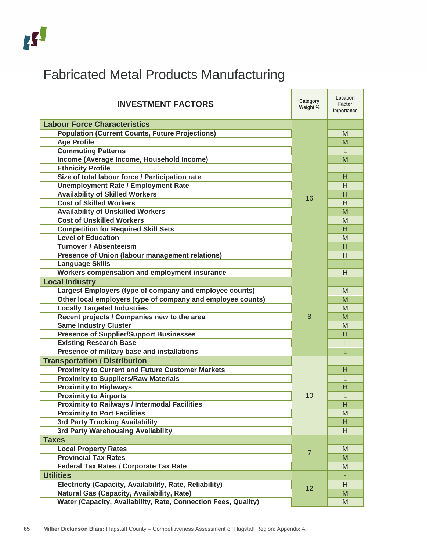# Fabricated Metal Products Manufacturing

| <b>INVESTMENT FACTORS</b>                                      | Category<br>Weight % | Location<br>Factor<br>Importance |
|----------------------------------------------------------------|----------------------|----------------------------------|
| <b>Labour Force Characteristics</b>                            |                      |                                  |
| <b>Population (Current Counts, Future Projections)</b>         |                      | M                                |
| <b>Age Profile</b>                                             |                      | м                                |
| <b>Commuting Patterns</b>                                      |                      | L                                |
| Income (Average Income, Household Income)                      |                      | M                                |
| <b>Ethnicity Profile</b>                                       |                      | L                                |
| Size of total labour force / Participation rate                |                      | H                                |
| <b>Unemployment Rate / Employment Rate</b>                     |                      | H                                |
| <b>Availability of Skilled Workers</b>                         | 16                   | H                                |
| <b>Cost of Skilled Workers</b>                                 |                      | H                                |
| <b>Availability of Unskilled Workers</b>                       |                      | M                                |
| <b>Cost of Unskilled Workers</b>                               |                      | M                                |
| <b>Competition for Required Skill Sets</b>                     |                      | H                                |
| <b>Level of Education</b>                                      |                      | M                                |
| <b>Turnover / Absenteeism</b>                                  |                      | н                                |
| Presence of Union (labour management relations)                |                      | H                                |
| <b>Language Skills</b>                                         |                      | L                                |
| Workers compensation and employment insurance                  |                      | H                                |
| <b>Local Industry</b>                                          |                      |                                  |
| Largest Employers (type of company and employee counts)        |                      | M                                |
| Other local employers (type of company and employee counts)    |                      | м                                |
| <b>Locally Targeted Industries</b>                             |                      | M                                |
| Recent projects / Companies new to the area                    | 8                    | м                                |
| <b>Same Industry Cluster</b>                                   |                      | M                                |
| <b>Presence of Supplier/Support Businesses</b>                 |                      | Н                                |
| <b>Existing Research Base</b>                                  |                      | L                                |
| Presence of military base and installations                    |                      |                                  |
| <b>Transportation / Distribution</b>                           |                      |                                  |
| <b>Proximity to Current and Future Customer Markets</b>        |                      | н                                |
| <b>Proximity to Suppliers/Raw Materials</b>                    |                      |                                  |
| <b>Proximity to Highways</b>                                   |                      | н                                |
| <b>Proximity to Airports</b>                                   | 10                   |                                  |
| <b>Proximity to Railways / Intermodal Facilities</b>           |                      | н                                |
| <b>Proximity to Port Facilities</b>                            |                      | M                                |
| 3rd Party Trucking Availability                                |                      | Н                                |
| 3rd Party Warehousing Availability                             |                      | H                                |
| <b>Taxes</b>                                                   |                      |                                  |
| <b>Local Property Rates</b>                                    | $\overline{7}$       | M                                |
| <b>Provincial Tax Rates</b>                                    |                      | M                                |
| <b>Federal Tax Rates / Corporate Tax Rate</b>                  |                      | M                                |
| <b>Utilities</b>                                               |                      |                                  |
| Electricity (Capacity, Availability, Rate, Reliability)        | 12                   | H                                |
| <b>Natural Gas (Capacity, Availability, Rate)</b>              |                      | M                                |
| Water (Capacity, Availability, Rate, Connection Fees, Quality) |                      | M                                |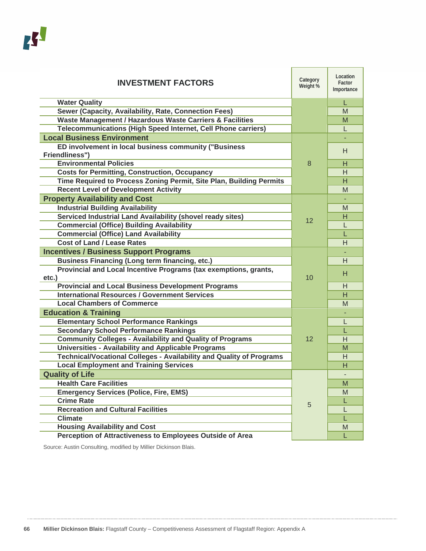| <b>INVESTMENT FACTORS</b>                                                   | Category<br>Weight % | Location<br>Factor<br>Importance |
|-----------------------------------------------------------------------------|----------------------|----------------------------------|
| <b>Water Quality</b>                                                        |                      | L                                |
| Sewer (Capacity, Availability, Rate, Connection Fees)                       |                      | M                                |
| Waste Management / Hazardous Waste Carriers & Facilities                    |                      | М                                |
| Telecommunications (High Speed Internet, Cell Phone carriers)               |                      | L                                |
| <b>Local Business Environment</b>                                           |                      |                                  |
| ED involvement in local business community ("Business                       |                      | н                                |
| <b>Friendliness")</b>                                                       |                      |                                  |
| <b>Environmental Policies</b>                                               | 8                    | н                                |
| <b>Costs for Permitting, Construction, Occupancy</b>                        |                      | H                                |
| Time Required to Process Zoning Permit, Site Plan, Building Permits         |                      | H                                |
| <b>Recent Level of Development Activity</b>                                 |                      | M                                |
| <b>Property Availability and Cost</b>                                       |                      |                                  |
| <b>Industrial Building Availability</b>                                     |                      | м                                |
| Serviced Industrial Land Availability (shovel ready sites)                  |                      | н                                |
| <b>Commercial (Office) Building Availability</b>                            | 12                   | L                                |
| <b>Commercial (Office) Land Availability</b>                                |                      | L                                |
| <b>Cost of Land / Lease Rates</b>                                           |                      | Н                                |
| <b>Incentives / Business Support Programs</b>                               |                      |                                  |
| <b>Business Financing (Long term financing, etc.)</b>                       |                      | H                                |
| Provincial and Local Incentive Programs (tax exemptions, grants,            |                      | н                                |
| $etc.$ )                                                                    | 10                   |                                  |
| <b>Provincial and Local Business Development Programs</b>                   |                      | н                                |
| <b>International Resources / Government Services</b>                        |                      | н                                |
| <b>Local Chambers of Commerce</b>                                           |                      | M                                |
| <b>Education &amp; Training</b>                                             |                      |                                  |
| <b>Elementary School Performance Rankings</b>                               |                      | L                                |
| <b>Secondary School Performance Rankings</b>                                |                      | L                                |
| <b>Community Colleges - Availability and Quality of Programs</b>            | 12                   | H                                |
| <b>Universities - Availability and Applicable Programs</b>                  |                      | м                                |
| <b>Technical/Vocational Colleges - Availability and Quality of Programs</b> |                      | H                                |
| <b>Local Employment and Training Services</b>                               |                      | н                                |
| <b>Quality of Life</b>                                                      |                      |                                  |
| <b>Health Care Facilities</b>                                               |                      | M                                |
| <b>Emergency Services (Police, Fire, EMS)</b>                               |                      | M                                |
| <b>Crime Rate</b>                                                           | 5                    | L                                |
| <b>Recreation and Cultural Facilities</b>                                   |                      | L                                |
| <b>Climate</b>                                                              |                      | L                                |
| <b>Housing Availability and Cost</b>                                        |                      | M                                |
| Perception of Attractiveness to Employees Outside of Area                   |                      | L                                |

<span id="page-65-0"></span>Source: Austin Consulting, modified by Millier Dickinson Blais.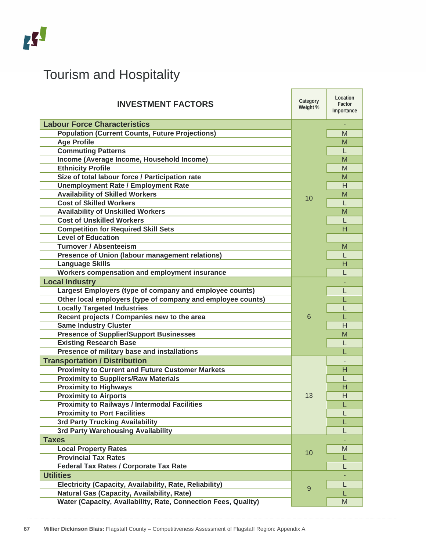| <b>Tourism and Hospitality</b>                                 |                      |                                  |
|----------------------------------------------------------------|----------------------|----------------------------------|
| <b>INVESTMENT FACTORS</b>                                      | Category<br>Weight % | Location<br>Factor<br>Importance |
| <b>Labour Force Characteristics</b>                            | 10                   |                                  |
| <b>Population (Current Counts, Future Projections)</b>         |                      | M                                |
| <b>Age Profile</b>                                             |                      | M                                |
| <b>Commuting Patterns</b>                                      |                      | L                                |
| Income (Average Income, Household Income)                      |                      | M                                |
| <b>Ethnicity Profile</b>                                       |                      | M                                |
| Size of total labour force / Participation rate                |                      | M                                |
| <b>Unemployment Rate / Employment Rate</b>                     |                      | H                                |
| <b>Availability of Skilled Workers</b>                         |                      | M                                |
| <b>Cost of Skilled Workers</b>                                 |                      | L                                |
| <b>Availability of Unskilled Workers</b>                       |                      | M                                |
| <b>Cost of Unskilled Workers</b>                               |                      | L                                |
| <b>Competition for Required Skill Sets</b>                     |                      | н                                |
| <b>Level of Education</b>                                      |                      |                                  |
| <b>Turnover / Absenteeism</b>                                  |                      | M                                |
| <b>Presence of Union (labour management relations)</b>         |                      | L                                |
| <b>Language Skills</b>                                         |                      | н                                |
| Workers compensation and employment insurance                  |                      | L                                |
| <b>Local Industry</b>                                          | 6                    |                                  |
| Largest Employers (type of company and employee counts)        |                      | L                                |
| Other local employers (type of company and employee counts)    |                      | L                                |
| <b>Locally Targeted Industries</b>                             |                      |                                  |
| Recent projects / Companies new to the area                    |                      |                                  |
| <b>Same Industry Cluster</b>                                   |                      | H                                |
| <b>Presence of Supplier/Support Businesses</b>                 |                      | M                                |
| <b>Existing Research Base</b>                                  |                      | L                                |
| Presence of military base and installations                    |                      | L                                |
| <b>Transportation / Distribution</b>                           | 13                   |                                  |
| <b>Proximity to Current and Future Customer Markets</b>        |                      | Н                                |
| <b>Proximity to Suppliers/Raw Materials</b>                    |                      | L                                |
| <b>Proximity to Highways</b>                                   |                      | Н                                |
| <b>Proximity to Airports</b>                                   |                      | H                                |
| <b>Proximity to Railways / Intermodal Facilities</b>           |                      | L                                |
| <b>Proximity to Port Facilities</b>                            |                      | L                                |
| 3rd Party Trucking Availability                                |                      | L                                |
| 3rd Party Warehousing Availability                             |                      | L                                |
| <b>Taxes</b>                                                   |                      |                                  |
| <b>Local Property Rates</b>                                    | 10                   | M                                |
| <b>Provincial Tax Rates</b>                                    |                      | L                                |
| <b>Federal Tax Rates / Corporate Tax Rate</b>                  |                      | L                                |
| <b>Utilities</b>                                               | 9                    |                                  |
| Electricity (Capacity, Availability, Rate, Reliability)        |                      | L                                |
| Natural Gas (Capacity, Availability, Rate)                     |                      | L                                |
| Water (Capacity, Availability, Rate, Connection Fees, Quality) |                      | M                                |